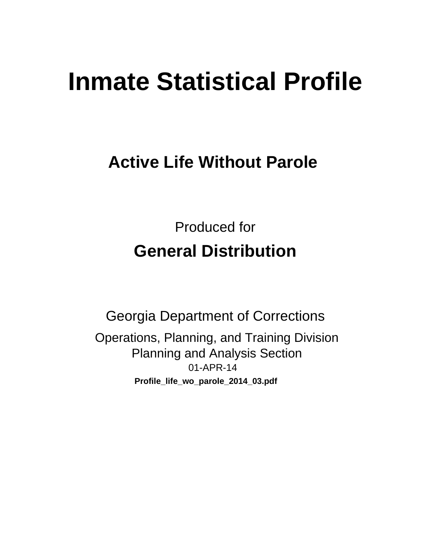# **Inmate Statistical Profile**

## **Active Life Without Parole**

**Produced for General Distribution** 

**Georgia Department of Corrections** Operations, Planning, and Training Division **Planning and Analysis Section** 01-APR-14 Profile\_life\_wo\_parole\_2014\_03.pdf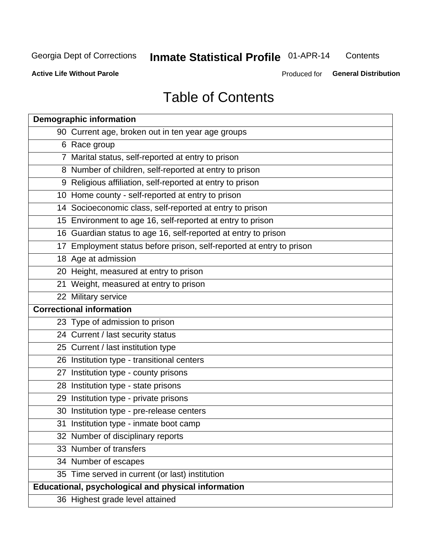## **Inmate Statistical Profile 01-APR-14**

Contents

**Active Life Without Parole** 

Produced for General Distribution

## **Table of Contents**

| <b>Demographic information</b>                                       |
|----------------------------------------------------------------------|
| 90 Current age, broken out in ten year age groups                    |
| 6 Race group                                                         |
| 7 Marital status, self-reported at entry to prison                   |
| 8 Number of children, self-reported at entry to prison               |
| 9 Religious affiliation, self-reported at entry to prison            |
| 10 Home county - self-reported at entry to prison                    |
| 14 Socioeconomic class, self-reported at entry to prison             |
| 15 Environment to age 16, self-reported at entry to prison           |
| 16 Guardian status to age 16, self-reported at entry to prison       |
| 17 Employment status before prison, self-reported at entry to prison |
| 18 Age at admission                                                  |
| 20 Height, measured at entry to prison                               |
| 21 Weight, measured at entry to prison                               |
| 22 Military service                                                  |
| <b>Correctional information</b>                                      |
| 23 Type of admission to prison                                       |
| 24 Current / last security status                                    |
| 25 Current / last institution type                                   |
| 26 Institution type - transitional centers                           |
| 27 Institution type - county prisons                                 |
| 28 Institution type - state prisons                                  |
| 29 Institution type - private prisons                                |
| 30 Institution type - pre-release centers                            |
| 31 Institution type - inmate boot camp                               |
| 32 Number of disciplinary reports                                    |
| 33 Number of transfers                                               |
| 34 Number of escapes                                                 |
| 35 Time served in current (or last) institution                      |
| <b>Educational, psychological and physical information</b>           |
| 36 Highest grade level attained                                      |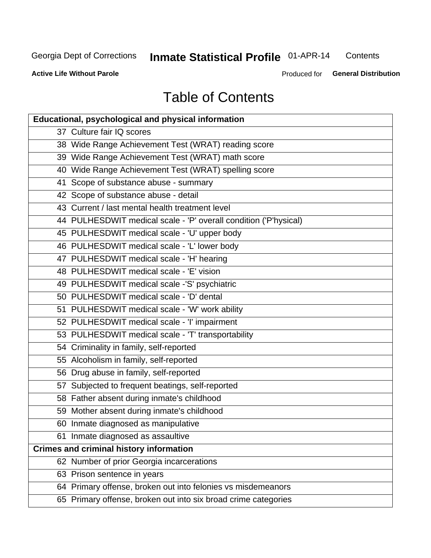## **Inmate Statistical Profile 01-APR-14**

Contents

**Active Life Without Parole** 

Produced for General Distribution

## **Table of Contents**

| <b>Educational, psychological and physical information</b>       |
|------------------------------------------------------------------|
| 37 Culture fair IQ scores                                        |
| 38 Wide Range Achievement Test (WRAT) reading score              |
| 39 Wide Range Achievement Test (WRAT) math score                 |
| 40 Wide Range Achievement Test (WRAT) spelling score             |
| 41 Scope of substance abuse - summary                            |
| 42 Scope of substance abuse - detail                             |
| 43 Current / last mental health treatment level                  |
| 44 PULHESDWIT medical scale - 'P' overall condition ('P'hysical) |
| 45 PULHESDWIT medical scale - 'U' upper body                     |
| 46 PULHESDWIT medical scale - 'L' lower body                     |
| 47 PULHESDWIT medical scale - 'H' hearing                        |
| 48 PULHESDWIT medical scale - 'E' vision                         |
| 49 PULHESDWIT medical scale -'S' psychiatric                     |
| 50 PULHESDWIT medical scale - 'D' dental                         |
| 51 PULHESDWIT medical scale - 'W' work ability                   |
| 52 PULHESDWIT medical scale - 'I' impairment                     |
| 53 PULHESDWIT medical scale - 'T' transportability               |
| 54 Criminality in family, self-reported                          |
| 55 Alcoholism in family, self-reported                           |
| 56 Drug abuse in family, self-reported                           |
| 57 Subjected to frequent beatings, self-reported                 |
| 58 Father absent during inmate's childhood                       |
| 59 Mother absent during inmate's childhood                       |
| 60 Inmate diagnosed as manipulative                              |
| 61 Inmate diagnosed as assaultive                                |
| <b>Crimes and criminal history information</b>                   |
| 62 Number of prior Georgia incarcerations                        |
| 63 Prison sentence in years                                      |
| 64 Primary offense, broken out into felonies vs misdemeanors     |
| 65 Primary offense, broken out into six broad crime categories   |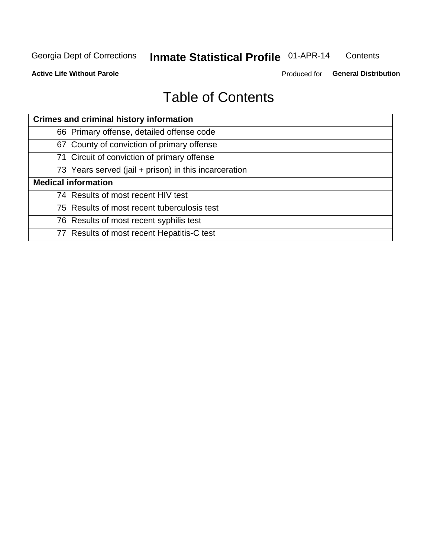#### **Inmate Statistical Profile 01-APR-14** Contents

**Active Life Without Parole** 

Produced for General Distribution

## **Table of Contents**

| <b>Crimes and criminal history information</b>        |
|-------------------------------------------------------|
| 66 Primary offense, detailed offense code             |
| 67 County of conviction of primary offense            |
| 71 Circuit of conviction of primary offense           |
| 73 Years served (jail + prison) in this incarceration |
| <b>Medical information</b>                            |
| 74 Results of most recent HIV test                    |
| 75 Results of most recent tuberculosis test           |
| 76 Results of most recent syphilis test               |
| 77 Results of most recent Hepatitis-C test            |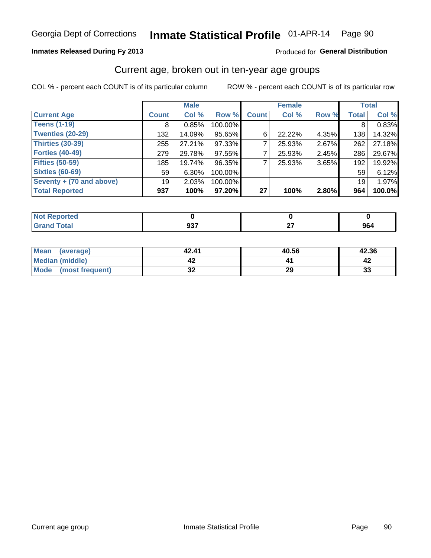#### Inmate Statistical Profile 01-APR-14 Page 90

#### **Inmates Released During Fy 2013**

#### Produced for General Distribution

#### Current age, broken out in ten-year age groups

COL % - percent each COUNT is of its particular column

|                          |              | <b>Male</b> |         |              | <b>Female</b> |       |              | <b>Total</b> |
|--------------------------|--------------|-------------|---------|--------------|---------------|-------|--------------|--------------|
| <b>Current Age</b>       | <b>Count</b> | Col %       | Row %   | <b>Count</b> | Col %         | Row % | <b>Total</b> | Col %        |
| <b>Teens (1-19)</b>      | 8            | 0.85%       | 100.00% |              |               |       | 8            | 0.83%        |
| <b>Twenties (20-29)</b>  | 132          | 14.09%      | 95.65%  | 6            | 22.22%        | 4.35% | 138          | 14.32%       |
| Thirties (30-39)         | 255          | 27.21%      | 97.33%  |              | 25.93%        | 2.67% | 262          | 27.18%       |
| <b>Forties (40-49)</b>   | 279          | 29.78%      | 97.55%  |              | 25.93%        | 2.45% | 286          | 29.67%       |
| <b>Fifties (50-59)</b>   | 185          | 19.74%      | 96.35%  |              | 25.93%        | 3.65% | 192          | 19.92%       |
| <b>Sixties (60-69)</b>   | 59           | $6.30\%$    | 100.00% |              |               |       | 59           | 6.12%        |
| Seventy + (70 and above) | 19           | 2.03%       | 100.00% |              |               |       | 19           | 1.97%        |
| <b>Total Reported</b>    | 937          | 100%        | 97.20%  | 27           | 100%          | 2.80% | 964          | 100.0%       |

| _____ | 027<br>JJ.<br>$ -$ | _ | 964 |
|-------|--------------------|---|-----|

| Mean<br>(average)      | 42.41    | 40.56 | 42.36 |
|------------------------|----------|-------|-------|
| <b>Median (middle)</b> |          |       |       |
| Mode (most frequent)   | n,<br>JZ | 29    | 33    |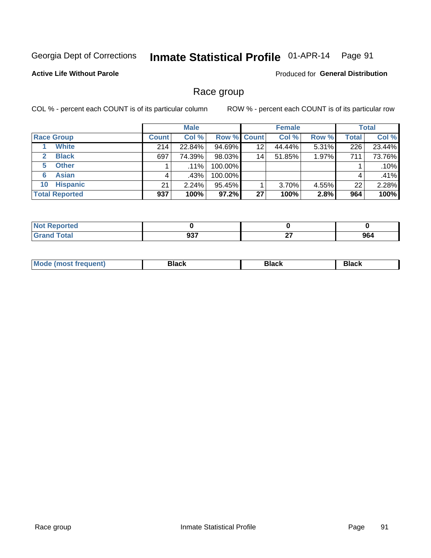#### Inmate Statistical Profile 01-APR-14 Page 91

#### **Active Life Without Parole**

Produced for General Distribution

#### Race group

COL % - percent each COUNT is of its particular column

|                              |              | <b>Male</b> |          |                    | <b>Female</b> |       |              | <b>Total</b> |
|------------------------------|--------------|-------------|----------|--------------------|---------------|-------|--------------|--------------|
| <b>Race Group</b>            | <b>Count</b> | Col %       |          | <b>Row % Count</b> | Col %         | Row % | <b>Total</b> | Col %        |
| <b>White</b>                 | 214          | 22.84%      | 94.69%   | 12                 | 44.44%        | 5.31% | 226          | 23.44%       |
| <b>Black</b><br>$\mathbf{2}$ | 697          | 74.39%      | 98.03%   | 14                 | 51.85%        | 1.97% | 711          | 73.76%       |
| <b>Other</b><br>5.           |              | $.11\%$     | 100.00%  |                    |               |       |              | .10%         |
| <b>Asian</b><br>6            | 4            | .43%        | 100.00%  |                    |               |       | 4            | .41%         |
| <b>Hispanic</b><br>10        | 21           | 2.24%       | 95.45%   |                    | 3.70%         | 4.55% | 22           | 2.28%        |
| <b>Total Reported</b>        | 937          | 100%        | $97.2\%$ | 27                 | 100%          | 2.8%  | 964          | 100%         |

| .<br>тео |                   |          |     |
|----------|-------------------|----------|-----|
|          | ົາ<br><b>ນວ</b> າ | ~-<br>-- | 964 |

| M | - - - | Piavn |
|---|-------|-------|
|   |       |       |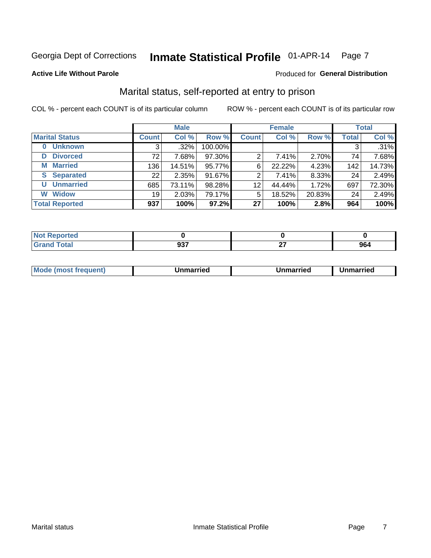#### Inmate Statistical Profile 01-APR-14 Page 7

#### **Active Life Without Parole**

#### Produced for General Distribution

### Marital status, self-reported at entry to prison

COL % - percent each COUNT is of its particular column

|                            |              | <b>Male</b> |         |                 | <b>Female</b> |        |              | <b>Total</b> |
|----------------------------|--------------|-------------|---------|-----------------|---------------|--------|--------------|--------------|
| <b>Marital Status</b>      | <b>Count</b> | Col %       | Row %   | <b>Count</b>    | Col %         | Row %  | <b>Total</b> | Col %        |
| <b>Unknown</b><br>$\bf{0}$ |              | $.32\%$     | 100.00% |                 |               |        | 3            | .31%         |
| <b>Divorced</b><br>D       | 72           | 7.68%       | 97.30%  | 2               | 7.41%         | 2.70%  | 74           | 7.68%        |
| <b>Married</b><br>М        | 136          | 14.51%      | 95.77%  | 6               | 22.22%        | 4.23%  | 142          | 14.73%       |
| <b>Separated</b><br>S.     | 22           | 2.35%       | 91.67%  | 2               | 7.41%         | 8.33%  | 24           | 2.49%        |
| <b>Unmarried</b><br>U      | 685          | 73.11%      | 98.28%  | 12              | 44.44%        | 1.72%  | 697          | 72.30%       |
| <b>Widow</b><br>W          | 19           | 2.03%       | 79.17%  | 5               | 18.52%        | 20.83% | 24           | 2.49%        |
| <b>Total Reported</b>      | 937          | 100%        | 97.2%   | 27 <sup>1</sup> | 100%          | 2.8%   | 964          | 100%         |

| <b>Not Reported</b><br>. <b>.</b> |            |           |            |
|-----------------------------------|------------|-----------|------------|
| <b>Total</b>                      | 027<br>JJ. | ~-<br>. . | ne.<br>ฮบฯ |

|--|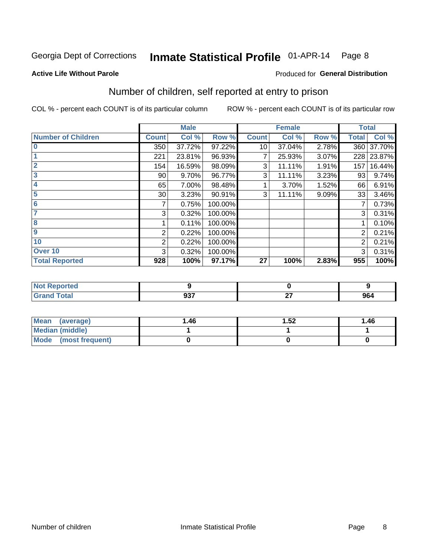#### Inmate Statistical Profile 01-APR-14 Page 8

#### **Active Life Without Parole**

#### Produced for General Distribution

### Number of children, self reported at entry to prison

COL % - percent each COUNT is of its particular column

|                           |                 | <b>Male</b> |         |              | <b>Female</b> |       | <b>Total</b> |        |
|---------------------------|-----------------|-------------|---------|--------------|---------------|-------|--------------|--------|
| <b>Number of Children</b> | <b>Count</b>    | Col %       | Row %   | <b>Count</b> | Col %         | Row % | <b>Total</b> | Col %  |
| $\bf{0}$                  | 350             | 37.72%      | 97.22%  | 10           | 37.04%        | 2.78% | 360          | 37.70% |
|                           | 221             | 23.81%      | 96.93%  | 7            | 25.93%        | 3.07% | 228          | 23.87% |
| $\overline{2}$            | 154             | 16.59%      | 98.09%  | 3            | 11.11%        | 1.91% | 157          | 16.44% |
| 3                         | 90              | 9.70%       | 96.77%  | 3            | 11.11%        | 3.23% | 93           | 9.74%  |
| 4                         | 65              | 7.00%       | 98.48%  |              | 3.70%         | 1.52% | 66           | 6.91%  |
| 5                         | 30 <sup>1</sup> | 3.23%       | 90.91%  | 3            | 11.11%        | 9.09% | 33           | 3.46%  |
| 6                         | 7               | 0.75%       | 100.00% |              |               |       | 7            | 0.73%  |
| 7                         | 3               | 0.32%       | 100.00% |              |               |       | 3            | 0.31%  |
| 8                         |                 | 0.11%       | 100.00% |              |               |       |              | 0.10%  |
| $\boldsymbol{9}$          | 2               | 0.22%       | 100.00% |              |               |       | 2            | 0.21%  |
| 10                        | 2               | 0.22%       | 100.00% |              |               |       | 2            | 0.21%  |
| Over 10                   | 3               | 0.32%       | 100.00% |              |               |       | 3            | 0.31%  |
| <b>Total Reported</b>     | 928             | 100%        | 97.17%  | 27           | 100%          | 2.83% | 955          | 100%   |

| тео    |        |               |     |
|--------|--------|---------------|-----|
| $\sim$ | $\sim$ | $-$<br>$\sim$ | 964 |

| <b>Mean</b><br>(average) | 1.46 | 1.52 | 1.46 |
|--------------------------|------|------|------|
| <b>Median (middle)</b>   |      |      |      |
| Mode (most frequent)     |      |      |      |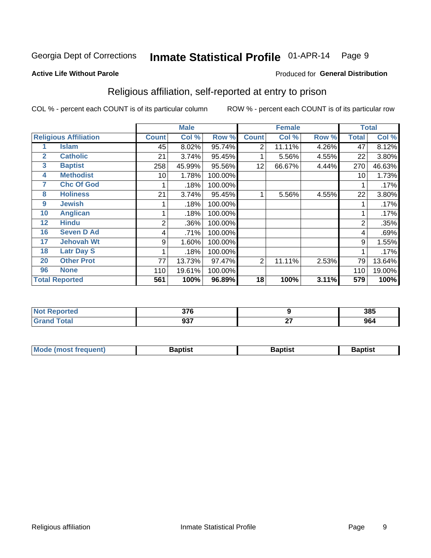#### Inmate Statistical Profile 01-APR-14 Page 9

Produced for General Distribution

#### **Active Life Without Parole**

#### Religious affiliation, self-reported at entry to prison

COL % - percent each COUNT is of its particular column

|              |                              |                | <b>Male</b> |         |                | <b>Female</b> |       |       | <b>Total</b> |
|--------------|------------------------------|----------------|-------------|---------|----------------|---------------|-------|-------|--------------|
|              | <b>Religious Affiliation</b> | <b>Count</b>   | Col %       | Row %   | <b>Count</b>   | Col %         | Row % | Total | Col %        |
|              | Islam                        | 45             | 8.02%       | 95.74%  | $\overline{2}$ | 11.11%        | 4.26% | 47    | 8.12%        |
| $\mathbf{2}$ | <b>Catholic</b>              | 21             | 3.74%       | 95.45%  |                | 5.56%         | 4.55% | 22    | 3.80%        |
| 3            | <b>Baptist</b>               | 258            | 45.99%      | 95.56%  | 12             | 66.67%        | 4.44% | 270   | 46.63%       |
| 4            | <b>Methodist</b>             | 10             | 1.78%       | 100.00% |                |               |       | 10    | 1.73%        |
| 7            | <b>Chc Of God</b>            |                | .18%        | 100.00% |                |               |       |       | .17%         |
| 8            | <b>Holiness</b>              | 21             | 3.74%       | 95.45%  |                | 5.56%         | 4.55% | 22    | 3.80%        |
| 9            | <b>Jewish</b>                |                | .18%        | 100.00% |                |               |       |       | .17%         |
| 10           | <b>Anglican</b>              |                | .18%        | 100.00% |                |               |       |       | .17%         |
| 12           | <b>Hindu</b>                 | $\overline{2}$ | .36%        | 100.00% |                |               |       | 2     | .35%         |
| 16           | <b>Seven D Ad</b>            | 4              | .71%        | 100.00% |                |               |       | 4     | .69%         |
| 17           | <b>Jehovah Wt</b>            | 9              | 1.60%       | 100.00% |                |               |       | 9     | 1.55%        |
| 18           | <b>Latr Day S</b>            |                | .18%        | 100.00% |                |               |       |       | .17%         |
| 20           | <b>Other Prot</b>            | 77             | 13.73%      | 97.47%  | 2              | 11.11%        | 2.53% | 79    | 13.64%       |
| 96           | <b>None</b>                  | 110            | 19.61%      | 100.00% |                |               |       | 110   | 19.00%       |
|              | <b>Total Reported</b>        | 561            | 100%        | 96.89%  | 18             | 100%          | 3.11% | 579   | 100%         |

| ortea<br>. nepr<br>$\sim$ | 27c<br>, I V |              | 385 |
|---------------------------|--------------|--------------|-----|
| المفماد                   | 027<br>99 I  | $\sim$<br>-- | 964 |

| <b>Mode (most frequent)</b><br>Baptist | Baptist | 3aptist |
|----------------------------------------|---------|---------|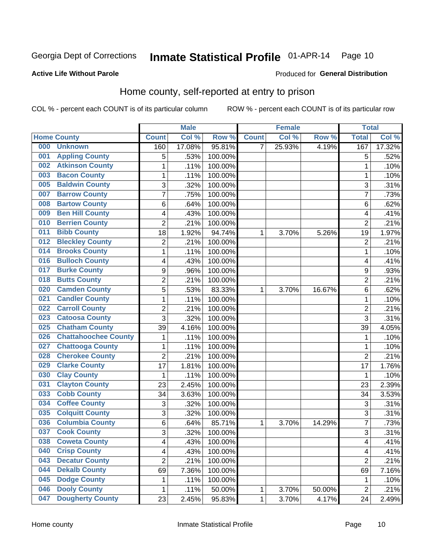#### Inmate Statistical Profile 01-APR-14 Page 10

#### **Active Life Without Parole**

#### **Produced for General Distribution**

### Home county, self-reported at entry to prison

COL % - percent each COUNT is of its particular column

|     |                             |                | <b>Male</b> |         |                | <b>Female</b> |        | <b>Total</b>            |        |
|-----|-----------------------------|----------------|-------------|---------|----------------|---------------|--------|-------------------------|--------|
|     | <b>Home County</b>          | <b>Count</b>   | Col %       | Row %   | <b>Count</b>   | Col %         | Row %  | <b>Total</b>            | Col %  |
| 000 | <b>Unknown</b>              | 160            | 17.08%      | 95.81%  | $\overline{7}$ | 25.93%        | 4.19%  | 167                     | 17.32% |
| 001 | <b>Appling County</b>       | 5              | .53%        | 100.00% |                |               |        | 5                       | .52%   |
| 002 | <b>Atkinson County</b>      | 1              | .11%        | 100.00% |                |               |        | 1                       | .10%   |
| 003 | <b>Bacon County</b>         | 1              | .11%        | 100.00% |                |               |        | 1                       | .10%   |
| 005 | <b>Baldwin County</b>       | 3              | .32%        | 100.00% |                |               |        | 3                       | .31%   |
| 007 | <b>Barrow County</b>        | 7              | .75%        | 100.00% |                |               |        | 7                       | .73%   |
| 008 | <b>Bartow County</b>        | 6              | .64%        | 100.00% |                |               |        | 6                       | .62%   |
| 009 | <b>Ben Hill County</b>      | 4              | .43%        | 100.00% |                |               |        | 4                       | .41%   |
| 010 | <b>Berrien County</b>       | $\overline{2}$ | .21%        | 100.00% |                |               |        | $\overline{2}$          | .21%   |
| 011 | <b>Bibb County</b>          | 18             | 1.92%       | 94.74%  | 1              | 3.70%         | 5.26%  | 19                      | 1.97%  |
| 012 | <b>Bleckley County</b>      | 2              | .21%        | 100.00% |                |               |        | $\overline{2}$          | .21%   |
| 014 | <b>Brooks County</b>        | 1              | .11%        | 100.00% |                |               |        | 1                       | .10%   |
| 016 | <b>Bulloch County</b>       | 4              | .43%        | 100.00% |                |               |        | 4                       | .41%   |
| 017 | <b>Burke County</b>         | 9              | .96%        | 100.00% |                |               |        | 9                       | .93%   |
| 018 | <b>Butts County</b>         | $\overline{2}$ | .21%        | 100.00% |                |               |        | $\overline{2}$          | .21%   |
| 020 | <b>Camden County</b>        | 5              | .53%        | 83.33%  | 1              | 3.70%         | 16.67% | 6                       | .62%   |
| 021 | <b>Candler County</b>       | 1              | .11%        | 100.00% |                |               |        | 1                       | .10%   |
| 022 | <b>Carroll County</b>       | 2              | .21%        | 100.00% |                |               |        | $\overline{2}$          | .21%   |
| 023 | <b>Catoosa County</b>       | $\overline{3}$ | .32%        | 100.00% |                |               |        | 3                       | .31%   |
| 025 | <b>Chatham County</b>       | 39             | 4.16%       | 100.00% |                |               |        | 39                      | 4.05%  |
| 026 | <b>Chattahoochee County</b> | 1              | .11%        | 100.00% |                |               |        | 1                       | .10%   |
| 027 | <b>Chattooga County</b>     | 1              | .11%        | 100.00% |                |               |        | 1                       | .10%   |
| 028 | <b>Cherokee County</b>      | $\overline{2}$ | .21%        | 100.00% |                |               |        | $\overline{2}$          | .21%   |
| 029 | <b>Clarke County</b>        | 17             | 1.81%       | 100.00% |                |               |        | 17                      | 1.76%  |
| 030 | <b>Clay County</b>          | 1              | .11%        | 100.00% |                |               |        | 1                       | .10%   |
| 031 | <b>Clayton County</b>       | 23             | 2.45%       | 100.00% |                |               |        | 23                      | 2.39%  |
| 033 | <b>Cobb County</b>          | 34             | 3.63%       | 100.00% |                |               |        | 34                      | 3.53%  |
| 034 | <b>Coffee County</b>        | 3              | .32%        | 100.00% |                |               |        | 3                       | .31%   |
| 035 | <b>Colquitt County</b>      | 3              | .32%        | 100.00% |                |               |        | 3                       | .31%   |
| 036 | <b>Columbia County</b>      | 6              | .64%        | 85.71%  | 1              | 3.70%         | 14.29% | 7                       | .73%   |
| 037 | <b>Cook County</b>          | $\overline{3}$ | .32%        | 100.00% |                |               |        | 3                       | .31%   |
| 038 | <b>Coweta County</b>        | 4              | .43%        | 100.00% |                |               |        | $\overline{\mathbf{4}}$ | .41%   |
| 040 | <b>Crisp County</b>         | 4              | .43%        | 100.00% |                |               |        | 4                       | .41%   |
| 043 | <b>Decatur County</b>       | $\overline{2}$ | .21%        | 100.00% |                |               |        | $\overline{2}$          | .21%   |
| 044 | <b>Dekalb County</b>        | 69             | 7.36%       | 100.00% |                |               |        | 69                      | 7.16%  |
| 045 | <b>Dodge County</b>         | 1              | .11%        | 100.00% |                |               |        | 1                       | .10%   |
| 046 | <b>Dooly County</b>         | 1              | .11%        | 50.00%  | 1              | 3.70%         | 50.00% | $\overline{2}$          | .21%   |
| 047 | <b>Dougherty County</b>     | 23             | 2.45%       | 95.83%  | 1              | 3.70%         | 4.17%  | 24                      | 2.49%  |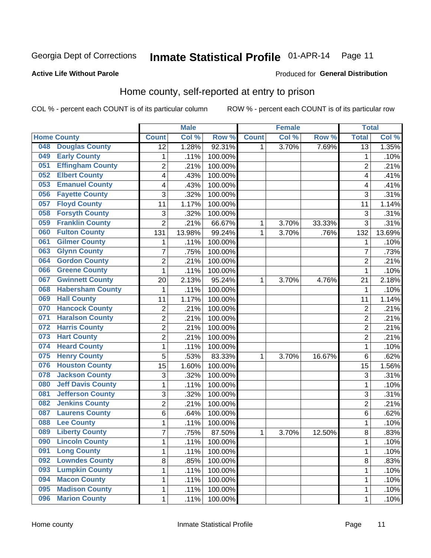## Inmate Statistical Profile 01-APR-14 Page 11

#### **Active Life Without Parole**

#### **Produced for General Distribution**

### Home county, self-reported at entry to prison

COL % - percent each COUNT is of its particular column

|     |                          |                | <b>Male</b> |         |              | <b>Female</b> |        | <b>Total</b>    |                    |
|-----|--------------------------|----------------|-------------|---------|--------------|---------------|--------|-----------------|--------------------|
|     | <b>Home County</b>       | <b>Count</b>   | Col %       | Row %   | <b>Count</b> | Col %         | Row %  | <b>Total</b>    | Col %              |
| 048 | <b>Douglas County</b>    | 12             | 1.28%       | 92.31%  | 1            | 3.70%         | 7.69%  | $\overline{13}$ | 1.35%              |
| 049 | <b>Early County</b>      | 1              | .11%        | 100.00% |              |               |        | 1               | .10%               |
| 051 | <b>Effingham County</b>  | $\overline{2}$ | .21%        | 100.00% |              |               |        | $\overline{2}$  | .21%               |
| 052 | <b>Elbert County</b>     | 4              | .43%        | 100.00% |              |               |        | 4               | .41%               |
| 053 | <b>Emanuel County</b>    | 4              | .43%        | 100.00% |              |               |        | 4               | .41%               |
| 056 | <b>Fayette County</b>    | 3              | .32%        | 100.00% |              |               |        | 3               | .31%               |
| 057 | <b>Floyd County</b>      | 11             | 1.17%       | 100.00% |              |               |        | 11              | 1.14%              |
| 058 | <b>Forsyth County</b>    | 3              | .32%        | 100.00% |              |               |        | 3               | .31%               |
| 059 | <b>Franklin County</b>   | $\overline{2}$ | .21%        | 66.67%  | 1            | 3.70%         | 33.33% | 3               | .31%               |
| 060 | <b>Fulton County</b>     | 131            | 13.98%      | 99.24%  | 1            | 3.70%         | .76%   | 132             | 13.69%             |
| 061 | <b>Gilmer County</b>     | 1              | .11%        | 100.00% |              |               |        | 1               | .10%               |
| 063 | <b>Glynn County</b>      | $\overline{7}$ | .75%        | 100.00% |              |               |        | 7               | .73%               |
| 064 | <b>Gordon County</b>     | $\overline{2}$ | .21%        | 100.00% |              |               |        | $\overline{2}$  | .21%               |
| 066 | <b>Greene County</b>     | 1              | .11%        | 100.00% |              |               |        | 1               | .10%               |
| 067 | <b>Gwinnett County</b>   | 20             | 2.13%       | 95.24%  | 1            | 3.70%         | 4.76%  | 21              | 2.18%              |
| 068 | <b>Habersham County</b>  | 1              | .11%        | 100.00% |              |               |        | 1               | .10%               |
| 069 | <b>Hall County</b>       | 11             | 1.17%       | 100.00% |              |               |        | 11              | 1.14%              |
| 070 | <b>Hancock County</b>    | $\overline{c}$ | .21%        | 100.00% |              |               |        | $\overline{2}$  | .21%               |
| 071 | <b>Haralson County</b>   | $\overline{2}$ | .21%        | 100.00% |              |               |        | $\overline{2}$  | $\overline{.21}\%$ |
| 072 | <b>Harris County</b>     | $\overline{2}$ | .21%        | 100.00% |              |               |        | $\overline{2}$  | .21%               |
| 073 | <b>Hart County</b>       | $\overline{2}$ | .21%        | 100.00% |              |               |        | $\overline{2}$  | .21%               |
| 074 | <b>Heard County</b>      | $\mathbf 1$    | .11%        | 100.00% |              |               |        | 1               | .10%               |
| 075 | <b>Henry County</b>      | 5              | .53%        | 83.33%  | 1            | 3.70%         | 16.67% | 6               | .62%               |
| 076 | <b>Houston County</b>    | 15             | 1.60%       | 100.00% |              |               |        | 15              | 1.56%              |
| 078 | <b>Jackson County</b>    | 3              | .32%        | 100.00% |              |               |        | 3               | .31%               |
| 080 | <b>Jeff Davis County</b> | $\mathbf 1$    | .11%        | 100.00% |              |               |        | 1               | .10%               |
| 081 | <b>Jefferson County</b>  | 3              | .32%        | 100.00% |              |               |        | 3               | .31%               |
| 082 | <b>Jenkins County</b>    | $\overline{2}$ | .21%        | 100.00% |              |               |        | $\overline{2}$  | .21%               |
| 087 | <b>Laurens County</b>    | 6              | .64%        | 100.00% |              |               |        | 6               | .62%               |
| 088 | <b>Lee County</b>        | 1              | .11%        | 100.00% |              |               |        | 1               | .10%               |
| 089 | <b>Liberty County</b>    | $\overline{7}$ | .75%        | 87.50%  | 1            | 3.70%         | 12.50% | 8               | .83%               |
| 090 | <b>Lincoln County</b>    | 1              | .11%        | 100.00% |              |               |        | 1               | .10%               |
| 091 | <b>Long County</b>       | $\mathbf{1}$   | .11%        | 100.00% |              |               |        | 1               | .10%               |
| 092 | <b>Lowndes County</b>    | 8              | .85%        | 100.00% |              |               |        | 8               | .83%               |
| 093 | <b>Lumpkin County</b>    | 1              | .11%        | 100.00% |              |               |        | 1               | .10%               |
| 094 | <b>Macon County</b>      | 1              | .11%        | 100.00% |              |               |        | 1               | .10%               |
| 095 | <b>Madison County</b>    | 1              | .11%        | 100.00% |              |               |        | 1               | .10%               |
| 096 | <b>Marion County</b>     | 1              | .11%        | 100.00% |              |               |        | 1               | .10%               |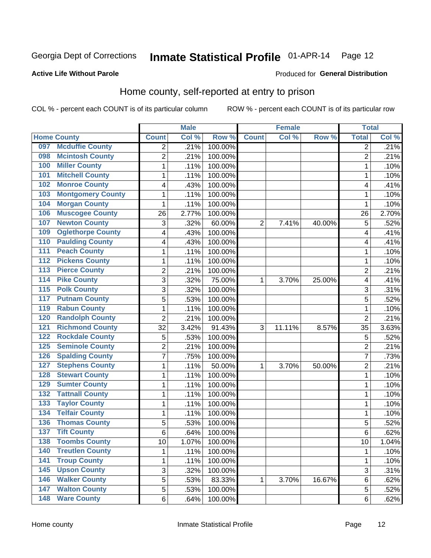## Inmate Statistical Profile 01-APR-14 Page 12

#### **Active Life Without Parole**

#### Produced for General Distribution

#### Home county, self-reported at entry to prison

COL % - percent each COUNT is of its particular column

|                  |                          |                          | <b>Male</b> |         |              | <b>Female</b> |        | <b>Total</b>   |       |
|------------------|--------------------------|--------------------------|-------------|---------|--------------|---------------|--------|----------------|-------|
|                  | <b>Home County</b>       | <b>Count</b>             | Col %       | Row %   | <b>Count</b> | Col %         | Row %  | <b>Total</b>   | Col % |
| 097              | <b>Mcduffie County</b>   | $\overline{2}$           | .21%        | 100.00% |              |               |        | 2              | .21%  |
| 098              | <b>Mcintosh County</b>   | $\overline{2}$           | .21%        | 100.00% |              |               |        | $\overline{2}$ | .21%  |
| 100              | <b>Miller County</b>     | 1                        | .11%        | 100.00% |              |               |        | 1              | .10%  |
| 101              | <b>Mitchell County</b>   | $\mathbf{1}$             | .11%        | 100.00% |              |               |        | 1              | .10%  |
| 102              | <b>Monroe County</b>     | $\overline{\mathbf{4}}$  | .43%        | 100.00% |              |               |        | 4              | .41%  |
| 103              | <b>Montgomery County</b> | $\mathbf{1}$             | .11%        | 100.00% |              |               |        | 1              | .10%  |
| 104              | <b>Morgan County</b>     | $\mathbf{1}$             | .11%        | 100.00% |              |               |        | 1              | .10%  |
| 106              | <b>Muscogee County</b>   | 26                       | 2.77%       | 100.00% |              |               |        | 26             | 2.70% |
| 107              | <b>Newton County</b>     | 3                        | .32%        | 60.00%  | 2            | 7.41%         | 40.00% | 5              | .52%  |
| 109              | <b>Oglethorpe County</b> | $\overline{\mathcal{A}}$ | .43%        | 100.00% |              |               |        | 4              | .41%  |
| 110              | <b>Paulding County</b>   | $\overline{\mathbf{4}}$  | .43%        | 100.00% |              |               |        | 4              | .41%  |
| 111              | <b>Peach County</b>      | $\mathbf{1}$             | .11%        | 100.00% |              |               |        | 1              | .10%  |
| 112              | <b>Pickens County</b>    | 1                        | .11%        | 100.00% |              |               |        | 1              | .10%  |
| $\overline{113}$ | <b>Pierce County</b>     | $\overline{2}$           | .21%        | 100.00% |              |               |        | $\overline{2}$ | .21%  |
| 114              | <b>Pike County</b>       | 3                        | .32%        | 75.00%  | 1            | 3.70%         | 25.00% | 4              | .41%  |
| 115              | <b>Polk County</b>       | 3                        | .32%        | 100.00% |              |               |        | 3              | .31%  |
| 117              | <b>Putnam County</b>     | 5                        | .53%        | 100.00% |              |               |        | 5              | .52%  |
| 119              | <b>Rabun County</b>      | $\mathbf{1}$             | .11%        | 100.00% |              |               |        | 1              | .10%  |
| 120              | <b>Randolph County</b>   | $\overline{2}$           | .21%        | 100.00% |              |               |        | $\overline{2}$ | .21%  |
| 121              | <b>Richmond County</b>   | 32                       | 3.42%       | 91.43%  | 3            | 11.11%        | 8.57%  | 35             | 3.63% |
| 122              | <b>Rockdale County</b>   | 5                        | .53%        | 100.00% |              |               |        | 5              | .52%  |
| 125              | <b>Seminole County</b>   | $\overline{2}$           | .21%        | 100.00% |              |               |        | 2              | .21%  |
| 126              | <b>Spalding County</b>   | $\overline{7}$           | .75%        | 100.00% |              |               |        | $\overline{7}$ | .73%  |
| 127              | <b>Stephens County</b>   | $\mathbf{1}$             | .11%        | 50.00%  | 1            | 3.70%         | 50.00% | $\overline{2}$ | .21%  |
| 128              | <b>Stewart County</b>    | $\mathbf{1}$             | .11%        | 100.00% |              |               |        | 1              | .10%  |
| 129              | <b>Sumter County</b>     | $\mathbf{1}$             | .11%        | 100.00% |              |               |        | 1              | .10%  |
| 132              | <b>Tattnall County</b>   | 1                        | .11%        | 100.00% |              |               |        | 1              | .10%  |
| 133              | <b>Taylor County</b>     | $\mathbf{1}$             | .11%        | 100.00% |              |               |        | 1              | .10%  |
| 134              | <b>Telfair County</b>    | 1                        | .11%        | 100.00% |              |               |        | 1              | .10%  |
| 136              | <b>Thomas County</b>     | $\sqrt{5}$               | .53%        | 100.00% |              |               |        | 5              | .52%  |
| 137              | <b>Tift County</b>       | 6                        | .64%        | 100.00% |              |               |        | 6              | .62%  |
| 138              | <b>Toombs County</b>     | 10                       | 1.07%       | 100.00% |              |               |        | 10             | 1.04% |
| 140              | <b>Treutlen County</b>   | $\mathbf{1}$             | .11%        | 100.00% |              |               |        | $\mathbf{1}$   | .10%  |
| $\overline{141}$ | <b>Troup County</b>      | $\mathbf 1$              | .11%        | 100.00% |              |               |        | $\mathbf 1$    | .10%  |
| 145              | <b>Upson County</b>      | $\mathfrak{B}$           | .32%        | 100.00% |              |               |        | 3              | .31%  |
| 146              | <b>Walker County</b>     | 5                        | .53%        | 83.33%  | 1            | 3.70%         | 16.67% | 6              | .62%  |
| 147              | <b>Walton County</b>     | 5                        | .53%        | 100.00% |              |               |        | 5              | .52%  |
| 148              | <b>Ware County</b>       | 6                        | .64%        | 100.00% |              |               |        | 6              | .62%  |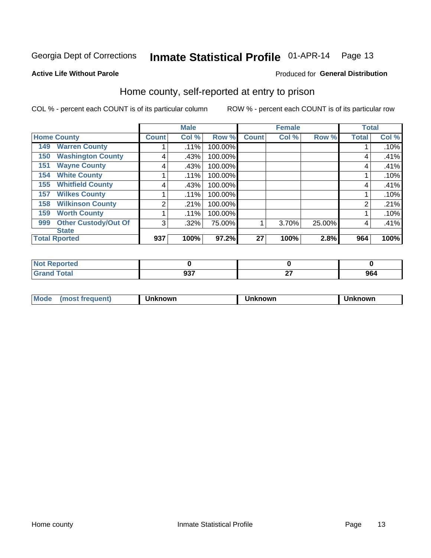## Inmate Statistical Profile 01-APR-14 Page 13

Produced for General Distribution

#### **Active Life Without Parole**

#### Home county, self-reported at entry to prison

COL % - percent each COUNT is of its particular column

|                                    |              | <b>Male</b> |         |              | <b>Female</b> |        | <b>Total</b> |       |
|------------------------------------|--------------|-------------|---------|--------------|---------------|--------|--------------|-------|
| <b>Home County</b>                 | <b>Count</b> | Col %       | Row %   | <b>Count</b> | Col %         | Row %  | <b>Total</b> | Col % |
| <b>Warren County</b><br>149        |              | .11%        | 100.00% |              |               |        |              | .10%  |
| <b>Washington County</b><br>150    | 4            | .43%        | 100.00% |              |               |        | 4            | .41%  |
| <b>Wayne County</b><br>151         | 4            | .43%        | 100.00% |              |               |        | 4            | .41%  |
| <b>White County</b><br>154         |              | $.11\%$     | 100.00% |              |               |        |              | .10%  |
| <b>Whitfield County</b><br>155     | 4            | .43%        | 100.00% |              |               |        | 4            | .41%  |
| <b>Wilkes County</b><br>157        |              | $.11\%$     | 100.00% |              |               |        |              | .10%  |
| <b>Wilkinson County</b><br>158     | 2            | .21%        | 100.00% |              |               |        | 2            | .21%  |
| <b>Worth County</b><br>159         |              | .11%        | 100.00% |              |               |        |              | .10%  |
| <b>Other Custody/Out Of</b><br>999 | 3            | .32%        | 75.00%  |              | 3.70%         | 25.00% | 4            | .41%  |
| <b>State</b>                       |              |             |         |              |               |        |              |       |
| <b>Total Rported</b>               | 937          | 100%        | 97.2%   | 27           | 100%          | 2.8%   | 964          | 100%  |

| <b><i>Contractor Contractor</i></b><br>τeα |     |              |     |
|--------------------------------------------|-----|--------------|-----|
| <b>Total</b><br>$- \cdot$                  | 027 | $\sim$<br>-- | 964 |

| Mode<br><b>Tequent)</b><br>ns | nown | mown | เทown |
|-------------------------------|------|------|-------|
|                               |      |      |       |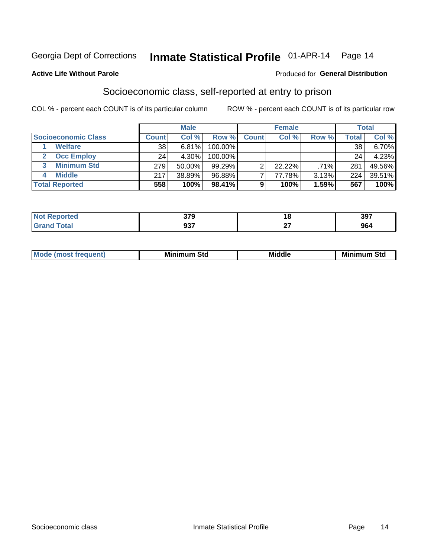### Inmate Statistical Profile 01-APR-14 Page 14

#### **Active Life Without Parole**

#### Produced for General Distribution

### Socioeconomic class, self-reported at entry to prison

COL % - percent each COUNT is of its particular column

|                       |              | <b>Male</b> |            |              | <b>Female</b> |       |       | <b>Total</b> |
|-----------------------|--------------|-------------|------------|--------------|---------------|-------|-------|--------------|
| Socioeconomic Class   | <b>Count</b> | Col %       | Row %      | <b>Count</b> | Col %         | Row % | Total | Col %        |
| <b>Welfare</b>        | 38           | 6.81%       | 100.00%    |              |               |       | 38    | $6.70\%$     |
| <b>Occ Employ</b>     | 24           | 4.30%       | $100.00\%$ |              |               |       | 24    | 4.23%        |
| <b>Minimum Std</b>    | 279          | 50.00%      | $99.29\%$  |              | $22.22\%$     | .71%  | 281   | 49.56%       |
| <b>Middle</b>         | 217          | 38.89%      | 96.88%     |              | 77.78%        | 3.13% | 224   | 39.51%       |
| <b>Total Reported</b> | 558          | 100%        | 98.41%     |              | 100%          | 1.59% | 567   | 100%         |

| 270<br>uıa  | 10<br>$\overline{\phantom{a}}$ | 397 |
|-------------|--------------------------------|-----|
| ົາລ<br>JJ 1 | $\sim$<br>--                   | 964 |

| ____ |
|------|
|------|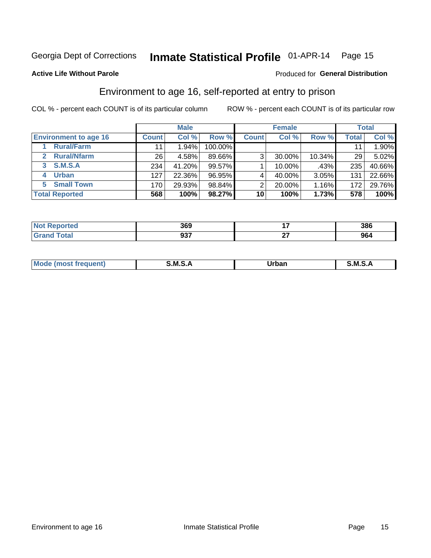### Inmate Statistical Profile 01-APR-14 Page 15

#### **Active Life Without Parole**

#### Produced for General Distribution

### Environment to age 16, self-reported at entry to prison

COL % - percent each COUNT is of its particular column

|                                    |                 | <b>Male</b> |         |              | <b>Female</b> |        |              | <b>Total</b> |
|------------------------------------|-----------------|-------------|---------|--------------|---------------|--------|--------------|--------------|
| <b>Environment to age 16</b>       | <b>Count</b>    | Col %       | Row %   | <b>Count</b> | Col %         | Row %  | <b>Total</b> | Col %        |
| <b>Rural/Farm</b>                  | 11              | 1.94%       | 100.00% |              |               |        |              | 1.90%        |
| <b>Rural/Nfarm</b><br>$\mathbf{2}$ | 26 <sub>1</sub> | 4.58%       | 89.66%  | 3            | 30.00%        | 10.34% | 29           | 5.02%        |
| 3 S.M.S.A                          | 234             | 41.20%      | 99.57%  |              | 10.00%        | .43%   | 235          | 40.66%       |
| <b>Urban</b><br>4                  | 127             | 22.36%      | 96.95%  |              | 40.00%        | 3.05%  | 131          | 22.66%       |
| 5 Small Town                       | 170             | 29.93%      | 98.84%  | っ            | 20.00%        | 1.16%  | 172          | 29.76%       |
| <b>Total Reported</b>              | 568             | 100%        | 98.27%  | 10           | 100%          | 1.73%  | 578          | 100%         |

| rted | sco<br>ახყ | . .<br>. .   | 386 |
|------|------------|--------------|-----|
|      | 027<br>JJ. | $\sim$<br>-- | 964 |

| $Mc$ | M | <b>Jrhan</b> | M.     |
|------|---|--------------|--------|
|      |   | _____        | ______ |
|      |   |              |        |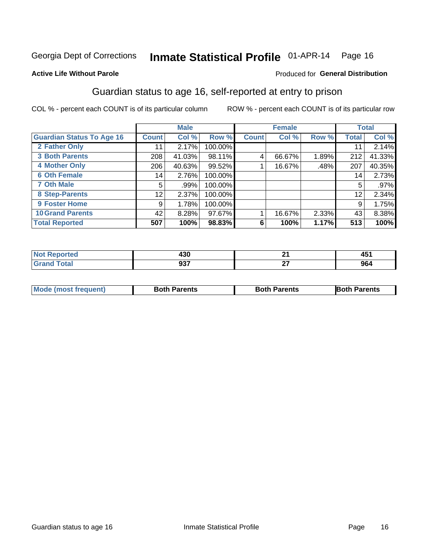### Inmate Statistical Profile 01-APR-14 Page 16

#### **Active Life Without Parole**

#### **Produced for General Distribution**

### Guardian status to age 16, self-reported at entry to prison

COL % - percent each COUNT is of its particular column

|                                  |              | <b>Male</b> |         |              | <b>Female</b> |       |              | <b>Total</b> |
|----------------------------------|--------------|-------------|---------|--------------|---------------|-------|--------------|--------------|
| <b>Guardian Status To Age 16</b> | <b>Count</b> | Col %       | Row %   | <b>Count</b> | Col %         | Row % | <b>Total</b> | Col %        |
| 2 Father Only                    | 11           | 2.17%       | 100.00% |              |               |       | 11           | 2.14%        |
| <b>3 Both Parents</b>            | 208          | 41.03%      | 98.11%  | 4            | 66.67%        | 1.89% | 212          | 41.33%       |
| <b>4 Mother Only</b>             | 206          | 40.63%      | 99.52%  |              | 16.67%        | .48%  | 207          | 40.35%       |
| <b>6 Oth Female</b>              | 14           | 2.76%       | 100.00% |              |               |       | 14           | 2.73%        |
| <b>7 Oth Male</b>                | 5            | .99%        | 100.00% |              |               |       | 5            | .97%         |
| 8 Step-Parents                   | 12           | 2.37%       | 100.00% |              |               |       | 12           | 2.34%        |
| <b>9 Foster Home</b>             | 9            | 1.78%       | 100.00% |              |               |       | 9            | 1.75%        |
| <b>10 Grand Parents</b>          | 42           | 8.28%       | 97.67%  |              | 16.67%        | 2.33% | 43           | 8.38%        |
| <b>Total Reported</b>            | 507          | 100%        | 98.83%  | 6            | 100%          | 1.17% | 513          | 100%         |

| rted  | 430        |    | <b>A54</b><br>ו שד |
|-------|------------|----|--------------------|
| Total | ^^7<br>JJI | ~- | 964                |

| <b>Mode (most frequent)</b> | <b>Both Parents</b> | <b>Both Parents</b> | <b>Both Parents</b> |
|-----------------------------|---------------------|---------------------|---------------------|
|                             |                     |                     |                     |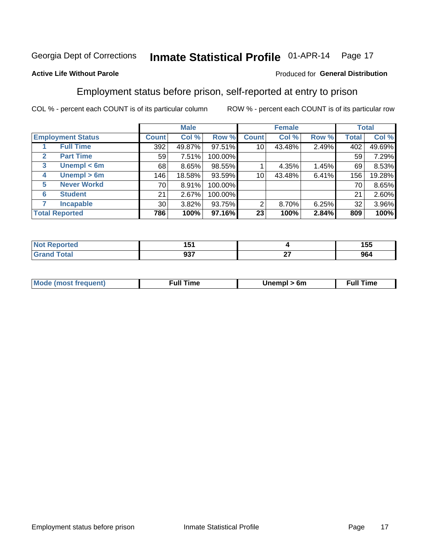#### Inmate Statistical Profile 01-APR-14 Page 17

#### **Active Life Without Parole**

#### Produced for General Distribution

### Employment status before prison, self-reported at entry to prison

COL % - percent each COUNT is of its particular column

|                                  |                    | <b>Male</b>     |        | <b>Female</b> |              |          | <b>Total</b> |       |        |
|----------------------------------|--------------------|-----------------|--------|---------------|--------------|----------|--------------|-------|--------|
| <b>Employment Status</b>         |                    | <b>Count</b>    | Col %  | Row %         | <b>Count</b> | Col %    | Row %        | Total | Col %  |
| <b>Full Time</b>                 |                    | 392             | 49.87% | 97.51%        | 10           | 43.48%   | 2.49%        | 402   | 49.69% |
| <b>Part Time</b><br>$\mathbf{2}$ |                    | 59              | 7.51%  | 100.00%       |              |          |              | 59    | 7.29%  |
| 3                                | Unempl $<$ 6m      | 68              | 8.65%  | 98.55%        |              | 4.35%    | 1.45%        | 69    | 8.53%  |
| 4                                | Unempl > 6m        | 146             | 18.58% | 93.59%        | 10           | 43.48%   | 6.41%        | 156   | 19.28% |
| 5                                | <b>Never Workd</b> | 70              | 8.91%  | 100.00%       |              |          |              | 70    | 8.65%  |
| <b>Student</b><br>6              |                    | 21              | 2.67%  | 100.00%       |              |          |              | 21    | 2.60%  |
| <b>Incapable</b><br>7            |                    | 30 <sup>1</sup> | 3.82%  | 93.75%        | 2            | $8.70\%$ | 6.25%        | 32    | 3.96%  |
| <b>Total Reported</b>            |                    | 786             | 100%   | 97.16%        | 23           | 100%     | 2.84%        | 809   | 100%   |

| тес | $\sim$<br>ו שו<br>$\sim$ $\sim$ $\sim$ $\sim$ $\sim$ $\sim$ |    | 155  |
|-----|-------------------------------------------------------------|----|------|
|     | <b>027</b>                                                  | ~- | 0C 1 |
|     | JJ 1                                                        | -- | .JOC |

| <b>Mode (most frequent)</b> | full "<br>the contract of the contract of the contract of the contract of the contract of the contract of the contract of | 6m | ïme<br>้นเ<br>the contract of the contract of the contract of the contract of the contract of the contract of the contract of |
|-----------------------------|---------------------------------------------------------------------------------------------------------------------------|----|-------------------------------------------------------------------------------------------------------------------------------|
|                             |                                                                                                                           |    |                                                                                                                               |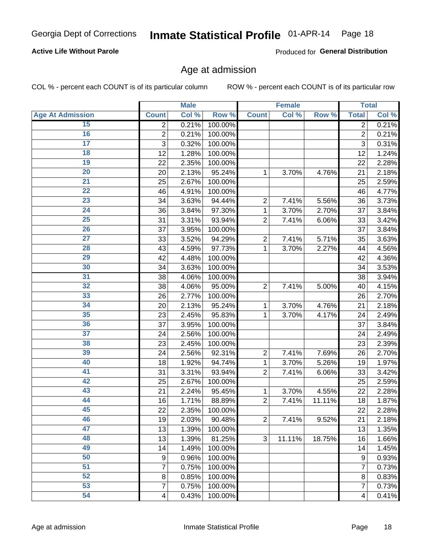#### Inmate Statistical Profile 01-APR-14 Page 18

#### **Active Life Without Parole**

Produced for General Distribution

#### Age at admission

COL % - percent each COUNT is of its particular column

|                         |                  | <b>Male</b> |         |                | <b>Female</b> |        |                | <b>Total</b> |
|-------------------------|------------------|-------------|---------|----------------|---------------|--------|----------------|--------------|
| <b>Age At Admission</b> | <b>Count</b>     | Col %       | Row %   | <b>Count</b>   | Col %         | Row %  | <b>Total</b>   | Col %        |
| 15                      | $\overline{2}$   | 0.21%       | 100.00% |                |               |        | $\overline{2}$ | 0.21%        |
| 16                      | $\mathbf 2$      | 0.21%       | 100.00% |                |               |        | $\overline{2}$ | 0.21%        |
| $\overline{17}$         | $\overline{3}$   | 0.32%       | 100.00% |                |               |        | 3              | 0.31%        |
| 18                      | 12               | 1.28%       | 100.00% |                |               |        | 12             | 1.24%        |
| 19                      | 22               | 2.35%       | 100.00% |                |               |        | 22             | 2.28%        |
| $\overline{20}$         | 20               | 2.13%       | 95.24%  | 1              | 3.70%         | 4.76%  | 21             | 2.18%        |
| 21                      | 25               | 2.67%       | 100.00% |                |               |        | 25             | 2.59%        |
| $\overline{22}$         | 46               | 4.91%       | 100.00% |                |               |        | 46             | 4.77%        |
| $\overline{23}$         | 34               | 3.63%       | 94.44%  | $\overline{2}$ | 7.41%         | 5.56%  | 36             | 3.73%        |
| $\overline{24}$         | 36               | 3.84%       | 97.30%  | 1              | 3.70%         | 2.70%  | 37             | 3.84%        |
| $\overline{25}$         | 31               | 3.31%       | 93.94%  | $\overline{2}$ | 7.41%         | 6.06%  | 33             | 3.42%        |
| 26                      | 37               | 3.95%       | 100.00% |                |               |        | 37             | 3.84%        |
| $\overline{27}$         | 33               | 3.52%       | 94.29%  | $\overline{2}$ | 7.41%         | 5.71%  | 35             | 3.63%        |
| 28                      | 43               | 4.59%       | 97.73%  | 1              | 3.70%         | 2.27%  | 44             | 4.56%        |
| 29                      | 42               | 4.48%       | 100.00% |                |               |        | 42             | 4.36%        |
| 30                      | 34               | 3.63%       | 100.00% |                |               |        | 34             | 3.53%        |
| 31                      | 38               | 4.06%       | 100.00% |                |               |        | 38             | 3.94%        |
| 32                      | 38               | 4.06%       | 95.00%  | $\overline{2}$ | 7.41%         | 5.00%  | 40             | 4.15%        |
| 33                      | 26               | 2.77%       | 100.00% |                |               |        | 26             | 2.70%        |
| $\overline{34}$         | 20               | 2.13%       | 95.24%  | 1              | 3.70%         | 4.76%  | 21             | 2.18%        |
| 35                      | 23               | 2.45%       | 95.83%  | 1              | 3.70%         | 4.17%  | 24             | 2.49%        |
| 36                      | 37               | 3.95%       | 100.00% |                |               |        | 37             | 3.84%        |
| $\overline{37}$         | 24               | 2.56%       | 100.00% |                |               |        | 24             | 2.49%        |
| 38                      | 23               | 2.45%       | 100.00% |                |               |        | 23             | 2.39%        |
| 39                      | 24               | 2.56%       | 92.31%  | $\overline{2}$ | 7.41%         | 7.69%  | 26             | 2.70%        |
| 40                      | 18               | 1.92%       | 94.74%  | 1              | 3.70%         | 5.26%  | 19             | 1.97%        |
| 41                      | 31               | 3.31%       | 93.94%  | $\overline{2}$ | 7.41%         | 6.06%  | 33             | 3.42%        |
| 42                      | 25               | 2.67%       | 100.00% |                |               |        | 25             | 2.59%        |
| 43                      | 21               | 2.24%       | 95.45%  | 1              | 3.70%         | 4.55%  | 22             | 2.28%        |
| 44                      | 16               | 1.71%       | 88.89%  | $\overline{2}$ | 7.41%         | 11.11% | 18             | 1.87%        |
| 45                      | 22               | 2.35%       | 100.00% |                |               |        | 22             | 2.28%        |
| 46                      | 19               | 2.03%       | 90.48%  | $\overline{2}$ | 7.41%         | 9.52%  | 21             | 2.18%        |
| 47                      | 13               | 1.39%       | 100.00% |                |               |        | 13             | 1.35%        |
| 48                      | 13               | 1.39%       | 81.25%  | 3              | 11.11%        | 18.75% | 16             | 1.66%        |
| 49                      | 14               | 1.49%       | 100.00% |                |               |        | 14             | 1.45%        |
| 50                      | $\boldsymbol{9}$ | 0.96%       | 100.00% |                |               |        | 9              | 0.93%        |
| $\overline{51}$         | $\overline{7}$   | 0.75%       | 100.00% |                |               |        | $\overline{7}$ | 0.73%        |
| $\overline{52}$         | 8                | 0.85%       | 100.00% |                |               |        | 8              | 0.83%        |
| 53                      | $\overline{7}$   | 0.75%       | 100.00% |                |               |        | 7              | 0.73%        |
| 54                      | $\overline{4}$   | 0.43%       | 100.00% |                |               |        | 4              | 0.41%        |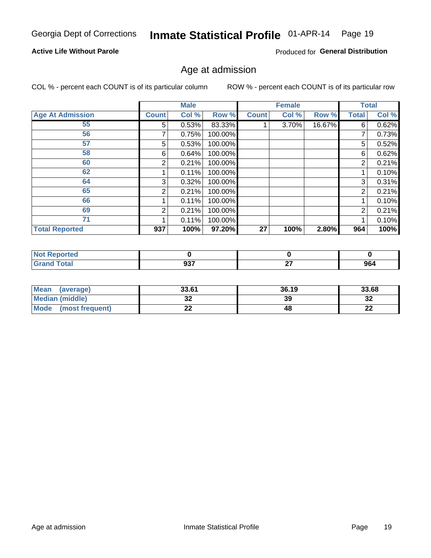## Inmate Statistical Profile 01-APR-14 Page 19

#### **Active Life Without Parole**

Produced for General Distribution

#### Age at admission

COL % - percent each COUNT is of its particular column

|                         |              | <b>Male</b> |         |              | <b>Female</b> |        |                | <b>Total</b> |
|-------------------------|--------------|-------------|---------|--------------|---------------|--------|----------------|--------------|
| <b>Age At Admission</b> | <b>Count</b> | Col %       | Row %   | <b>Count</b> | Col %         | Row %  | Total          | Col %        |
| 55                      | 5.           | 0.53%       | 83.33%  |              | 3.70%         | 16.67% | 6              | 0.62%        |
| 56                      | 7            | 0.75%       | 100.00% |              |               |        | 7              | 0.73%        |
| 57                      | 5            | 0.53%       | 100.00% |              |               |        | 5              | 0.52%        |
| 58                      | 6            | 0.64%       | 100.00% |              |               |        | 6              | 0.62%        |
| 60                      | 2            | 0.21%       | 100.00% |              |               |        | 2              | 0.21%        |
| 62                      |              | 0.11%       | 100.00% |              |               |        |                | 0.10%        |
| 64                      | 3            | 0.32%       | 100.00% |              |               |        | 3              | 0.31%        |
| 65                      | 2            | 0.21%       | 100.00% |              |               |        | $\overline{2}$ | 0.21%        |
| 66                      |              | 0.11%       | 100.00% |              |               |        |                | 0.10%        |
| 69                      | 2            | 0.21%       | 100.00% |              |               |        | 2              | 0.21%        |
| 71                      |              | 0.11%       | 100.00% |              |               |        |                | 0.10%        |
| <b>Total Reported</b>   | 937          | 100%        | 97.20%  | 27           | 100%          | 2.80%  | 964            | 100%         |

| eported |             |          |     |
|---------|-------------|----------|-----|
|         | 027<br>JJI. | ~-<br>-- | 964 |

| <b>Mean</b><br>(average)       | 33.61                 | 36.19 | 33.68    |
|--------------------------------|-----------------------|-------|----------|
| Median (middle)                | u                     | 39    | ົາ<br>∠ت |
| <b>Mode</b><br>(most frequent) | $\sim$<br><u>. . </u> | 48    | n.<br>LL |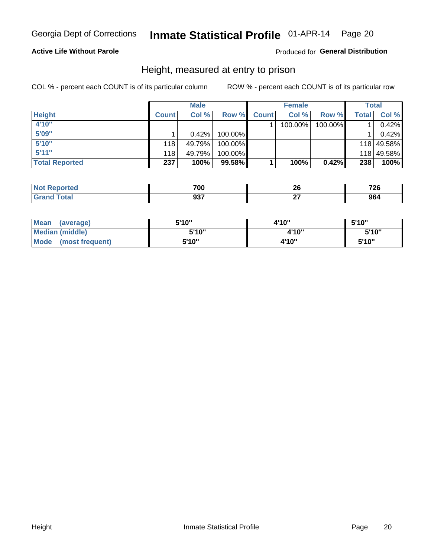#### Inmate Statistical Profile 01-APR-14 Page 20

#### **Active Life Without Parole**

#### Produced for General Distribution

#### Height, measured at entry to prison

COL % - percent each COUNT is of its particular column

|                       |              | <b>Male</b> |         |              | <b>Female</b> |         |       | Total      |
|-----------------------|--------------|-------------|---------|--------------|---------------|---------|-------|------------|
| <b>Height</b>         | <b>Count</b> | Col %       | Row %   | <b>Count</b> | Col %         | Row %   | Total | Col %      |
| 4'10"                 |              |             |         |              | 100.00%       | 100.00% |       | 0.42%      |
| 5'09"                 |              | 0.42%       | 100.00% |              |               |         |       | 0.42%      |
| 5'10''                | 118          | 49.79%      | 100.00% |              |               |         |       | 118 49.58% |
| 5'11''                | 118          | 49.79%      | 100.00% |              |               |         |       | 118 49.58% |
| <b>Total Reported</b> | 237          | 100%        | 99.58%  |              | 100%          | 0.42%   | 238   | 100%       |

| <b>Not</b><br><b>rted</b><br>reno, | 700  | n,<br>$\sim$ | 726<br>__ |
|------------------------------------|------|--------------|-----------|
| <b>Total</b>                       | 027  | --           | ne,       |
| ' Grano                            | JJ I |              | Y04       |

| Mean<br>(average)              | 5'10" | 4'10" | 5'10"  |
|--------------------------------|-------|-------|--------|
| Median (middle)                | 5'10" | 4'10" | 5'10'' |
| <b>Mode</b><br>(most frequent) | 5'10" | 4'10" | 5'10"  |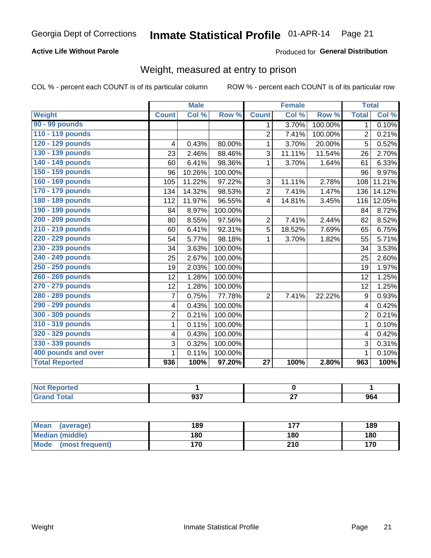#### Inmate Statistical Profile 01-APR-14 Page 21

#### **Active Life Without Parole**

Produced for General Distribution

### Weight, measured at entry to prison

COL % - percent each COUNT is of its particular column

|                       |                | <b>Male</b> |         |                 | <b>Female</b> |         | <b>Total</b>   |        |
|-----------------------|----------------|-------------|---------|-----------------|---------------|---------|----------------|--------|
| <b>Weight</b>         | <b>Count</b>   | Col %       | Row %   | <b>Count</b>    | Col %         | Row %   | <b>Total</b>   | Col %  |
| 90 - 99 pounds        |                |             |         | $\mathbf{1}$    | 3.70%         | 100.00% | 1              | 0.10%  |
| 110 - 119 pounds      |                |             |         | $\overline{2}$  | 7.41%         | 100.00% | 2              | 0.21%  |
| 120 - 129 pounds      | 4              | 0.43%       | 80.00%  | 1               | 3.70%         | 20.00%  | 5              | 0.52%  |
| 130 - 139 pounds      | 23             | 2.46%       | 88.46%  | 3               | 11.11%        | 11.54%  | 26             | 2.70%  |
| 140 - 149 pounds      | 60             | 6.41%       | 98.36%  | 1               | 3.70%         | 1.64%   | 61             | 6.33%  |
| 150 - 159 pounds      | 96             | 10.26%      | 100.00% |                 |               |         | 96             | 9.97%  |
| 160 - 169 pounds      | 105            | 11.22%      | 97.22%  | 3               | 11.11%        | 2.78%   | 108            | 11.21% |
| 170 - 179 pounds      | 134            | 14.32%      | 98.53%  | $\overline{2}$  | 7.41%         | 1.47%   | 136            | 14.12% |
| 180 - 189 pounds      | 112            | 11.97%      | 96.55%  | 4               | 14.81%        | 3.45%   | 116            | 12.05% |
| 190 - 199 pounds      | 84             | 8.97%       | 100.00% |                 |               |         | 84             | 8.72%  |
| 200 - 209 pounds      | 80             | 8.55%       | 97.56%  | $\overline{2}$  | 7.41%         | 2.44%   | 82             | 8.52%  |
| 210 - 219 pounds      | 60             | 6.41%       | 92.31%  | 5               | 18.52%        | 7.69%   | 65             | 6.75%  |
| 220 - 229 pounds      | 54             | 5.77%       | 98.18%  | 1               | 3.70%         | 1.82%   | 55             | 5.71%  |
| 230 - 239 pounds      | 34             | 3.63%       | 100.00% |                 |               |         | 34             | 3.53%  |
| 240 - 249 pounds      | 25             | 2.67%       | 100.00% |                 |               |         | 25             | 2.60%  |
| 250 - 259 pounds      | 19             | 2.03%       | 100.00% |                 |               |         | 19             | 1.97%  |
| 260 - 269 pounds      | 12             | 1.28%       | 100.00% |                 |               |         | 12             | 1.25%  |
| 270 - 279 pounds      | 12             | 1.28%       | 100.00% |                 |               |         | 12             | 1.25%  |
| 280 - 289 pounds      | $\overline{7}$ | 0.75%       | 77.78%  | $\overline{2}$  | 7.41%         | 22.22%  | 9              | 0.93%  |
| 290 - 299 pounds      | 4              | 0.43%       | 100.00% |                 |               |         | 4              | 0.42%  |
| 300 - 309 pounds      | $\overline{2}$ | 0.21%       | 100.00% |                 |               |         | $\overline{2}$ | 0.21%  |
| 310 - 319 pounds      | 1              | 0.11%       | 100.00% |                 |               |         | 1              | 0.10%  |
| 320 - 329 pounds      | 4              | 0.43%       | 100.00% |                 |               |         | 4              | 0.42%  |
| 330 - 339 pounds      | 3              | 0.32%       | 100.00% |                 |               |         | 3              | 0.31%  |
| 400 pounds and over   | $\mathbf{1}$   | 0.11%       | 100.00% |                 |               |         | 1              | 0.10%  |
| <b>Total Reported</b> | 936            | 100%        | 97.20%  | $\overline{27}$ | 100%          | 2.80%   | 963            | 100%   |

| ported<br><b>NOT</b> |            |           |     |
|----------------------|------------|-----------|-----|
| int                  | 027<br>JJ. | $-$<br>-- | 964 |

| Mean<br>(average)              | 189 | $\sim$ | 189 |
|--------------------------------|-----|--------|-----|
| <b>Median (middle)</b>         | 180 | 180    | 180 |
| <b>Mode</b><br>(most frequent) | 170 | 210    | 170 |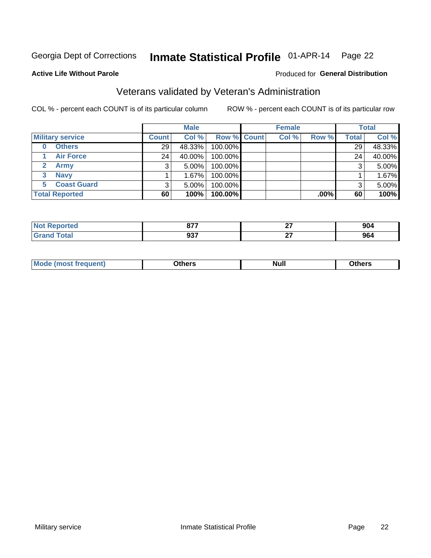#### Inmate Statistical Profile 01-APR-14 Page 22

#### **Active Life Without Parole**

#### Produced for General Distribution

### Veterans validated by Veteran's Administration

COL % - percent each COUNT is of its particular column

|                          |                 | <b>Male</b> |                    | <b>Female</b> |         |       | <b>Total</b> |
|--------------------------|-----------------|-------------|--------------------|---------------|---------|-------|--------------|
| <b>Military service</b>  | <b>Count</b>    | Col %       | <b>Row % Count</b> | Col %         | Row %   | Total | Col %        |
| <b>Others</b><br>0       | 29              | 48.33%      | 100.00%            |               |         | 29    | 48.33%       |
| <b>Air Force</b>         | 24 <sub>1</sub> | 40.00%      | 100.00%            |               |         | 24    | 40.00%       |
| <b>Army</b>              |                 | $5.00\%$    | 100.00%            |               |         | 3     | 5.00%        |
| <b>Navy</b><br>3         |                 | $1.67\%$    | 100.00%            |               |         |       | 1.67%        |
| <b>Coast Guard</b><br>5. |                 | $5.00\%$    | 100.00%            |               |         | 3     | 5.00%        |
| <b>Total Reported</b>    | 60              | 100%        | 100.00%            |               | $.00\%$ | 60    | 100%         |

| 11 — 1 0 | 677  | ~- | 00 <sup>4</sup> |
|----------|------|----|-----------------|
|          | 07 I | -- | 9V4             |
|          | ົາລ  | ~- | 0C              |
|          | JJI  | -- | 904             |

| Mo<br><b>Null</b><br>วthers<br>____<br>____ |
|---------------------------------------------|
|---------------------------------------------|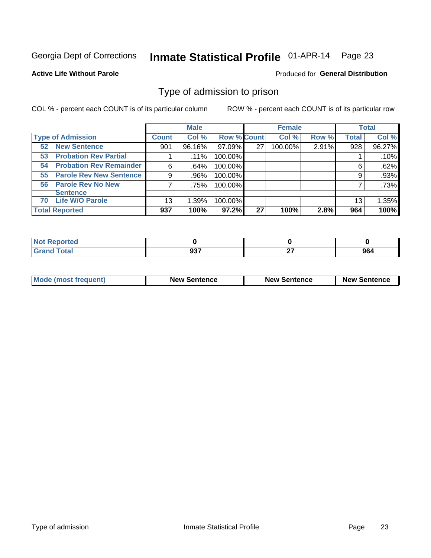#### Inmate Statistical Profile 01-APR-14 Page 23

#### **Active Life Without Parole**

#### Produced for General Distribution

#### Type of admission to prison

COL % - percent each COUNT is of its particular column

|                                      |         | <b>Male</b> |                    |    | <b>Female</b> |       |              | <b>Total</b> |
|--------------------------------------|---------|-------------|--------------------|----|---------------|-------|--------------|--------------|
| <b>Type of Admission</b>             | Count l | Col %       | <b>Row % Count</b> |    | Col %         | Row % | <b>Total</b> | Col %        |
| <b>New Sentence</b><br>52            | 901     | 96.16%      | 97.09%             | 27 | 100.00%       | 2.91% | 928          | 96.27%       |
| <b>Probation Rev Partial</b><br>53   |         | .11%        | 100.00%            |    |               |       |              | .10%         |
| <b>Probation Rev Remainder</b><br>54 | 6       | .64%        | 100.00%            |    |               |       | 6            | .62%         |
| <b>Parole Rev New Sentence</b><br>55 | 9       | .96%        | 100.00%            |    |               |       | 9            | .93%         |
| <b>Parole Rev No New</b><br>56       |         | .75%        | 100.00%            |    |               |       |              | .73%         |
| <b>Sentence</b>                      |         |             |                    |    |               |       |              |              |
| <b>Life W/O Parole</b><br>70         | 13      | 1.39%       | 100.00%            |    |               |       | 13           | 1.35%        |
| <b>Total Reported</b>                | 937     | 100%        | $97.2\%$           | 27 | 100%          | 2.8%  | 964          | 100%         |

| ported<br><b>NOT</b><br><b>NUMBER</b> |                      |               |                    |
|---------------------------------------|----------------------|---------------|--------------------|
| <b>c</b> otal<br>-                    | $\sim$<br><b>. ت</b> | $\sim$<br>. . | 0C 1<br><b>904</b> |

| <b>Mode (most frequent)</b> | <b>New Sentence</b> | <b>New Sentence</b> | <b>New Sentence</b> |
|-----------------------------|---------------------|---------------------|---------------------|
|                             |                     |                     |                     |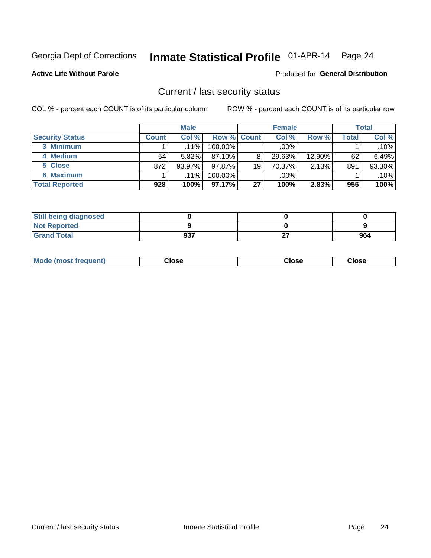## Inmate Statistical Profile 01-APR-14 Page 24

**Active Life Without Parole** 

#### Produced for General Distribution

#### Current / last security status

COL % - percent each COUNT is of its particular column

|                        |              | <b>Male</b> |                    |    | <b>Female</b> |           |       | <b>Total</b> |
|------------------------|--------------|-------------|--------------------|----|---------------|-----------|-------|--------------|
| <b>Security Status</b> | <b>Count</b> | Col%        | <b>Row % Count</b> |    | Col %         | Row %     | Total | Col %        |
| 3 Minimum              |              | $.11\%$     | 100.00%            |    | .00%          |           |       | $.10\%$      |
| 4 Medium               | 54           | 5.82%       | $87.10\%$          | 8  | 29.63%        | $12.90\%$ | 62    | 6.49%        |
| 5 Close                | 872          | 93.97%      | $97.87\%$          | 19 | 70.37%        | 2.13%     | 891   | 93.30%       |
| 6 Maximum              |              | $.11\%$     | $100.00\%$         |    | .00%          |           |       | $.10\%$      |
| <b>Total Reported</b>  | 928          | 100%        | $97.17\%$          | 27 | 100%          | 2.83%     | 955   | 100%         |

| <b>Still being diagnosed</b> |     |    |     |
|------------------------------|-----|----|-----|
| <b>Not Reported</b>          |     |    |     |
| <b>Grand Total</b>           | 937 | ^¬ | 964 |

| <b>Mode (most frequent)</b><br>Close | Close | Close |
|--------------------------------------|-------|-------|
|--------------------------------------|-------|-------|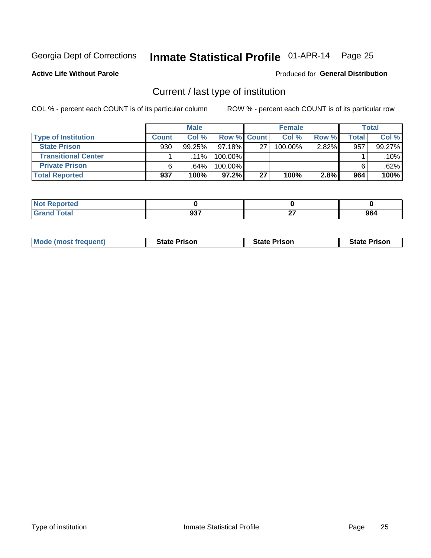#### Inmate Statistical Profile 01-APR-14 Page 25

**Active Life Without Parole** 

#### Produced for General Distribution

### Current / last type of institution

COL % - percent each COUNT is of its particular column

|                            |              | <b>Male</b> |                    |    | <b>Female</b> |       |       | <b>Total</b> |
|----------------------------|--------------|-------------|--------------------|----|---------------|-------|-------|--------------|
| <b>Type of Institution</b> | <b>Count</b> | Col %       | <b>Row % Count</b> |    | Col %         | Row % | Total | Col %        |
| <b>State Prison</b>        | 930          | $99.25\%$   | 97.18%             | 27 | 100.00%       | 2.82% | 957   | 99.27%       |
| <b>Transitional Center</b> |              | $.11\%$     | 100.00%            |    |               |       |       | $.10\%$      |
| <b>Private Prison</b>      |              | ا 64%.      | 100.00%            |    |               |       |       | .62%         |
| <b>Total Reported</b>      | 937          | 100%        | $97.2\%$           | 27 | 100%          | 2.8%  | 964   | 100%         |

| Reported<br><b>NOT</b> |            |         |     |
|------------------------|------------|---------|-----|
| <b>otal</b>            | 027<br>JJ. | ~-<br>- | 964 |

| <b>Mode (most frequent)</b> | <b>State Prison</b> | <b>State Prison</b> | <b>State Prison</b> |
|-----------------------------|---------------------|---------------------|---------------------|
|                             |                     |                     |                     |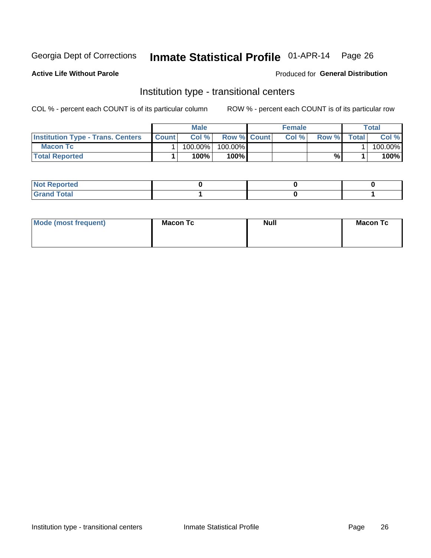## Inmate Statistical Profile 01-APR-14 Page 26

**Active Life Without Parole** 

#### Produced for General Distribution

### Institution type - transitional centers

COL % - percent each COUNT is of its particular column

|                                          |              | <b>Male</b> |                    | <b>Female</b> |       |              | <b>Total</b> |
|------------------------------------------|--------------|-------------|--------------------|---------------|-------|--------------|--------------|
| <b>Institution Type - Trans. Centers</b> | <b>Count</b> | Col%        | <b>Row % Count</b> | Col%          | Row % | <b>Total</b> | Col %        |
| <b>Macon Tc</b>                          |              | 100.00%     | 100.00%            |               |       |              | 100.00%      |
| <b>Total Reported</b>                    |              | $100\%$     | $100\%$            |               | %     |              | 100%         |

| <b>Not Reported</b>    |  |  |
|------------------------|--|--|
| <b>Total</b><br>re e d |  |  |

| Mode (most frequent) | <b>Macon Tc</b> | <b>Null</b> | <b>Macon Tc</b> |
|----------------------|-----------------|-------------|-----------------|
|                      |                 |             |                 |
|                      |                 |             |                 |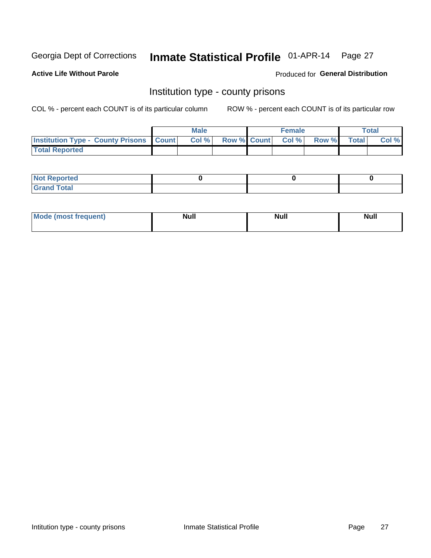## Inmate Statistical Profile 01-APR-14 Page 27

**Active Life Without Parole** 

**Produced for General Distribution** 

#### Institution type - county prisons

COL % - percent each COUNT is of its particular column

|                                                    | <b>Male</b> |  | <b>Female</b>            |             | <b>Total</b> |
|----------------------------------------------------|-------------|--|--------------------------|-------------|--------------|
| <b>Institution Type - County Prisons   Count  </b> | Col %       |  | <b>Row % Count Col %</b> | Row % Total | Col %        |
| <b>Total Reported</b>                              |             |  |                          |             |              |

| <b>Not Reported</b>         |  |  |
|-----------------------------|--|--|
| <b>Total</b><br>-<br>______ |  |  |

| <b>Mode</b>      | <b>Null</b> | <b>Null</b> | <b>Null</b> |
|------------------|-------------|-------------|-------------|
| (most freauent). |             |             |             |
|                  |             |             |             |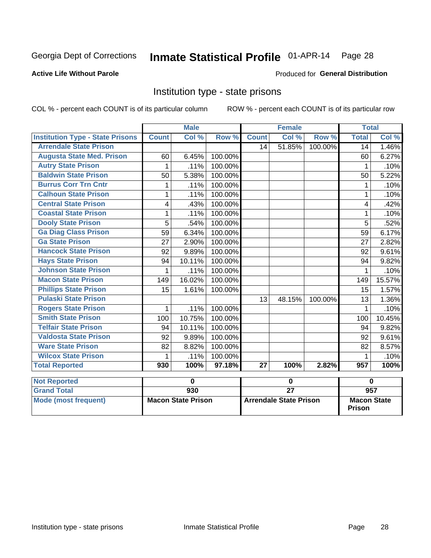## Inmate Statistical Profile 01-APR-14 Page 28

#### **Active Life Without Parole**

#### **Produced for General Distribution**

### Institution type - state prisons

COL % - percent each COUNT is of its particular column

|                                         |              | <b>Male</b>                |         |              | <b>Female</b>              |         | <b>Total</b> |        |
|-----------------------------------------|--------------|----------------------------|---------|--------------|----------------------------|---------|--------------|--------|
| <b>Institution Type - State Prisons</b> | <b>Count</b> | $\overline{\text{Col }^9}$ | Row %   | <b>Count</b> | $\overline{\text{Col }\%}$ | Row %   | <b>Total</b> | Col %  |
| <b>Arrendale State Prison</b>           |              |                            |         | 14           | 51.85%                     | 100.00% | 14           | 1.46%  |
| <b>Augusta State Med. Prison</b>        | 60           | 6.45%                      | 100.00% |              |                            |         | 60           | 6.27%  |
| <b>Autry State Prison</b>               | 1            | .11%                       | 100.00% |              |                            |         | 1            | .10%   |
| <b>Baldwin State Prison</b>             | 50           | 5.38%                      | 100.00% |              |                            |         | 50           | 5.22%  |
| <b>Burrus Corr Trn Cntr</b>             | 1            | .11%                       | 100.00% |              |                            |         | 1            | .10%   |
| <b>Calhoun State Prison</b>             | 1            | .11%                       | 100.00% |              |                            |         |              | .10%   |
| <b>Central State Prison</b>             | 4            | .43%                       | 100.00% |              |                            |         | 4            | .42%   |
| <b>Coastal State Prison</b>             | 1            | .11%                       | 100.00% |              |                            |         | 1            | .10%   |
| <b>Dooly State Prison</b>               | 5            | .54%                       | 100.00% |              |                            |         | 5            | .52%   |
| <b>Ga Diag Class Prison</b>             | 59           | 6.34%                      | 100.00% |              |                            |         | 59           | 6.17%  |
| <b>Ga State Prison</b>                  | 27           | 2.90%                      | 100.00% |              |                            |         | 27           | 2.82%  |
| <b>Hancock State Prison</b>             | 92           | 9.89%                      | 100.00% |              |                            |         | 92           | 9.61%  |
| <b>Hays State Prison</b>                | 94           | 10.11%                     | 100.00% |              |                            |         | 94           | 9.82%  |
| <b>Johnson State Prison</b>             | 1            | .11%                       | 100.00% |              |                            |         | 1            | .10%   |
| <b>Macon State Prison</b>               | 149          | 16.02%                     | 100.00% |              |                            |         | 149          | 15.57% |
| <b>Phillips State Prison</b>            | 15           | 1.61%                      | 100.00% |              |                            |         | 15           | 1.57%  |
| <b>Pulaski State Prison</b>             |              |                            |         | 13           | 48.15%                     | 100.00% | 13           | 1.36%  |
| <b>Rogers State Prison</b>              | 1            | .11%                       | 100.00% |              |                            |         | 1            | .10%   |
| <b>Smith State Prison</b>               | 100          | 10.75%                     | 100.00% |              |                            |         | 100          | 10.45% |
| <b>Telfair State Prison</b>             | 94           | 10.11%                     | 100.00% |              |                            |         | 94           | 9.82%  |
| <b>Valdosta State Prison</b>            | 92           | 9.89%                      | 100.00% |              |                            |         | 92           | 9.61%  |
| <b>Ware State Prison</b>                | 82           | 8.82%                      | 100.00% |              |                            |         | 82           | 8.57%  |
| <b>Wilcox State Prison</b>              | 1            | .11%                       | 100.00% |              |                            |         | 1            | .10%   |
| <b>Total Reported</b>                   | 930          | 100%                       | 97.18%  | 27           | 100%                       | 2.82%   | 957          | 100%   |
| <b>Not Reported</b>                     |              | 0                          |         |              | 0                          |         | $\bf{0}$     |        |
|                                         |              |                            |         |              |                            |         |              |        |

| ו ויטג ולהטטונסט            |                           |                               |                                     |
|-----------------------------|---------------------------|-------------------------------|-------------------------------------|
| <b>Grand Total</b>          | 930                       |                               | 957                                 |
| <b>Mode (most frequent)</b> | <b>Macon State Prison</b> | <b>Arrendale State Prison</b> | <b>Macon State</b><br><b>Prison</b> |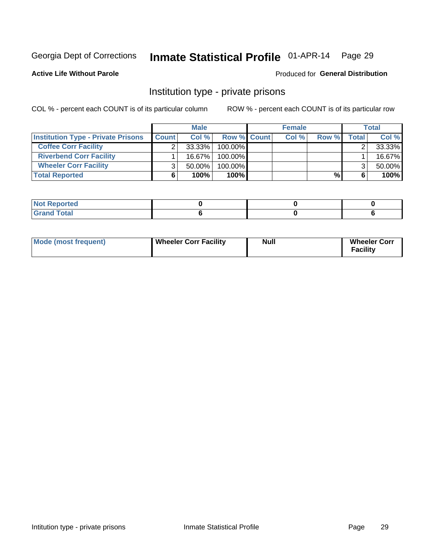## Inmate Statistical Profile 01-APR-14 Page 29

#### **Active Life Without Parole**

#### **Produced for General Distribution**

#### Institution type - private prisons

COL % - percent each COUNT is of its particular column

|                                           |              | <b>Male</b> |                    | <b>Female</b> |       |              | <b>Total</b> |
|-------------------------------------------|--------------|-------------|--------------------|---------------|-------|--------------|--------------|
| <b>Institution Type - Private Prisons</b> | <b>Count</b> | Col%        | <b>Row % Count</b> | Col %         | Row % | <b>Total</b> | Col %        |
| <b>Coffee Corr Facility</b>               |              | $33.33\%$   | $100.00\%$         |               |       |              | 33.33%       |
| <b>Riverbend Corr Facility</b>            |              | $16.67\%$   | $100.00\%$         |               |       |              | 16.67%       |
| <b>Wheeler Corr Facility</b>              |              | $50.00\%$   | $100.00\%$         |               |       |              | 50.00%       |
| <b>Total Reported</b>                     |              | 100%        | 100%               |               | %     |              | 100%         |

| <b>Not Reported</b> |  |  |
|---------------------|--|--|
| nd Total            |  |  |

| Mode (most frequent) | Wheeler Corr Facility | Null | <b>Wheeler Corr</b><br><b>Facility</b> |
|----------------------|-----------------------|------|----------------------------------------|
|----------------------|-----------------------|------|----------------------------------------|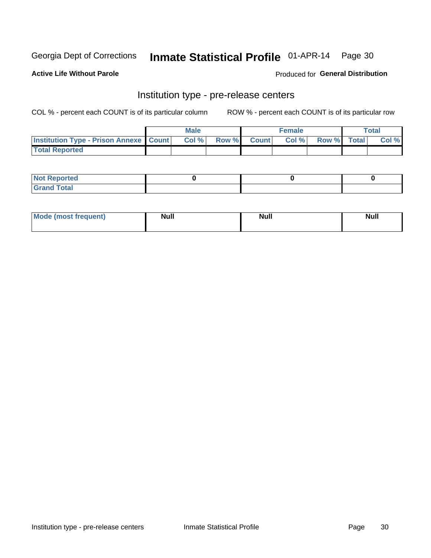### Inmate Statistical Profile 01-APR-14 Page 30

**Active Life Without Parole** 

Produced for General Distribution

### Institution type - pre-release centers

COL % - percent each COUNT is of its particular column

|                                                   | <b>Male</b> |              |       | <b>Female</b> |                    | <b>Total</b> |
|---------------------------------------------------|-------------|--------------|-------|---------------|--------------------|--------------|
| <b>Institution Type - Prison Annexe   Count  </b> | Col %       | <b>Row %</b> | Count | Col %         | <b>Row %</b> Total | Col %        |
| <b>Total Reported</b>                             |             |              |       |               |                    |              |

| <b>Reported</b><br>I NOT |  |  |
|--------------------------|--|--|
| <b>Total</b><br>$C$ ren  |  |  |

| <b>Mo</b><br>frequent)<br>(most | <b>Null</b> | <b>Null</b> | <b>Null</b> |
|---------------------------------|-------------|-------------|-------------|
|                                 |             |             |             |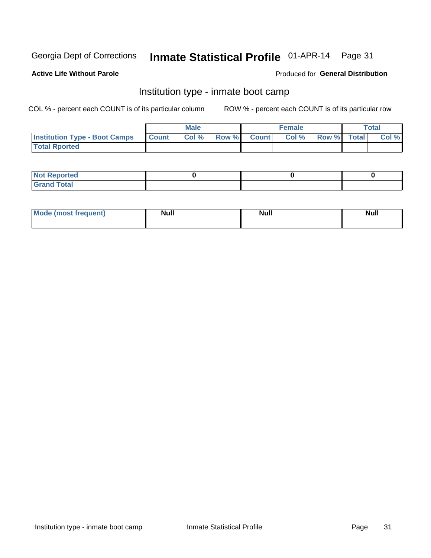#### Inmate Statistical Profile 01-APR-14 Page 31

#### **Active Life Without Parole**

#### Produced for General Distribution

### Institution type - inmate boot camp

COL % - percent each COUNT is of its particular column

|                                      |              | <b>Male</b> |               |              | <b>Female</b> |             | <b>Total</b> |
|--------------------------------------|--------------|-------------|---------------|--------------|---------------|-------------|--------------|
| <b>Institution Type - Boot Camps</b> | <b>Count</b> | Col %       | <b>Row %I</b> | <b>Count</b> | Col %         | Row % Total | Col %        |
| <b>Total Rported</b>                 |              |             |               |              |               |             |              |

| <b>Not Reported</b> |  |  |
|---------------------|--|--|
| <b>Total</b><br>Cro |  |  |

| <b>I Mode (most frequent)</b> | <b>Null</b> | <b>Null</b> | <b>Null</b> |
|-------------------------------|-------------|-------------|-------------|
|                               |             |             |             |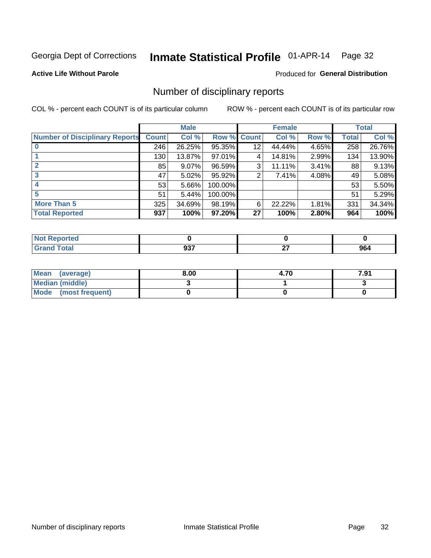## Inmate Statistical Profile 01-APR-14 Page 32

#### **Active Life Without Parole**

#### **Produced for General Distribution**

### Number of disciplinary reports

COL % - percent each COUNT is of its particular column

|                                       |              | <b>Male</b> |             |    | <b>Female</b> |       |              | <b>Total</b> |
|---------------------------------------|--------------|-------------|-------------|----|---------------|-------|--------------|--------------|
| <b>Number of Disciplinary Reports</b> | <b>Count</b> | Col %       | Row % Count |    | Col %         | Row % | <b>Total</b> | Col %        |
|                                       | 246          | 26.25%      | 95.35%      | 12 | 44.44%        | 4.65% | 258          | 26.76%       |
|                                       | 130          | 13.87%      | 97.01%      | 4  | 14.81%        | 2.99% | 134          | 13.90%       |
|                                       | 85           | $9.07\%$    | 96.59%      | 3  | 11.11%        | 3.41% | 88           | 9.13%        |
| 3                                     | 47           | $5.02\%$    | 95.92%      | 2  | 7.41%         | 4.08% | 49           | 5.08%        |
|                                       | 53           | 5.66%       | 100.00%     |    |               |       | 53           | 5.50%        |
| 5                                     | 51           | 5.44%       | 100.00%     |    |               |       | 51           | 5.29%        |
| <b>More Than 5</b>                    | 325          | 34.69%      | 98.19%      | 6  | 22.22%        | 1.81% | 331          | 34.34%       |
| <b>Total Reported</b>                 | 937          | 100%        | 97.20%      | 27 | 100%          | 2.80% | 964          | 100%         |

| prted<br><b>NOT REDC</b> |            |    |     |
|--------------------------|------------|----|-----|
| <sup>-</sup> otal        | ^^7<br>JJ. | ~- | 964 |

| Mean (average)       | 8.00 | 4.70 | 7.91 |
|----------------------|------|------|------|
| Median (middle)      |      |      |      |
| Mode (most frequent) |      |      |      |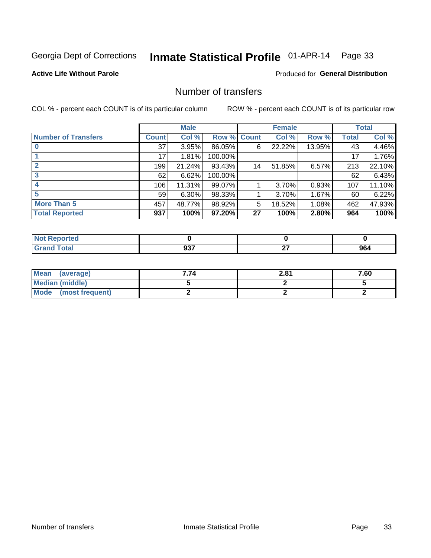## Inmate Statistical Profile 01-APR-14 Page 33

**Active Life Without Parole** 

**Produced for General Distribution** 

### Number of transfers

COL % - percent each COUNT is of its particular column

|                            |         | <b>Male</b> |                    |    | <b>Female</b> |        |              | <b>Total</b> |
|----------------------------|---------|-------------|--------------------|----|---------------|--------|--------------|--------------|
| <b>Number of Transfers</b> | Count l | Col %       | <b>Row % Count</b> |    | Col %         | Row %  | <b>Total</b> | Col %        |
|                            | 37      | 3.95%       | 86.05%             | 6  | 22.22%        | 13.95% | 43           | 4.46%        |
|                            | 17      | 1.81%       | 100.00%            |    |               |        | 17           | 1.76%        |
|                            | 199     | 21.24%      | 93.43%             | 14 | 51.85%        | 6.57%  | 213          | 22.10%       |
| 3                          | 62      | 6.62%       | 100.00%            |    |               |        | 62           | 6.43%        |
|                            | 106     | 11.31%      | 99.07%             |    | 3.70%         | 0.93%  | 107          | 11.10%       |
| 5                          | 59      | $6.30\%$    | 98.33%             |    | 3.70%         | 1.67%  | 60           | 6.22%        |
| <b>More Than 5</b>         | 457     | 48.77%      | 98.92%             | 5  | 18.52%        | 1.08%  | 462          | 47.93%       |
| <b>Total Reported</b>      | 937     | 100%        | 97.20%             | 27 | 100%          | 2.80%  | 964          | 100%         |

| prted<br><b>NOT REDC</b> |            |    |     |
|--------------------------|------------|----|-----|
| <sup>-</sup> otal        | ^^7<br>JJ. | ~- | 964 |

| Mean (average)       | 7.74 | 2.81 | 7.60 |
|----------------------|------|------|------|
| Median (middle)      |      |      |      |
| Mode (most frequent) |      |      |      |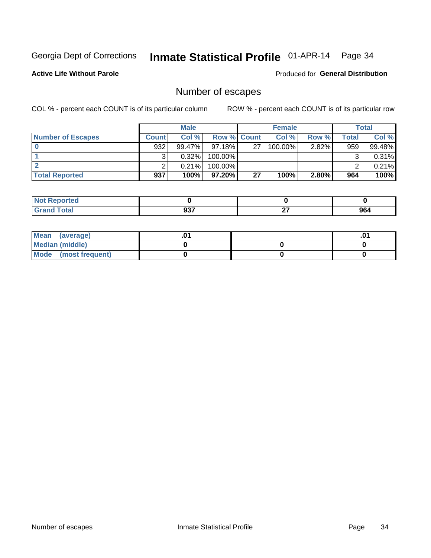## Inmate Statistical Profile 01-APR-14 Page 34

**Active Life Without Parole** 

**Produced for General Distribution** 

### Number of escapes

COL % - percent each COUNT is of its particular column

|                          |              | <b>Male</b> |                    |    | <b>Female</b> |       |       | Total  |
|--------------------------|--------------|-------------|--------------------|----|---------------|-------|-------|--------|
| <b>Number of Escapes</b> | <b>Count</b> | Col %       | <b>Row % Count</b> |    | Col %         | Row % | Total | Col %  |
|                          | 932          | 99.47%      | $97.18\%$          | 27 | $100.00\%$    | 2.82% | 959   | 99.48% |
|                          |              | 0.32%       | 100.00%            |    |               |       |       | 0.31%  |
|                          |              | 0.21%       | $100.00\%$         |    |               |       |       | 0.21%  |
| <b>Total Reported</b>    | 937          | 100%        | $97.20\%$          | 27 | 100%          | 2.80% | 964   | 100%   |

| <b>orted</b><br><b>NOT</b><br>. Repor<br>$\sim$ |             |               |     |
|-------------------------------------------------|-------------|---------------|-----|
| <b>fotal</b><br>' Grand                         | ^^7<br>JJ 1 | $\sim$<br>- - | 964 |

| Mean (average)       |  | .01 |
|----------------------|--|-----|
| Median (middle)      |  |     |
| Mode (most frequent) |  |     |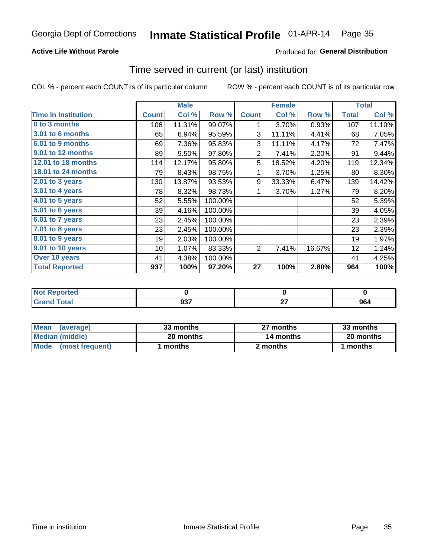#### Inmate Statistical Profile 01-APR-14 Page 35

#### **Active Life Without Parole**

#### **Produced for General Distribution**

#### Time served in current (or last) institution

COL % - percent each COUNT is of its particular column

|                            | <b>Male</b>  |        | <b>Female</b> |                |        | <b>Total</b> |              |        |
|----------------------------|--------------|--------|---------------|----------------|--------|--------------|--------------|--------|
| <b>Time In Institution</b> | <b>Count</b> | Col %  | Row %         | <b>Count</b>   | Col %  | Row %        | <b>Total</b> | Col %  |
| 0 to 3 months              | 106          | 11.31% | 99.07%        | 1              | 3.70%  | 0.93%        | 107          | 11.10% |
| <b>3.01 to 6 months</b>    | 65           | 6.94%  | 95.59%        | 3              | 11.11% | 4.41%        | 68           | 7.05%  |
| 6.01 to 9 months           | 69           | 7.36%  | 95.83%        | 3              | 11.11% | 4.17%        | 72           | 7.47%  |
| 9.01 to 12 months          | 89           | 9.50%  | 97.80%        | $\overline{2}$ | 7.41%  | 2.20%        | 91           | 9.44%  |
| 12.01 to 18 months         | 114          | 12.17% | 95.80%        | 5              | 18.52% | 4.20%        | 119          | 12.34% |
| <b>18.01 to 24 months</b>  | 79           | 8.43%  | 98.75%        | 1              | 3.70%  | 1.25%        | 80           | 8.30%  |
| $2.01$ to 3 years          | 130          | 13.87% | 93.53%        | 9              | 33.33% | 6.47%        | 139          | 14.42% |
| 3.01 to 4 years            | 78           | 8.32%  | 98.73%        | 1              | 3.70%  | 1.27%        | 79           | 8.20%  |
| 4.01 to 5 years            | 52           | 5.55%  | 100.00%       |                |        |              | 52           | 5.39%  |
| 5.01 to 6 years            | 39           | 4.16%  | 100.00%       |                |        |              | 39           | 4.05%  |
| 6.01 to 7 years            | 23           | 2.45%  | 100.00%       |                |        |              | 23           | 2.39%  |
| 7.01 to 8 years            | 23           | 2.45%  | 100.00%       |                |        |              | 23           | 2.39%  |
| 8.01 to 9 years            | 19           | 2.03%  | 100.00%       |                |        |              | 19           | 1.97%  |
| 9.01 to 10 years           | 10           | 1.07%  | 83.33%        | 2              | 7.41%  | 16.67%       | 12           | 1.24%  |
| Over 10 years              | 41           | 4.38%  | 100.00%       |                |        |              | 41           | 4.25%  |
| <b>Total Reported</b>      | 937          | 100%   | 97.20%        | 27             | 100%   | 2.80%        | 964          | 100%   |

| <b>Not Reported</b> |                  |              |     |
|---------------------|------------------|--------------|-----|
| <b>Total</b>        | 027<br><b>JJ</b> | $\sim$<br>-- | 964 |

| <b>Mean</b><br>(average) | 33 months | 27 months | 33 months |
|--------------------------|-----------|-----------|-----------|
| Median (middle)          | 20 months | 14 months | 20 months |
| Mode (most frequent)     | months    | 2 months  | 1 months  |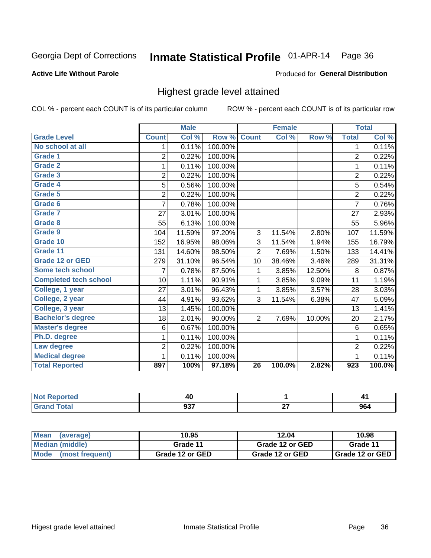#### Inmate Statistical Profile 01-APR-14 Page 36

#### **Active Life Without Parole**

#### Produced for General Distribution

### Highest grade level attained

COL % - percent each COUNT is of its particular column

|                              |                | <b>Male</b> |         |                 | <b>Female</b> |        |                | <b>Total</b> |
|------------------------------|----------------|-------------|---------|-----------------|---------------|--------|----------------|--------------|
| <b>Grade Level</b>           | <b>Count</b>   | Col %       | Row %   | <b>Count</b>    | Col %         | Row %  | <b>Total</b>   | Col %        |
| No school at all             | 1              | 0.11%       | 100.00% |                 |               |        | 1              | 0.11%        |
| Grade 1                      | 2              | 0.22%       | 100.00% |                 |               |        | $\overline{2}$ | 0.22%        |
| <b>Grade 2</b>               | 1              | 0.11%       | 100.00% |                 |               |        | $\mathbf{1}$   | 0.11%        |
| Grade 3                      | $\overline{2}$ | 0.22%       | 100.00% |                 |               |        | $\overline{c}$ | 0.22%        |
| Grade 4                      | 5              | 0.56%       | 100.00% |                 |               |        | 5              | 0.54%        |
| Grade 5                      | $\overline{2}$ | 0.22%       | 100.00% |                 |               |        | $\overline{2}$ | 0.22%        |
| Grade 6                      | 7              | 0.78%       | 100.00% |                 |               |        | $\overline{7}$ | 0.76%        |
| Grade 7                      | 27             | 3.01%       | 100.00% |                 |               |        | 27             | 2.93%        |
| Grade 8                      | 55             | 6.13%       | 100.00% |                 |               |        | 55             | 5.96%        |
| Grade 9                      | 104            | 11.59%      | 97.20%  | 3               | 11.54%        | 2.80%  | 107            | 11.59%       |
| Grade 10                     | 152            | 16.95%      | 98.06%  | 3               | 11.54%        | 1.94%  | 155            | 16.79%       |
| Grade 11                     | 131            | 14.60%      | 98.50%  | $\overline{2}$  | 7.69%         | 1.50%  | 133            | 14.41%       |
| <b>Grade 12 or GED</b>       | 279            | 31.10%      | 96.54%  | 10              | 38.46%        | 3.46%  | 289            | 31.31%       |
| Some tech school             | 7              | 0.78%       | 87.50%  | 1               | 3.85%         | 12.50% | 8              | 0.87%        |
| <b>Completed tech school</b> | 10             | 1.11%       | 90.91%  | 1               | 3.85%         | 9.09%  | 11             | 1.19%        |
| College, 1 year              | 27             | 3.01%       | 96.43%  | 1               | 3.85%         | 3.57%  | 28             | 3.03%        |
| College, 2 year              | 44             | 4.91%       | 93.62%  | 3               | 11.54%        | 6.38%  | 47             | 5.09%        |
| College, 3 year              | 13             | 1.45%       | 100.00% |                 |               |        | 13             | 1.41%        |
| <b>Bachelor's degree</b>     | 18             | 2.01%       | 90.00%  | $\overline{2}$  | 7.69%         | 10.00% | 20             | 2.17%        |
| <b>Master's degree</b>       | 6              | 0.67%       | 100.00% |                 |               |        | 6              | 0.65%        |
| Ph.D. degree                 | 1              | 0.11%       | 100.00% |                 |               |        | 1              | 0.11%        |
| Law degree                   | $\overline{2}$ | 0.22%       | 100.00% |                 |               |        | $\overline{2}$ | 0.22%        |
| <b>Medical degree</b>        | 1              | 0.11%       | 100.00% |                 |               |        | 1              | 0.11%        |
| <b>Total Reported</b>        | 897            | 100%        | 97.18%  | $\overline{26}$ | 100.0%        | 2.82%  | 923            | 100.0%       |

| eported                     | т.                      |              | . . |
|-----------------------------|-------------------------|--------------|-----|
| $\sim$ $\sim$ $\sim$ $\sim$ | <b>007</b><br>Ju<br>--- | $\sim$<br>-- | 964 |

| <b>Mean</b><br>(average)       | 10.95           | 12.04           | 10.98             |
|--------------------------------|-----------------|-----------------|-------------------|
| Median (middle)                | Grade 11        | Grade 12 or GED | Grade 11          |
| <b>Mode</b><br>(most frequent) | Grade 12 or GED | Grade 12 or GED | I Grade 12 or GED |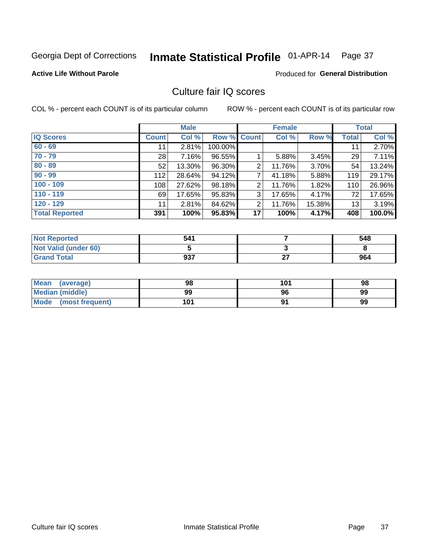# Inmate Statistical Profile 01-APR-14 Page 37

#### **Active Life Without Parole**

### **Produced for General Distribution**

# Culture fair IQ scores

COL % - percent each COUNT is of its particular column

|                       |              | <b>Male</b> |                    |                | <b>Female</b> |        |              | <b>Total</b> |
|-----------------------|--------------|-------------|--------------------|----------------|---------------|--------|--------------|--------------|
| <b>IQ Scores</b>      | <b>Count</b> | Col %       | <b>Row % Count</b> |                | Col %         | Row %  | <b>Total</b> | Col %        |
| $60 - 69$             | 11           | 2.81%       | 100.00%            |                |               |        | 11           | 2.70%        |
| $70 - 79$             | 28           | 7.16%       | 96.55%             |                | 5.88%         | 3.45%  | 29           | 7.11%        |
| $80 - 89$             | 52           | 13.30%      | 96.30%             | 2              | 11.76%        | 3.70%  | 54           | 13.24%       |
| $90 - 99$             | 112          | 28.64%      | 94.12%             | 7              | 41.18%        | 5.88%  | 119          | 29.17%       |
| $100 - 109$           | 108          | 27.62%      | 98.18%             | 2              | 11.76%        | 1.82%  | 110          | 26.96%       |
| $110 - 119$           | 69           | 17.65%      | 95.83%             | 3              | 17.65%        | 4.17%  | 72           | 17.65%       |
| $120 - 129$           | 11           | 2.81%       | 84.62%             | $\overline{2}$ | 11.76%        | 15.38% | 13           | 3.19%        |
| <b>Total Reported</b> | 391          | 100%        | 95.83%             | 17             | 100%          | 4.17%  | 408          | 100.0%       |

| <b>Not Reported</b>         | 541 |    | 548 |
|-----------------------------|-----|----|-----|
| <b>Not Valid (under 60)</b> |     |    |     |
| <b>Grand Total</b>          | 937 | ^7 | 964 |

| <b>Mean</b><br>(average) | 98  | 101 | 98 |
|--------------------------|-----|-----|----|
| Median (middle)          | 99  | 96  | 99 |
| Mode<br>(most frequent)  | 101 |     | 99 |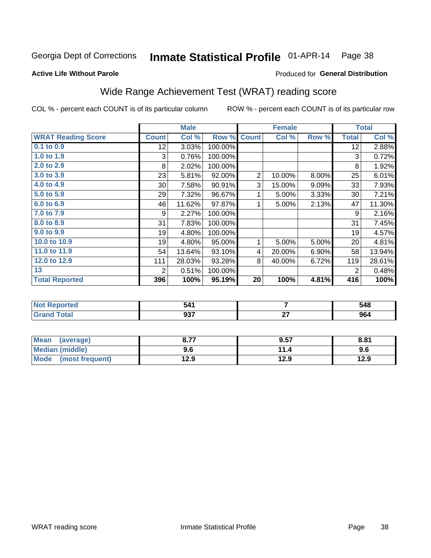#### Inmate Statistical Profile 01-APR-14 Page 38

Produced for General Distribution

#### **Active Life Without Parole**

# Wide Range Achievement Test (WRAT) reading score

COL % - percent each COUNT is of its particular column

|                           |              | <b>Male</b> |         |                | <b>Female</b> |       |              | <b>Total</b> |
|---------------------------|--------------|-------------|---------|----------------|---------------|-------|--------------|--------------|
| <b>WRAT Reading Score</b> | <b>Count</b> | Col %       | Row %   | <b>Count</b>   | Col %         | Row % | <b>Total</b> | Col %        |
| 0.1 to 0.9                | 12           | 3.03%       | 100.00% |                |               |       | 12           | 2.88%        |
| 1.0 to 1.9                | 3            | 0.76%       | 100.00% |                |               |       | 3            | 0.72%        |
| 2.0 to 2.9                | 8            | 2.02%       | 100.00% |                |               |       | 8            | 1.92%        |
| 3.0 to 3.9                | 23           | 5.81%       | 92.00%  | $\overline{2}$ | 10.00%        | 8.00% | 25           | 6.01%        |
| 4.0 to 4.9                | 30           | 7.58%       | 90.91%  | 3              | 15.00%        | 9.09% | 33           | 7.93%        |
| 5.0 to 5.9                | 29           | 7.32%       | 96.67%  | 1              | 5.00%         | 3.33% | 30           | 7.21%        |
| 6.0 to 6.9                | 46           | 11.62%      | 97.87%  | 1              | 5.00%         | 2.13% | 47           | 11.30%       |
| 7.0 to 7.9                | 9            | 2.27%       | 100.00% |                |               |       | 9            | 2.16%        |
| 8.0 to 8.9                | 31           | 7.83%       | 100.00% |                |               |       | 31           | 7.45%        |
| 9.0 to 9.9                | 19           | 4.80%       | 100.00% |                |               |       | 19           | 4.57%        |
| 10.0 to 10.9              | 19           | 4.80%       | 95.00%  | 1              | 5.00%         | 5.00% | 20           | 4.81%        |
| 11.0 to 11.9              | 54           | 13.64%      | 93.10%  | 4              | 20.00%        | 6.90% | 58           | 13.94%       |
| 12.0 to 12.9              | 111          | 28.03%      | 93.28%  | 8              | 40.00%        | 6.72% | 119          | 28.61%       |
| 13                        | 2            | 0.51%       | 100.00% |                |               |       | 2            | 0.48%        |
| <b>Total Reported</b>     | 396          | 100%        | 95.19%  | 20             | 100%          | 4.81% | 416          | 100%         |
|                           |              |             |         |                |               |       |              |              |
| <b>Not Reported</b>       |              | 541         |         |                | 7             |       |              | 548          |
| <b>Grand Total</b>        |              | 937         |         |                | 27            |       |              | 964          |

| Mean<br>(average)       | . –  | 9.57      | 8.81 |
|-------------------------|------|-----------|------|
| Median (middle)         | 9.6  | 44<br>1.4 | 9.6  |
| Mode<br>(most frequent) | 12.9 | 12.9      | 12.9 |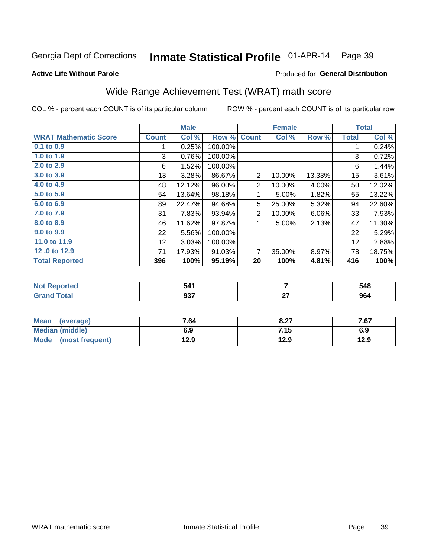#### Inmate Statistical Profile 01-APR-14 Page 39

**Active Life Without Parole** 

#### Produced for General Distribution

# Wide Range Achievement Test (WRAT) math score

COL % - percent each COUNT is of its particular column

|                              |              | <b>Male</b> |         |                | <b>Female</b> |        |              | <b>Total</b> |
|------------------------------|--------------|-------------|---------|----------------|---------------|--------|--------------|--------------|
| <b>WRAT Mathematic Score</b> | <b>Count</b> | Col %       | Row %   | <b>Count</b>   | Col %         | Row %  | <b>Total</b> | Col %        |
| 0.1 to 0.9                   |              | 0.25%       | 100.00% |                |               |        | 4            | 0.24%        |
| 1.0 to 1.9                   | 3            | 0.76%       | 100.00% |                |               |        | 3            | 0.72%        |
| 2.0 to 2.9                   | 6            | 1.52%       | 100.00% |                |               |        | 6            | 1.44%        |
| 3.0 to 3.9                   | 13           | 3.28%       | 86.67%  | 2              | 10.00%        | 13.33% | 15           | 3.61%        |
| 4.0 to 4.9                   | 48           | 12.12%      | 96.00%  | $\overline{2}$ | 10.00%        | 4.00%  | 50           | 12.02%       |
| 5.0 to 5.9                   | 54           | 13.64%      | 98.18%  |                | 5.00%         | 1.82%  | 55           | 13.22%       |
| 6.0 to 6.9                   | 89           | 22.47%      | 94.68%  | 5              | 25.00%        | 5.32%  | 94           | 22.60%       |
| 7.0 to 7.9                   | 31           | 7.83%       | 93.94%  | 2              | 10.00%        | 6.06%  | 33           | 7.93%        |
| 8.0 to 8.9                   | 46           | 11.62%      | 97.87%  | 1              | 5.00%         | 2.13%  | 47           | 11.30%       |
| 9.0 to 9.9                   | 22           | 5.56%       | 100.00% |                |               |        | 22           | 5.29%        |
| 11.0 to 11.9                 | 12           | 3.03%       | 100.00% |                |               |        | 12           | 2.88%        |
| 12.0 to 12.9                 | 71           | 17.93%      | 91.03%  | 7              | 35.00%        | 8.97%  | 78           | 18.75%       |
| <b>Total Reported</b>        | 396          | 100%        | 95.19%  | 20             | 100%          | 4.81%  | 416          | 100%         |

| тео         | . .<br>. л. –<br>J4 I |    | 548  |
|-------------|-----------------------|----|------|
| <b>otal</b> | ^^7                   | ~- | 0C.  |
| - -         | JJ 1                  | -- | JU-. |

| <b>Mean</b><br>(average)       | 7.64 | 8.27 | 7.67 |
|--------------------------------|------|------|------|
| <b>Median (middle)</b>         | 6.9  | 7.15 | 6.9  |
| <b>Mode</b><br>(most frequent) | 12.9 | 12.9 | 12.9 |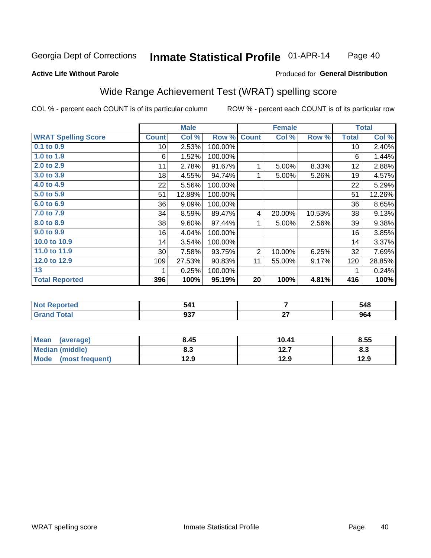#### Inmate Statistical Profile 01-APR-14 Page 40

#### **Active Life Without Parole**

### Produced for General Distribution

# Wide Range Achievement Test (WRAT) spelling score

COL % - percent each COUNT is of its particular column

|                            |                 | <b>Male</b> |         |                | <b>Female</b>  |        |              | <b>Total</b> |
|----------------------------|-----------------|-------------|---------|----------------|----------------|--------|--------------|--------------|
| <b>WRAT Spelling Score</b> | <b>Count</b>    | Col %       | Row %   | <b>Count</b>   | Col %          | Row %  | <b>Total</b> | Col %        |
| $0.1$ to $0.9$             | 10 <sup>1</sup> | 2.53%       | 100.00% |                |                |        | 10           | 2.40%        |
| 1.0 to 1.9                 | 6               | 1.52%       | 100.00% |                |                |        | 6            | 1.44%        |
| 2.0 to 2.9                 | 11              | 2.78%       | 91.67%  | 1              | 5.00%          | 8.33%  | 12           | 2.88%        |
| 3.0 to 3.9                 | 18              | 4.55%       | 94.74%  | 1              | 5.00%          | 5.26%  | 19           | 4.57%        |
| 4.0 to 4.9                 | 22              | 5.56%       | 100.00% |                |                |        | 22           | 5.29%        |
| 5.0 to 5.9                 | 51              | 12.88%      | 100.00% |                |                |        | 51           | 12.26%       |
| 6.0 to 6.9                 | 36              | 9.09%       | 100.00% |                |                |        | 36           | 8.65%        |
| 7.0 to 7.9                 | 34              | 8.59%       | 89.47%  | 4              | 20.00%         | 10.53% | 38           | 9.13%        |
| 8.0 to 8.9                 | 38              | 9.60%       | 97.44%  | 1              | 5.00%          | 2.56%  | 39           | 9.38%        |
| 9.0 to 9.9                 | 16              | 4.04%       | 100.00% |                |                |        | 16           | 3.85%        |
| 10.0 to 10.9               | 14              | 3.54%       | 100.00% |                |                |        | 14           | 3.37%        |
| 11.0 to 11.9               | 30              | 7.58%       | 93.75%  | $\overline{2}$ | 10.00%         | 6.25%  | 32           | 7.69%        |
| 12.0 to 12.9               | 109             | 27.53%      | 90.83%  | 11             | 55.00%         | 9.17%  | 120          | 28.85%       |
| 13                         | 1               | 0.25%       | 100.00% |                |                |        | 1            | 0.24%        |
| <b>Total Reported</b>      | 396             | 100%        | 95.19%  | 20             | 100%           | 4.81%  | 416          | 100%         |
|                            |                 |             |         |                |                |        |              |              |
| <b>Not Reported</b>        |                 | 541         |         |                | $\overline{7}$ |        |              | 548          |
| <b>Grand Total</b>         |                 | 937         |         |                | 27             |        |              | 964          |

| Mean<br>(average)              | 8.45       | 10.41         | 8.55 |
|--------------------------------|------------|---------------|------|
| <b>Median (middle)</b>         | י ה<br>ბ.ა | 1つ 7<br>I 4.I | ი.ა  |
| <b>Mode</b><br>(most frequent) | 12.9       | 12.9          | 12.9 |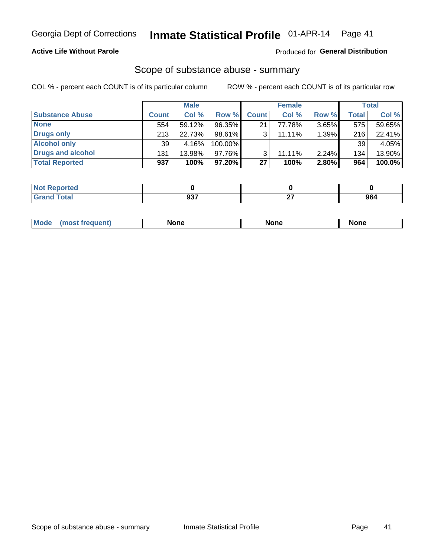### **Active Life Without Parole**

#### Produced for General Distribution

### Scope of substance abuse - summary

COL % - percent each COUNT is of its particular column

|                        |              | <b>Male</b> |                 |              | <b>Female</b> |          |              | Total  |
|------------------------|--------------|-------------|-----------------|--------------|---------------|----------|--------------|--------|
| <b>Substance Abuse</b> | <b>Count</b> | Col %       | Row %           | <b>Count</b> | Col %         | Row %    | <b>Total</b> | Col %  |
| <b>None</b>            | 554          | 59.12%      | 96.35%          | 21           | 77.78%        | $3.65\%$ | 575          | 59.65% |
| Drugs only             | 213          | 22.73%      | 98.61%          |              | $11.11\%$     | 1.39%    | 216          | 22.41% |
| <b>Alcohol only</b>    | 39           | 4.16%       | 100.00%         |              |               |          | 39           | 4.05%  |
| Drugs and alcohol      | 131          | 13.98%      | $97.76\%$       |              | $11.11\%$     | 2.24%    | 134          | 13.90% |
| <b>Total Reported</b>  | 937          | 100%        | 97.20% <b>I</b> | 27           | 100%          | 2.80%    | 964          | 100.0% |

| Reported        |           |           |                       |
|-----------------|-----------|-----------|-----------------------|
| ™otal<br>$\sim$ | רמח<br>JV | ~-<br>. . | 0 <sub>c</sub><br>Y04 |

| Mode<br>None<br>None<br>None<br>quenu |
|---------------------------------------|
|---------------------------------------|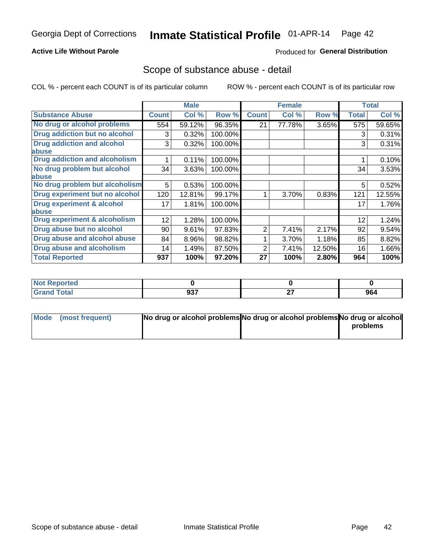### **Active Life Without Parole**

### Produced for General Distribution

## Scope of substance abuse - detail

COL % - percent each COUNT is of its particular column

|                                         |              | <b>Male</b> |         |              | <b>Female</b> |        |              | <b>Total</b> |
|-----------------------------------------|--------------|-------------|---------|--------------|---------------|--------|--------------|--------------|
| <b>Substance Abuse</b>                  | <b>Count</b> | Col %       | Row %   | <b>Count</b> | Col %         | Row %  | <b>Total</b> | Col %        |
| No drug or alcohol problems             | 554          | 59.12%      | 96.35%  | 21           | 77.78%        | 3.65%  | 575          | 59.65%       |
| Drug addiction but no alcohol           | 3            | 0.32%       | 100.00% |              |               |        | 3            | 0.31%        |
| <b>Drug addiction and alcohol</b>       | 3            | 0.32%       | 100.00% |              |               |        | 3            | 0.31%        |
| abuse                                   |              |             |         |              |               |        |              |              |
| <b>Drug addiction and alcoholism</b>    |              | 0.11%       | 100.00% |              |               |        |              | 0.10%        |
| No drug problem but alcohol             | 34           | 3.63%       | 100.00% |              |               |        | 34           | 3.53%        |
| abuse                                   |              |             |         |              |               |        |              |              |
| No drug problem but alcoholism          | 5            | 0.53%       | 100.00% |              |               |        | 5            | 0.52%        |
| Drug experiment but no alcohol          | 120          | 12.81%      | 99.17%  |              | 3.70%         | 0.83%  | 121          | 12.55%       |
| <b>Drug experiment &amp; alcohol</b>    | 17           | 1.81%       | 100.00% |              |               |        | 17           | 1.76%        |
| abuse                                   |              |             |         |              |               |        |              |              |
| <b>Drug experiment &amp; alcoholism</b> | 12           | 1.28%       | 100.00% |              |               |        | 12           | 1.24%        |
| Drug abuse but no alcohol               | 90           | 9.61%       | 97.83%  | 2            | 7.41%         | 2.17%  | 92           | 9.54%        |
| Drug abuse and alcohol abuse            | 84           | 8.96%       | 98.82%  |              | 3.70%         | 1.18%  | 85           | 8.82%        |
| <b>Drug abuse and alcoholism</b>        | 14           | 1.49%       | 87.50%  | 2            | 7.41%         | 12.50% | 16           | 1.66%        |
| <b>Total Reported</b>                   | 937          | 100%        | 97.20%  | 27           | 100%          | 2.80%  | 964          | 100%         |

| Reported<br><b>NOT</b> |             |              |     |
|------------------------|-------------|--------------|-----|
| <b>otal</b>            | ሰ27<br>JJ 1 | $\sim$<br>-- | 964 |

| Mode (most frequent) | No drug or alcohol problems No drug or alcohol problems No drug or alcohol |          |
|----------------------|----------------------------------------------------------------------------|----------|
|                      |                                                                            | problems |
|                      |                                                                            |          |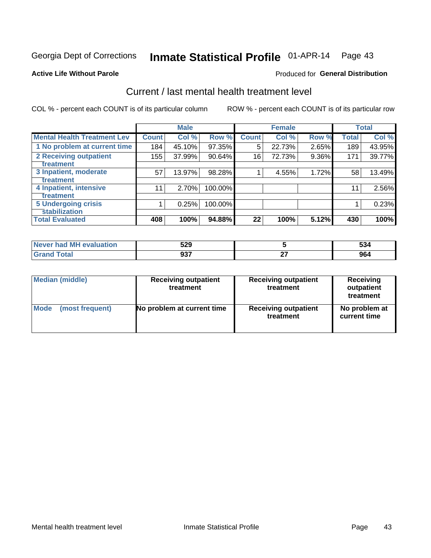# Inmate Statistical Profile 01-APR-14 Page 43

#### **Active Life Without Parole**

### **Produced for General Distribution**

# Current / last mental health treatment level

COL % - percent each COUNT is of its particular column

|                                    |              | <b>Male</b> |         |              | <b>Female</b> |          |              | <b>Total</b> |
|------------------------------------|--------------|-------------|---------|--------------|---------------|----------|--------------|--------------|
| <b>Mental Health Treatment Lev</b> | <b>Count</b> | Col %       | Row %   | <b>Count</b> | Col %         | Row %    | <b>Total</b> | Col %        |
| 1 No problem at current time       | 184          | 45.10%      | 97.35%  | 5            | 22.73%        | 2.65%    | 189          | 43.95%       |
| 2 Receiving outpatient             | 155          | 37.99%      | 90.64%  | 16           | 72.73%        | $9.36\%$ | 171          | 39.77%       |
| <b>Treatment</b>                   |              |             |         |              |               |          |              |              |
| 3 Inpatient, moderate              | 57           | 13.97%      | 98.28%  |              | 4.55%         | 1.72%    | 58           | 13.49%       |
| Treatment                          |              |             |         |              |               |          |              |              |
| 4 Inpatient, intensive             | 11           | 2.70%       | 100.00% |              |               |          | 11           | 2.56%        |
| <b>Treatment</b>                   |              |             |         |              |               |          |              |              |
| <b>5 Undergoing crisis</b>         |              | 0.25%       | 100.00% |              |               |          |              | 0.23%        |
| <b>stabilization</b>               |              |             |         |              |               |          |              |              |
| <b>Total Evaluated</b>             | 408          | 100%        | 94.88%  | 22           | 100%          | 5.12%    | 430          | 100%         |

| evaluation<br>M<br>nar<br>NAVAL 1 | 529<br>JEJ |              | -^<br>50. ل |
|-----------------------------------|------------|--------------|-------------|
|                                   | 027<br>JJ. | $\sim$<br>-- | 964         |

| <b>Median (middle)</b><br><b>Receiving outpatient</b><br>treatment |                            | <b>Receiving outpatient</b><br>treatment | <b>Receiving</b><br>outpatient<br>treatment |  |  |
|--------------------------------------------------------------------|----------------------------|------------------------------------------|---------------------------------------------|--|--|
| <b>Mode</b>                                                        | No problem at current time | <b>Receiving outpatient</b>              | No problem at                               |  |  |
| (most frequent)                                                    |                            | treatment                                | current time                                |  |  |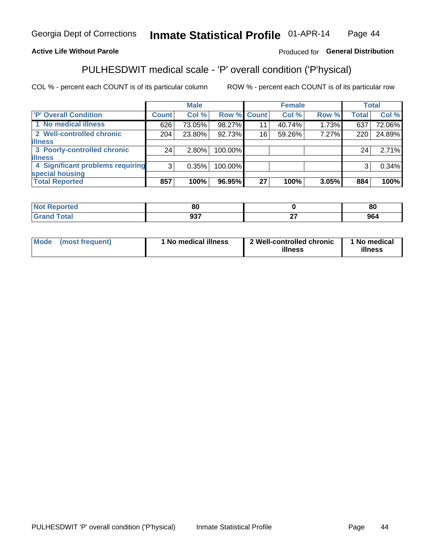#### Inmate Statistical Profile 01-APR-14 Page 44

### **Active Life Without Parole**

### Produced for General Distribution

# PULHESDWIT medical scale - 'P' overall condition ('P'hysical)

COL % - percent each COUNT is of its particular column

|                                  |       | <b>Male</b> |             |    | <b>Female</b> |       |              | <b>Total</b> |
|----------------------------------|-------|-------------|-------------|----|---------------|-------|--------------|--------------|
| 'P' Overall Condition            | Count | Col %       | Row % Count |    | Col %         | Row % | <b>Total</b> | Col %        |
| 1 No medical illness             | 626   | 73.05%      | 98.27%      |    | 40.74%        | 1.73% | 637          | 72.06%       |
| 2 Well-controlled chronic        | 204   | 23.80%      | 92.73%      | 16 | 59.26%        | 7.27% | 220          | 24.89%       |
| <b>illness</b>                   |       |             |             |    |               |       |              |              |
| 3 Poorly-controlled chronic      | 24    | $2.80\%$    | 100.00%     |    |               |       | 24           | 2.71%        |
| <b>illness</b>                   |       |             |             |    |               |       |              |              |
| 4 Significant problems requiring | 3     | 0.35%       | 100.00%     |    |               |       | 3            | 0.34%        |
| special housing                  |       |             |             |    |               |       |              |              |
| <b>Total Reported</b>            | 857   | 100%        | 96.95%      | 27 | 100%          | 3.05% | 884          | 100%         |

| 80             |              | о.<br>οu |
|----------------|--------------|----------|
| $\cdots$<br>uu | $\sim$<br>-- | - -      |

| Mode | (most frequent) | No medical illness | 2 Well-controlled chronic<br>illness | 1 No medical<br>illness |
|------|-----------------|--------------------|--------------------------------------|-------------------------|
|------|-----------------|--------------------|--------------------------------------|-------------------------|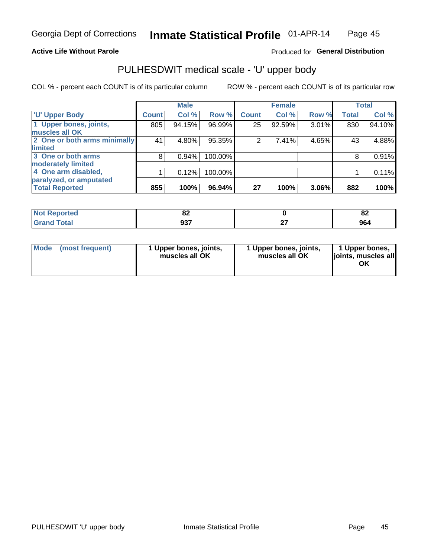#### **Active Life Without Parole**

### Produced for General Distribution

# PULHESDWIT medical scale - 'U' upper body

COL % - percent each COUNT is of its particular column

|                              |               | <b>Male</b> |         |              | <b>Female</b> |       |              | <b>Total</b> |
|------------------------------|---------------|-------------|---------|--------------|---------------|-------|--------------|--------------|
| <b>U' Upper Body</b>         | <b>Count!</b> | Col %       | Row %   | <b>Count</b> | Col %         | Row % | <b>Total</b> | Col %        |
| 1 Upper bones, joints,       | 805           | 94.15%      | 96.99%  | 25           | 92.59%        | 3.01% | 830          | 94.10%       |
| muscles all OK               |               |             |         |              |               |       |              |              |
| 2 One or both arms minimally | 41            | 4.80%       | 95.35%  | 2            | 7.41%         | 4.65% | 43           | 4.88%        |
| limited                      |               |             |         |              |               |       |              |              |
| 3 One or both arms           | 8             | 0.94%       | 100.00% |              |               |       | 8            | 0.91%        |
| <b>moderately limited</b>    |               |             |         |              |               |       |              |              |
| 4 One arm disabled,          |               | 0.12%       | 100.00% |              |               |       |              | 0.11%        |
| paralyzed, or amputated      |               |             |         |              |               |       |              |              |
| <b>Total Reported</b>        | 855           | 100%        | 96.94%  | 27           | 100%          | 3.06% | 882          | 100%         |

| <b>prted</b><br>NOT<br>$\sim$ . The set of $\sim$ | UZ.               | o.<br>0Z |
|---------------------------------------------------|-------------------|----------|
| <b>Total</b><br>_____                             | <b>007</b><br>JJI | 964      |

| Mode | (most frequent) | 1 Upper bones, joints,<br>muscles all OK | 1 Upper bones, joints,<br>muscles all OK | 1 Upper bones,<br>ljoints, muscles all<br>OK |
|------|-----------------|------------------------------------------|------------------------------------------|----------------------------------------------|
|------|-----------------|------------------------------------------|------------------------------------------|----------------------------------------------|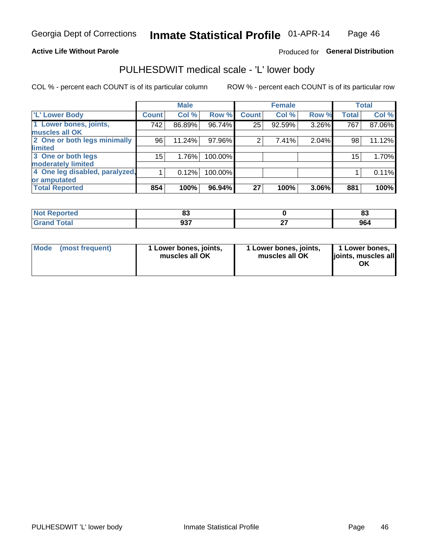#### **Active Life Without Parole**

### Produced for General Distribution

# PULHESDWIT medical scale - 'L' lower body

COL % - percent each COUNT is of its particular column

|                                    | <b>Male</b> |              | <b>Female</b>                                                |              | <b>Total</b>                     |
|------------------------------------|-------------|--------------|--------------------------------------------------------------|--------------|----------------------------------|
| <b>Count</b>                       | Col %       | <b>Count</b> | Col %                                                        | <b>Total</b> | Col %                            |
| 742                                | 86.89%      | 25           | 92.59%                                                       | 767          | 87.06%                           |
|                                    |             |              |                                                              |              |                                  |
| 2 One or both legs minimally<br>96 | 11.24%      | 2            | 7.41%                                                        | 98           | 11.12%                           |
|                                    |             |              |                                                              |              |                                  |
| 15                                 | 1.76%       |              |                                                              | 15           | 1.70%                            |
|                                    |             |              |                                                              |              |                                  |
| 4 One leg disabled, paralyzed,     | 0.12%       |              |                                                              |              | 0.11%                            |
|                                    |             |              |                                                              |              |                                  |
| 854                                | 100%        | 27           | 100%                                                         | 881          | 100%                             |
|                                    |             |              | Row %<br>96.74%<br>97.96%<br>100.00%<br>100.00%<br>$96.94\%$ |              | Row %<br>3.26%<br>2.04%<br>3.06% |

| <b>Not Reported</b>      | uu                 | o.<br>o. |
|--------------------------|--------------------|----------|
| <b>Total</b><br>ا الله ا | <b>007</b><br>JJ 1 | 964      |

| Mode | (most frequent) | 1 Lower bones, joints,<br>muscles all OK | 1 Lower bones, joints,<br>muscles all OK | 1 Lower bones,<br>ljoints, muscles all<br>OK |
|------|-----------------|------------------------------------------|------------------------------------------|----------------------------------------------|
|------|-----------------|------------------------------------------|------------------------------------------|----------------------------------------------|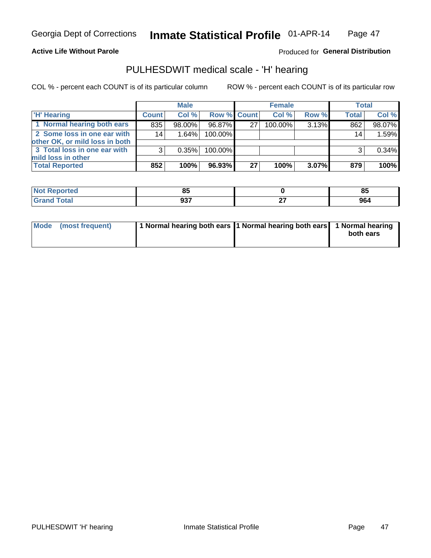#### **Active Life Without Parole**

### Produced for General Distribution

# PULHESDWIT medical scale - 'H' hearing

COL % - percent each COUNT is of its particular column

|                                                               |              | <b>Male</b> |             |    | <b>Female</b> |          | <b>Total</b> |        |
|---------------------------------------------------------------|--------------|-------------|-------------|----|---------------|----------|--------------|--------|
| <b>H' Hearing</b>                                             | <b>Count</b> | Col%        | Row % Count |    | Col %         | Row %    | <b>Total</b> | Col %  |
| 1 Normal hearing both ears                                    | 835          | 98.00%      | 96.87%      | 27 | $100.00\%$    | 3.13%    | 862          | 98.07% |
| 2 Some loss in one ear with<br>other OK, or mild loss in both | 14           | 1.64%       | 100.00%     |    |               |          | 14           | 1.59%  |
| 3 Total loss in one ear with                                  | 3            | 0.35%       | 100.00%     |    |               |          | າ            | 0.34%  |
| mild loss in other                                            |              |             |             |    |               |          |              |        |
| <b>Total Reported</b>                                         | 852          | 100%        | 96.93%      | 27 | 100%          | $3.07\%$ | 879          | 100%   |

| rted.  | --<br>∼ |     | <b>OE</b><br>οū |
|--------|---------|-----|-----------------|
| $\sim$ | ົາລ     | $-$ | 964             |
| ---    | ັບ      | .   |                 |

| Mode (most frequent) | 1 Normal hearing both ears 1 Normal hearing both ears 1 Normal hearing | both ears |
|----------------------|------------------------------------------------------------------------|-----------|
|----------------------|------------------------------------------------------------------------|-----------|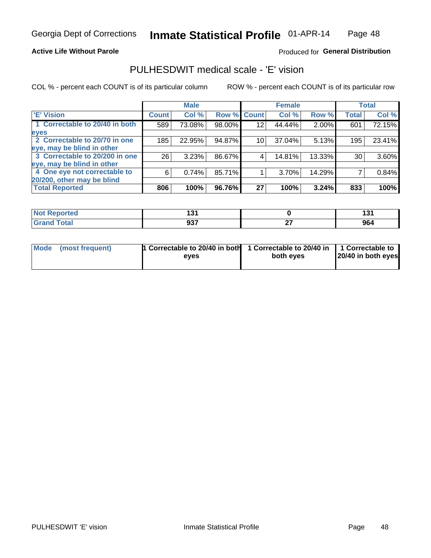#### **Active Life Without Parole**

### Produced for General Distribution

# PULHESDWIT medical scale - 'E' vision

COL % - percent each COUNT is of its particular column

ROW % - percent each COUNT is of its particular row

|                                |              | <b>Male</b> |        |                 | <b>Female</b> |        |              | <b>Total</b> |
|--------------------------------|--------------|-------------|--------|-----------------|---------------|--------|--------------|--------------|
| <b>E' Vision</b>               | <b>Count</b> | Col %       | Row %  | <b>Count</b>    | Col %         | Row %  | <b>Total</b> | Col %        |
| 1 Correctable to 20/40 in both | 589          | 73.08%      | 98.00% | 12              | 44.44%        | 2.00%  | 601          | 72.15%       |
| eyes                           |              |             |        |                 |               |        |              |              |
| 2 Correctable to 20/70 in one  | 185          | 22.95%      | 94.87% | 10 <sub>1</sub> | 37.04%        | 5.13%  | 195          | 23.41%       |
| eye, may be blind in other     |              |             |        |                 |               |        |              |              |
| 3 Correctable to 20/200 in one | 26           | 3.23%       | 86.67% |                 | 14.81%        | 13.33% | 30           | 3.60%        |
| eye, may be blind in other     |              |             |        |                 |               |        |              |              |
| 4 One eye not correctable to   | 6            | 0.74%       | 85.71% |                 | 3.70%         | 14.29% |              | 0.84%        |
| 20/200, other may be blind     |              |             |        |                 |               |        |              |              |
| <b>Total Reported</b>          | 806          | 100%        | 96.76% | 27              | 100%          | 3.24%  | 833          | 100%         |

| <b>Exercised</b><br>NI | 194<br>שו<br>$ -$ |    | $\ddot{\phantom{1}}$ |
|------------------------|-------------------|----|----------------------|
| <b>Total</b>           | <b>027</b>        | ^¬ | 964                  |
| <b>Company</b>         | งง เ              | -- |                      |

| Mode (most frequent) | <sup>1</sup> Correctable to 20/40 in both 1 Correctable to 20/40 in 1 Correctable to<br>eves | both eyes | 20/40 in both eyes |
|----------------------|----------------------------------------------------------------------------------------------|-----------|--------------------|
|                      |                                                                                              |           |                    |

48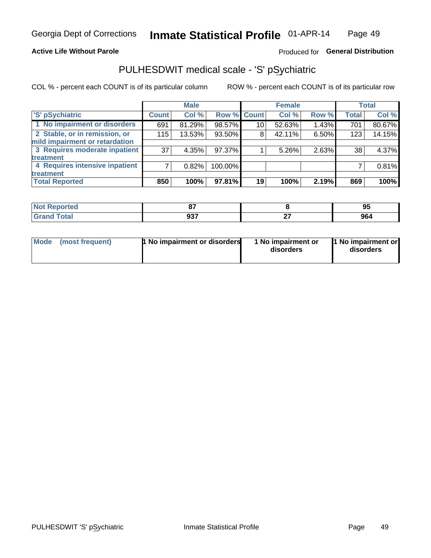#### **Active Life Without Parole**

### Produced for General Distribution

# PULHESDWIT medical scale - 'S' pSychiatric

COL % - percent each COUNT is of its particular column

|                                |              | <b>Male</b> |             |                 | <b>Female</b> |       |              | <b>Total</b> |
|--------------------------------|--------------|-------------|-------------|-----------------|---------------|-------|--------------|--------------|
| 'S' pSychiatric                | <b>Count</b> | Col %       | Row % Count |                 | Col %         | Row % | <b>Total</b> | Col %        |
| 1 No impairment or disorders   | 691          | 81.29%      | 98.57%      | 10 <sup>°</sup> | 52.63%        | 1.43% | 701          | 80.67%       |
| 2 Stable, or in remission, or  | 115          | 13.53%      | 93.50%      | 8               | 42.11%        | 6.50% | 123          | 14.15%       |
| mild impairment or retardation |              |             |             |                 |               |       |              |              |
| 3 Requires moderate inpatient  | 37           | 4.35%       | 97.37%      |                 | 5.26%         | 2.63% | 38           | 4.37%        |
| treatment                      |              |             |             |                 |               |       |              |              |
| 4 Requires intensive inpatient |              | 0.82%       | 100.00%     |                 |               |       |              | 0.81%        |
| treatment                      |              |             |             |                 |               |       |              |              |
| <b>Total Reported</b>          | 850          | 100%        | $97.81\%$   | 19              | 100%          | 2.19% | 869          | 100%         |

| тео | $\sim$<br>o,              |    | . 11<br>ັບ |
|-----|---------------------------|----|------------|
|     | <b>007</b><br>JJ.<br>$ -$ | -- | 964        |

| Mode | (most frequent) | <b>1 No impairment or disorders</b> | 1 No impairment or<br>disorders | 11 No impairment or<br>disorders |
|------|-----------------|-------------------------------------|---------------------------------|----------------------------------|
|------|-----------------|-------------------------------------|---------------------------------|----------------------------------|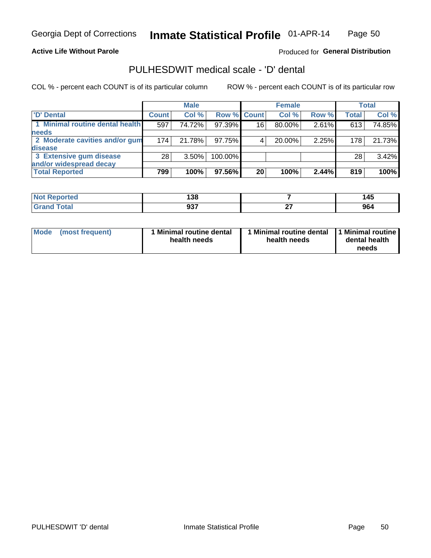#### **Active Life Without Parole**

Produced for General Distribution

# PULHESDWIT medical scale - 'D' dental

COL % - percent each COUNT is of its particular column

|                                 |              | <b>Male</b> |                    |    | <b>Female</b> |       |              | Total  |
|---------------------------------|--------------|-------------|--------------------|----|---------------|-------|--------------|--------|
| 'D' Dental                      | <b>Count</b> | Col %       | <b>Row % Count</b> |    | Col %         | Row % | <b>Total</b> | Col %  |
| 1 Minimal routine dental health | 597          | 74.72%      | 97.39%             | 16 | 80.00%        | 2.61% | 613          | 74.85% |
| <b>needs</b>                    |              |             |                    |    |               |       |              |        |
| 2 Moderate cavities and/or gum  | 174          | 21.78%      | 97.75%             |    | 20.00%        | 2.25% | 178          | 21.73% |
| <b>disease</b>                  |              |             |                    |    |               |       |              |        |
| 3 Extensive gum disease         | 28           | $3.50\%$    | 100.00%            |    |               |       | 28           | 3.42%  |
| and/or widespread decay         |              |             |                    |    |               |       |              |        |
| <b>Total Reported</b>           | 799          | 100%        | 97.56%             | 20 | 100%          | 2.44% | 819          | 100%   |

| <b>NOT Reported</b><br> | ---<br>ີລພ<br>סכ ו |         | 145<br>.                |
|-------------------------|--------------------|---------|-------------------------|
| <b>Total</b>            | רמח<br>ນວ ເ        | <br>. . | 0 <sub>0</sub><br>ี ฮบร |

| <b>Mode</b>     | Minimal routine dental | 1 Minimal routine dental 1 Minimal routine | dental health |
|-----------------|------------------------|--------------------------------------------|---------------|
| (most frequent) | health needs           | health needs                               | needs         |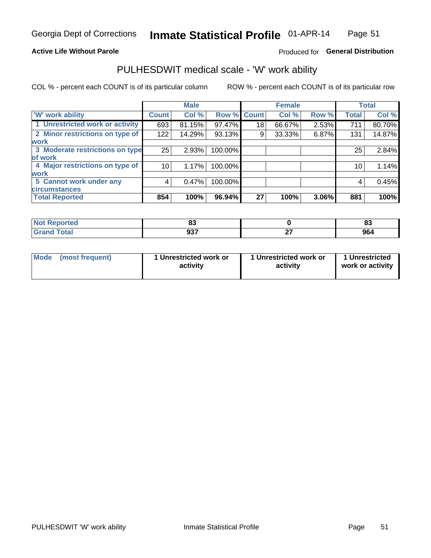#### **Active Life Without Parole**

### Produced for General Distribution

# PULHESDWIT medical scale - 'W' work ability

COL % - percent each COUNT is of its particular column

|                                 |              | <b>Male</b> |         |             | <b>Female</b> |       |              | <b>Total</b> |
|---------------------------------|--------------|-------------|---------|-------------|---------------|-------|--------------|--------------|
| <b>W' work ability</b>          | <b>Count</b> | Col %       |         | Row % Count | Col %         | Row % | <b>Total</b> | Col %        |
| 1 Unrestricted work or activity | 693          | 81.15%      | 97.47%  | 18          | 66.67%        | 2.53% | 711          | 80.70%       |
| 2 Minor restrictions on type of | 122          | 14.29%      | 93.13%  | 9           | 33.33%        | 6.87% | 131          | 14.87%       |
| <b>work</b>                     |              |             |         |             |               |       |              |              |
| 3 Moderate restrictions on type | 25           | 2.93%       | 100.00% |             |               |       | 25           | 2.84%        |
| of work                         |              |             |         |             |               |       |              |              |
| 4 Major restrictions on type of | 10           | 1.17%       | 100.00% |             |               |       | 10           | 1.14%        |
| <b>work</b>                     |              |             |         |             |               |       |              |              |
| 5 Cannot work under any         | 4            | 0.47%       | 100.00% |             |               |       | 4            | 0.45%        |
| <b>circumstances</b>            |              |             |         |             |               |       |              |              |
| <b>Total Reported</b>           | 854          | 100%        | 96.94%  | 27          | 100%          | 3.06% | 881          | 100%         |

| <b>Not Reported</b> | $\mathbf{r}$<br>u, |     | e.<br>$\sim$ |
|---------------------|--------------------|-----|--------------|
| <b>Grand Total</b>  | <b>027</b>         | ~-  | 964          |
| Cron                | ৬১।                | - - |              |

| <b>Mode</b> | (most frequent) | 1 Unrestricted work or<br>activity | 1 Unrestricted work or<br>activity | 1 Unrestricted<br>work or activity |
|-------------|-----------------|------------------------------------|------------------------------------|------------------------------------|
|-------------|-----------------|------------------------------------|------------------------------------|------------------------------------|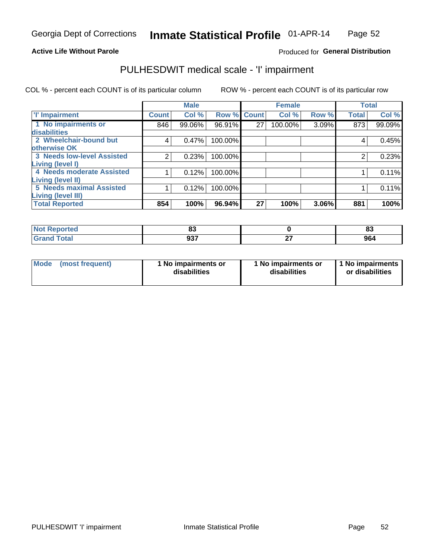#### **Active Life Without Parole**

### Produced for General Distribution

# PULHESDWIT medical scale - 'I' impairment

|                                   |              | <b>Male</b> |             |    | <b>Female</b> |       |              | <b>Total</b> |
|-----------------------------------|--------------|-------------|-------------|----|---------------|-------|--------------|--------------|
| <b>T' Impairment</b>              | <b>Count</b> | Col %       | Row % Count |    | Col %         | Row % | <b>Total</b> | Col %        |
| 1 No impairments or               | 846          | 99.06%      | 96.91%      | 27 | 100.00%       | 3.09% | 873          | 99.09%       |
| <b>disabilities</b>               |              |             |             |    |               |       |              |              |
| 2 Wheelchair-bound but            | 4            | 0.47%       | 100.00%     |    |               |       | 4            | 0.45%        |
| otherwise OK                      |              |             |             |    |               |       |              |              |
| <b>3 Needs low-level Assisted</b> |              | 0.23%       | 100.00%     |    |               |       |              | 0.23%        |
| Living (level I)                  |              |             |             |    |               |       |              |              |
| 4 Needs moderate Assisted         |              | 0.12%       | 100.00%     |    |               |       |              | 0.11%        |
| Living (level II)                 |              |             |             |    |               |       |              |              |
| <b>5 Needs maximal Assisted</b>   |              | 0.12%       | 100.00%     |    |               |       |              | 0.11%        |
| Living (level III)                |              |             |             |    |               |       |              |              |
| <b>Total Reported</b>             | 854          | 100%        | 96.94%      | 27 | 100%          | 3.06% | 881          | 100%         |

| ----<br><b>eported</b><br>N | ^^<br>υJ  |    | e e<br>oJ |
|-----------------------------|-----------|----|-----------|
| $-1$                        | noz       | ~- | 964       |
| _____                       | <b>JJ</b> |    |           |

| <b>Mode</b> | (most frequent) | <b>No impairments or</b><br>disabilities | 1 No impairments or<br>disabilities | 1 No impairments<br>or disabilities |
|-------------|-----------------|------------------------------------------|-------------------------------------|-------------------------------------|
|-------------|-----------------|------------------------------------------|-------------------------------------|-------------------------------------|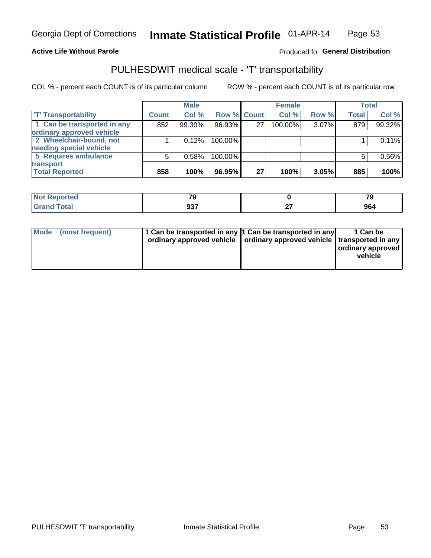#### **Active Life Without Parole**

#### Produced fo General Distribution

# PULHESDWIT medical scale - 'T' transportability

COL % - percent each COUNT is of its particular column

|                             |              | <b>Male</b> |             |    | <b>Female</b> |       |              | <b>Total</b> |
|-----------------------------|--------------|-------------|-------------|----|---------------|-------|--------------|--------------|
| <b>T' Transportability</b>  | <b>Count</b> | Col%        | Row % Count |    | Col %         | Row % | <b>Total</b> | Col %        |
| 1 Can be transported in any | 852          | 99.30%      | 96.93%      | 27 | 100.00%       | 3.07% | 879          | 99.32%       |
| ordinary approved vehicle   |              |             |             |    |               |       |              |              |
| 2 Wheelchair-bound, not     |              | 0.12%       | 100.00%     |    |               |       |              | 0.11%        |
| needing special vehicle     |              |             |             |    |               |       |              |              |
| 5 Requires ambulance        | 5            | 0.58%       | 100.00%     |    |               |       |              | 0.56%        |
| transport                   |              |             |             |    |               |       |              |              |
| <b>Total Reported</b>       | 858          | 100%        | 96.95%      | 27 | 100%          | 3.05% | 885          | 100%         |

| <b>eported</b> | $\overline{\phantom{a}}$<br>- 11 | $\overline{z}$<br>- 2 |
|----------------|----------------------------------|-----------------------|
| <b>otal</b>    | 937                              | JD,                   |

| Mode (most frequent) | 1 Can be transported in any 1 Can be transported in any | ordinary approved vehicle   ordinary approved vehicle   transported in any | 1 Can be<br>ordinary approved<br>vehicle |
|----------------------|---------------------------------------------------------|----------------------------------------------------------------------------|------------------------------------------|
|                      |                                                         |                                                                            |                                          |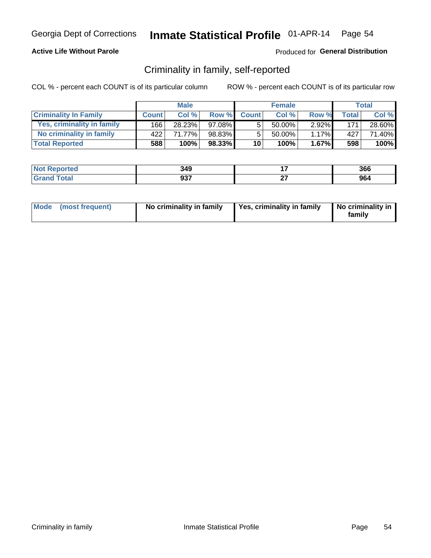### **Active Life Without Parole**

### Produced for General Distribution

# Criminality in family, self-reported

COL % - percent each COUNT is of its particular column

|                              |              | <b>Male</b> |        |                 | <b>Female</b> |          |       | Total  |
|------------------------------|--------------|-------------|--------|-----------------|---------------|----------|-------|--------|
| <b>Criminality In Family</b> | <b>Count</b> | Col%        | Row %  | <b>Count</b>    | Col %         | Row %    | Total | Col %  |
| Yes, criminality in family   | 166          | 28.23%      | 97.08% | 5               | $50.00\%$ .   | $2.92\%$ | 171   | 28.60% |
| No criminality in family     | 422'         | 71.77%      | 98.83% | 5               | $50.00\%$     | $1.17\%$ | 427   | 71.40% |
| <b>Total Reported</b>        | 588          | 100%        | 98.33% | 10 <sup>1</sup> | 100%          | $1.67\%$ | 598   | 100%   |

| <b>Not Reported</b>   | 349                 | 366 |
|-----------------------|---------------------|-----|
| Гоtal<br><b>Grand</b> | <b>027</b><br>່ ສວ. | 964 |

|  | Mode (most frequent) | No criminality in family | Yes, criminality in family | No criminality in<br>family |
|--|----------------------|--------------------------|----------------------------|-----------------------------|
|--|----------------------|--------------------------|----------------------------|-----------------------------|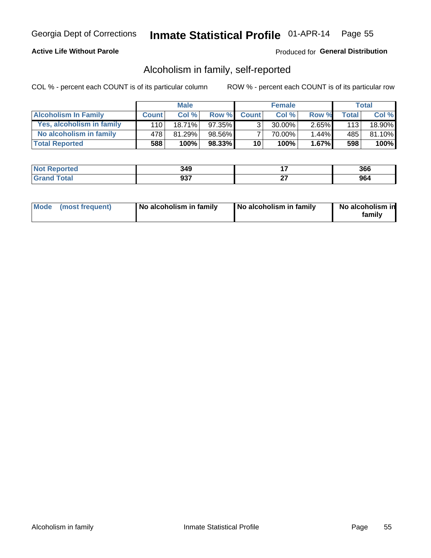### **Active Life Without Parole**

### Produced for General Distribution

# Alcoholism in family, self-reported

COL % - percent each COUNT is of its particular column

|                             |              | <b>Male</b> |        |                 | <b>Female</b> |          |       | Total  |
|-----------------------------|--------------|-------------|--------|-----------------|---------------|----------|-------|--------|
| <b>Alcoholism In Family</b> | <b>Count</b> | Col%        | Row %  | <b>Count</b>    | Col %         | Row %    | Total | Col %  |
| Yes, alcoholism in family   | 110 l        | $18.71\%$   | 97.35% | ર               | 30.00%        | $2.65\%$ | 113   | 18.90% |
| No alcoholism in family     | 478          | 81.29%      | 98.56% |                 | 70.00%        | $1.44\%$ | 485   | 81.10% |
| <b>Total Reported</b>       | 588          | 100%        | 98.33% | 10 <sup>1</sup> | 100%          | $1.67\%$ | 598   | 100%   |

| <b>Not Reported</b> | 349        |     | 366  |
|---------------------|------------|-----|------|
| <b>Grand Total</b>  | <b>027</b> | ~-  | ne.  |
|                     | JJ.        | . . | .ฮบฯ |

|  | Mode (most frequent) | No alcoholism in family | No alcoholism in family | No alcoholism in<br>family |
|--|----------------------|-------------------------|-------------------------|----------------------------|
|--|----------------------|-------------------------|-------------------------|----------------------------|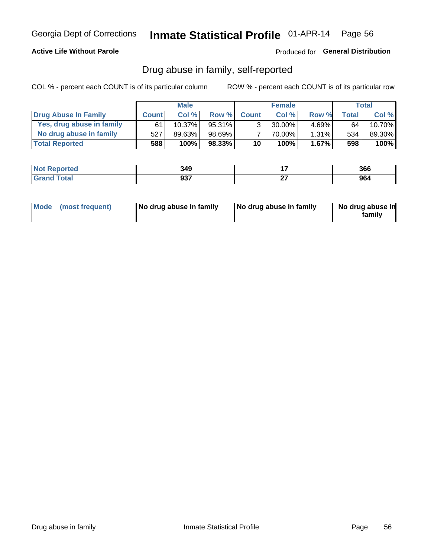### **Active Life Without Parole**

Produced for General Distribution

# Drug abuse in family, self-reported

COL % - percent each COUNT is of its particular column

|                           |              | <b>Male</b> |        |                 | <b>Female</b> |          |       | Total   |
|---------------------------|--------------|-------------|--------|-----------------|---------------|----------|-------|---------|
| Drug Abuse In Family      | <b>Count</b> | Col%        | Row %  | <b>Count</b>    | Col%          | Row %    | Total | Col %   |
| Yes, drug abuse in family | 61           | $10.37\%$   | 95.31% | 3 <sub>1</sub>  | $30.00\%$     | $4.69\%$ | 64    | 10.70%  |
| No drug abuse in family   | 527          | 89.63%      | 98.69% |                 | 70.00%        | 1.31%    | 534   | 89.30%  |
| <b>Total Reported</b>     | 588          | 100%        | 98.33% | 10 <sub>1</sub> | 100%          | $1.67\%$ | 598   | $100\%$ |

| <b>Not Reported</b>    | 349        |           | 366           |
|------------------------|------------|-----------|---------------|
| <b>Total</b><br>l Gran | 027<br>JJ. | ~-<br>. . | $\sim$<br>JV. |

|  | Mode (most frequent) | No drug abuse in family | No drug abuse in family | No drug abuse in<br>family |
|--|----------------------|-------------------------|-------------------------|----------------------------|
|--|----------------------|-------------------------|-------------------------|----------------------------|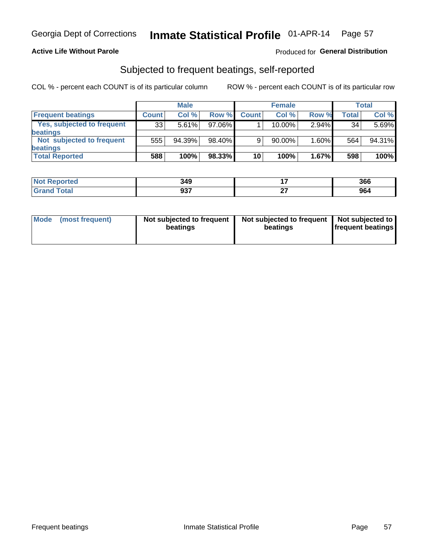### **Active Life Without Parole**

### Produced for General Distribution

# Subjected to frequent beatings, self-reported

COL % - percent each COUNT is of its particular column

|                                   |              | <b>Male</b> |        |              | <b>Female</b> |       |       | Total  |
|-----------------------------------|--------------|-------------|--------|--------------|---------------|-------|-------|--------|
| <b>Frequent beatings</b>          | <b>Count</b> | Col %       | Row %  | <b>Count</b> | Col %         | Row % | Total | Col %  |
| <b>Yes, subjected to frequent</b> | 33           | 5.61%       | 97.06% |              | 10.00%        | 2.94% | 34    | 5.69%  |
| beatings                          |              |             |        |              |               |       |       |        |
| Not subjected to frequent         | 555          | 94.39%      | 98.40% | 9            | 90.00%        | 1.60% | 564   | 94.31% |
| beatings                          |              |             |        |              |               |       |       |        |
| <b>Total Reported</b>             | 588          | 100%        | 98.33% | 10           | 100%          | 1.67% | 598   | 100%   |

| <b>Not Reported</b> | 349         |        | 366 |
|---------------------|-------------|--------|-----|
| <b>Total</b>        | 027<br>ນວ ເ | $\sim$ | 964 |

| Mode | (most frequent) | Not subjected to frequent<br>beatings | Not subjected to frequent   Not subjected to<br>beatings | <b>frequent beatings</b> |
|------|-----------------|---------------------------------------|----------------------------------------------------------|--------------------------|
|      |                 |                                       |                                                          |                          |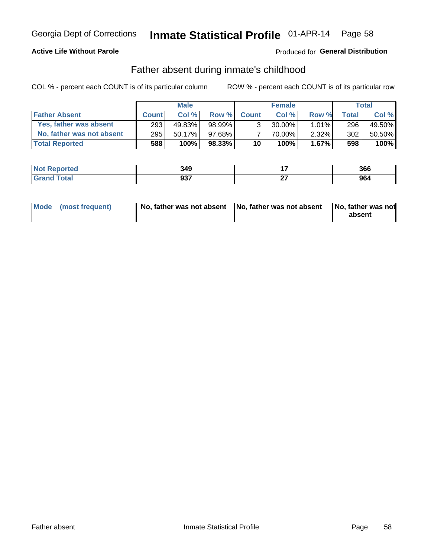### **Active Life Without Parole**

### **Produced for General Distribution**

# Father absent during inmate's childhood

COL % - percent each COUNT is of its particular column

|                           |              | <b>Male</b> |           |                 | <b>Female</b> |          |              | Total  |
|---------------------------|--------------|-------------|-----------|-----------------|---------------|----------|--------------|--------|
| <b>Father Absent</b>      | <b>Count</b> | Col%        | Row %     | <b>Count</b>    | Col %         | Row %    | <b>Total</b> | Col %  |
| Yes, father was absent    | 293          | 49.83%      | 98.99%    | $\mathcal{R}$   | $30.00\%$     | $1.01\%$ | 296          | 49.50% |
| No, father was not absent | 295          | 50.17%      | 97.68%    |                 | 70.00%        | $2.32\%$ | 302          | 50.50% |
| <b>Total Reported</b>     | 588          | 100%        | $98.33\%$ | 10 <sup>1</sup> | 100%          | $1.67\%$ | 598          | 100%   |

| <b>Not Reported</b>   | 349                 | 366 |
|-----------------------|---------------------|-----|
| Гоtal<br><b>Grand</b> | <b>027</b><br>່ ສວ. | 964 |

|  | Mode (most frequent) | No, father was not absent No, father was not absent |  | No, father was not<br>absent |
|--|----------------------|-----------------------------------------------------|--|------------------------------|
|--|----------------------|-----------------------------------------------------|--|------------------------------|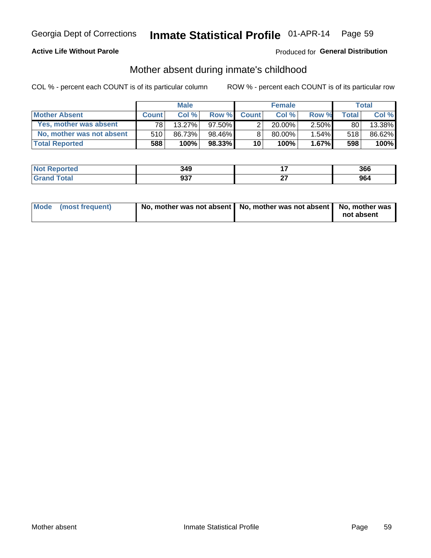### **Active Life Without Parole**

### **Produced for General Distribution**

# Mother absent during inmate's childhood

COL % - percent each COUNT is of its particular column

|                           |              | <b>Male</b> |           |              | <b>Female</b> |          |                | <b>Total</b> |
|---------------------------|--------------|-------------|-----------|--------------|---------------|----------|----------------|--------------|
| <b>Mother Absent</b>      | <b>Count</b> | Col%        | Row %     | <b>Count</b> | Col%          | Row %    | <b>Total</b> I | Col %        |
| Yes, mother was absent    | 781          | 13.27%      | $97.50\%$ | ◠            | $20.00\%$     | $2.50\%$ | 80             | 13.38%       |
| No, mother was not absent | 510          | 86.73%      | 98.46% ∎  |              | $80.00\%$     | $1.54\%$ | 518            | 86.62%       |
| <b>Total Reported</b>     | 588          | 100%        | $98.33\%$ | 10           | 100%          | $1.67\%$ | 598            | 100%         |

| <b>Not Reported</b> | 349        |               | 366       |
|---------------------|------------|---------------|-----------|
| 'otal<br>l Gran     | 027<br>JJI | $\sim$<br>. . | ne.<br>JU |

| Mode (most frequent) | No, mother was not absent   No, mother was not absent   No, mother was | not absent |
|----------------------|------------------------------------------------------------------------|------------|
|                      |                                                                        |            |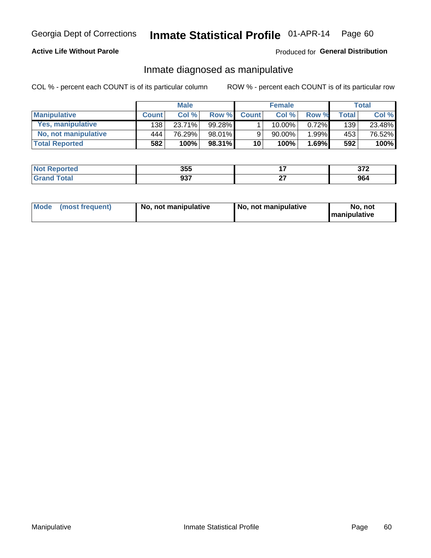### **Active Life Without Parole**

### Produced for General Distribution

# Inmate diagnosed as manipulative

COL % - percent each COUNT is of its particular column

|                       |              | <b>Male</b> |        |                 | <b>Female</b> |       |              | Total  |
|-----------------------|--------------|-------------|--------|-----------------|---------------|-------|--------------|--------|
| <b>Manipulative</b>   | <b>Count</b> | Col %       | Row %  | <b>Count</b>    | Col %         | Row % | <b>Total</b> | Col %  |
| Yes, manipulative     | 138          | $23.71\%$   | 99.28% |                 | 10.00%        | 0.72% | 139          | 23.48% |
| No, not manipulative  | 444          | 76.29%      | 98.01% | 9               | 90.00%        | 1.99% | 453          | 76.52% |
| <b>Total Reported</b> | 582          | 100%        | 98.31% | 10 <sup>1</sup> | 100%          | 1.69% | 592          | 100%   |

| <b>Not</b><br><b>' Reported</b> | 355               |           | 272<br>् । य |
|---------------------------------|-------------------|-----------|--------------|
| <b>c</b> otal<br>'Gran          | <b>027</b><br>JJ. | ~-<br>. . | 964          |

|  | Mode (most frequent) | No, not manipulative | No, not manipulative | No. not<br><b>I</b> manipulative |
|--|----------------------|----------------------|----------------------|----------------------------------|
|--|----------------------|----------------------|----------------------|----------------------------------|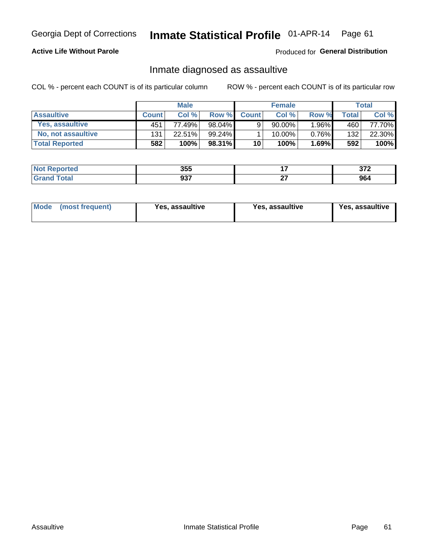# Inmate Statistical Profile 01-APR-14 Page 61

### **Active Life Without Parole**

Produced for General Distribution

# Inmate diagnosed as assaultive

COL % - percent each COUNT is of its particular column

|                       |              | <b>Male</b> |        |              | <b>Female</b> |          |              | Total  |
|-----------------------|--------------|-------------|--------|--------------|---------------|----------|--------------|--------|
| <b>Assaultive</b>     | <b>Count</b> | Col%        | Row %  | <b>Count</b> | Col %         | Row %    | <b>Total</b> | Col %  |
| Yes, assaultive       | 451          | 77.49%      | 98.04% | 9            | $90.00\%$     | $.96\%$  | 460          | 77.70% |
| No, not assaultive    | 131          | 22.51%      | 99.24% |              | 10.00%        | $0.76\%$ | 132          | 22.30% |
| <b>Total Reported</b> | 582          | 100%        | 98.31% | 10           | 100%          | $1.69\%$ | 592          | 100%   |

| <b>Not Reported</b> | 355        |     | ^70<br><b>VIL</b> |
|---------------------|------------|-----|-------------------|
| <b>Total</b>        | <b>027</b> | ~-  | ne.               |
| ' Grand             | JJ.        | . . | JU4               |

| Mode (most frequent)<br>Yes, assaultive | Yes, assaultive | <b>Yes, assaultive</b> |
|-----------------------------------------|-----------------|------------------------|
|-----------------------------------------|-----------------|------------------------|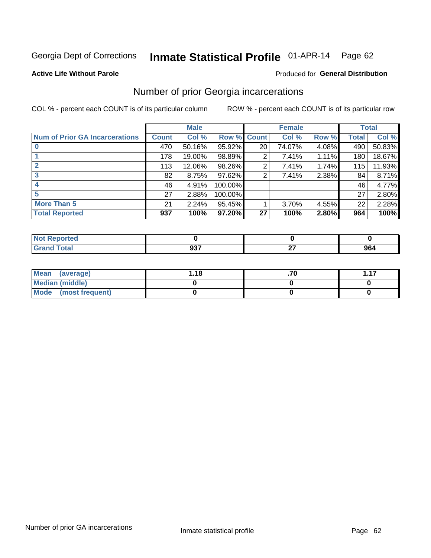#### Inmate Statistical Profile 01-APR-14 Page 62

#### **Active Life Without Parole**

#### Produced for General Distribution

# Number of prior Georgia incarcerations

COL % - percent each COUNT is of its particular column

|                                       | <b>Male</b>  |        |             |                 | <b>Female</b> | <b>Total</b> |       |        |
|---------------------------------------|--------------|--------|-------------|-----------------|---------------|--------------|-------|--------|
| <b>Num of Prior GA Incarcerations</b> | <b>Count</b> | Col %  | Row % Count |                 | Col %         | Row %        | Total | Col %  |
|                                       | 470          | 50.16% | 95.92%      | 20 <sub>1</sub> | 74.07%        | 4.08%        | 490   | 50.83% |
|                                       | 178          | 19.00% | 98.89%      | 2               | 7.41%         | 1.11%        | 180   | 18.67% |
|                                       | 113          | 12.06% | 98.26%      | 2               | 7.41%         | 1.74%        | 115   | 11.93% |
| 3                                     | 82           | 8.75%  | $97.62\%$   | 2               | 7.41%         | 2.38%        | 84    | 8.71%  |
| 4                                     | 46           | 4.91%  | 100.00%     |                 |               |              | 46    | 4.77%  |
| 5                                     | 27           | 2.88%  | 100.00%     |                 |               |              | 27    | 2.80%  |
| <b>More Than 5</b>                    | 21           | 2.24%  | 95.45%      |                 | 3.70%         | 4.55%        | 22    | 2.28%  |
| <b>Total Reported</b>                 | 937          | 100%   | 97.20%      | 27              | 100%          | 2.80%        | 964   | 100%   |

| <b>orteo</b>     |          |   |     |
|------------------|----------|---|-----|
| <b>otal</b>      | $\cdots$ | . | 964 |
| $\mathbf{v}$ and | ິ        |   |     |

| Mean (average)       | l.18 | $\overline{47}$ |
|----------------------|------|-----------------|
| Median (middle)      |      |                 |
| Mode (most frequent) |      |                 |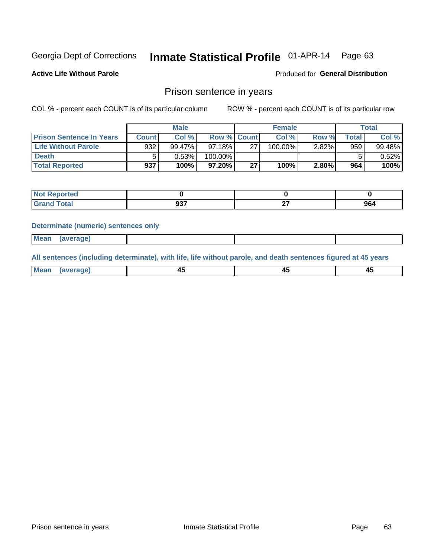#### Inmate Statistical Profile 01-APR-14 Page 63

**Active Life Without Parole** 

Produced for General Distribution

### Prison sentence in years

COL % - percent each COUNT is of its particular column

ROW % - percent each COUNT is of its particular row

|                                 | <b>Male</b> |          |           | <b>Female</b> |            |       | $\tau$ otal |          |
|---------------------------------|-------------|----------|-----------|---------------|------------|-------|-------------|----------|
| <b>Prison Sentence In Years</b> | Count       | Col %    |           | Row % Count   | Col %      | Row % | Total       | Col %    |
| <b>Life Without Parole</b>      | 932         | 99.47%   | $97.18\%$ | 27            | $100.00\%$ | 2.82% | 959         | 99.48%   |
| <b>Death</b>                    |             | $0.53\%$ | 100.00%   |               |            |       |             | $0.52\%$ |
| <b>Total Reported</b>           | 937         | 100%     | 97.20%    | 27            | 100%       | 2.80% | 964         | 100%     |

| ported<br><b>NOT</b> |            |        |     |
|----------------------|------------|--------|-----|
| <b>Total</b><br>Grat | 027<br>JJ. | $\sim$ | 964 |

#### **Determinate (numeric) sentences only**

| ' Mea<br><b>Service</b> A<br>ЯМА. |  |  |  |
|-----------------------------------|--|--|--|
|                                   |  |  |  |

All sentences (including determinate), with life, life without parole, and death sentences figured at 45 years

| l Mea<br>חר<br> | ᠇៶<br>$\sim$ | $\sim$ | ╌ |
|-----------------|--------------|--------|---|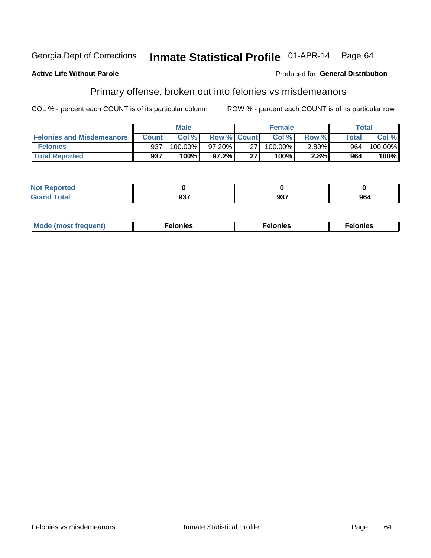#### **Active Life Without Parole**

### **Produced for General Distribution**

# Primary offense, broken out into felonies vs misdemeanors

COL % - percent each COUNT is of its particular column

|                                  | <b>Male</b>  |           |                    | <b>Female</b> |         |          | Total        |         |
|----------------------------------|--------------|-----------|--------------------|---------------|---------|----------|--------------|---------|
| <b>Felonies and Misdemeanors</b> | <b>Count</b> | Col%      | <b>Row % Count</b> |               | Col%    | Row %    | <b>Total</b> | Col %   |
| <b>Felonies</b>                  | 937          | 100.00%   | 97.20%             | 27            | 100.00% | $2.80\%$ | 964          | 100.00% |
| <b>Total Reported</b>            | 937          | $100\%$ . | 97.2%              | 27            | 100%    | 2.8%     | 964          | 100%    |

| <b>Not Reported</b>         |                      |            |     |
|-----------------------------|----------------------|------------|-----|
| <b>Total</b><br>Gran<br>uuu | $\sim$ $\sim$ $\sim$ | ^^7<br>JJ. | 964 |

| <b>Mode</b><br>frequent)<br>nies<br>≧ (most tr.<br>. | onies<br>. | lonies<br>ею<br>____ |
|------------------------------------------------------|------------|----------------------|
|------------------------------------------------------|------------|----------------------|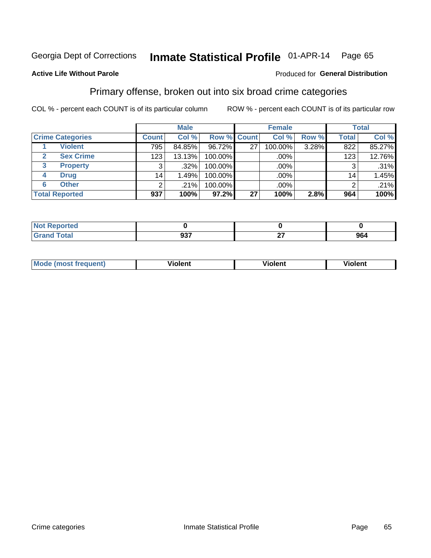#### Inmate Statistical Profile 01-APR-14 Page 65

#### **Active Life Without Parole**

#### Produced for General Distribution

# Primary offense, broken out into six broad crime categories

COL % - percent each COUNT is of its particular column

|                         |                 | <b>Male</b> |                    |    | <b>Female</b> |       |                  | <b>Total</b> |
|-------------------------|-----------------|-------------|--------------------|----|---------------|-------|------------------|--------------|
| <b>Crime Categories</b> | <b>Count</b>    | Col %       | <b>Row % Count</b> |    | Col %         | Row % | <b>Total</b>     | Col %        |
| <b>Violent</b>          | 795             | 84.85%      | 96.72%             | 27 | 100.00%       | 3.28% | 822              | 85.27%       |
| <b>Sex Crime</b>        | 123             | 13.13%      | 100.00%            |    | .00%          |       | 123 <sub>1</sub> | 12.76%       |
| 3<br><b>Property</b>    | 3               | .32%        | 100.00%            |    | .00%          |       | 3                | $.31\%$      |
| <b>Drug</b><br>4        | 14 <sub>1</sub> | 1.49%       | 100.00%            |    | .00%          |       | 14 <sub>1</sub>  | 1.45%        |
| <b>Other</b><br>6       | $\overline{2}$  | .21%        | 100.00%            |    | .00%          |       | 2                | .21%         |
| <b>Total Reported</b>   | 937             | 100%        | 97.2%              | 27 | 100%          | 2.8%  | 964              | 100%         |

| <b>Not Reported</b> |            |             |     |
|---------------------|------------|-------------|-----|
| Total               | 027<br>JJI | $\sim$<br>. | 964 |

| М | ,,, | - -- -<br>וחו | m |
|---|-----|---------------|---|
|   |     |               |   |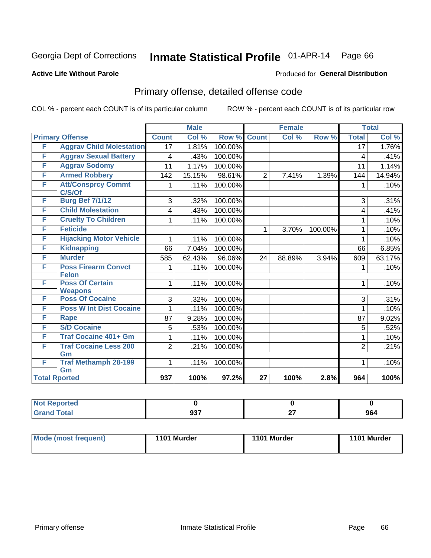# Inmate Statistical Profile 01-APR-14 Page 66

Produced for General Distribution

### **Active Life Without Parole**

# Primary offense, detailed offense code

COL % - percent each COUNT is of its particular column

|                      |                                 |                  | <b>Male</b> |         |                 | <b>Female</b> |         |                 | <b>Total</b> |
|----------------------|---------------------------------|------------------|-------------|---------|-----------------|---------------|---------|-----------------|--------------|
|                      | <b>Primary Offense</b>          | <b>Count</b>     | Col %       | Row %   | <b>Count</b>    | Col %         | Row %   | <b>Total</b>    | Col %        |
| F                    | <b>Aggrav Child Molestation</b> | $\overline{17}$  | 1.81%       | 100.00% |                 |               |         | $\overline{17}$ | 1.76%        |
| F                    | <b>Aggrav Sexual Battery</b>    | 4                | .43%        | 100.00% |                 |               |         | 4               | .41%         |
| F                    | <b>Aggrav Sodomy</b>            | 11               | 1.17%       | 100.00% |                 |               |         | 11              | 1.14%        |
| F                    | <b>Armed Robbery</b>            | 142              | 15.15%      | 98.61%  | $\overline{2}$  | 7.41%         | 1.39%   | 144             | 14.94%       |
| F                    | <b>Att/Consprcy Commt</b>       | 1                | .11%        | 100.00% |                 |               |         | 1               | .10%         |
|                      | C/S/Of                          |                  |             |         |                 |               |         |                 |              |
| F                    | <b>Burg Bef 7/1/12</b>          | 3                | .32%        | 100.00% |                 |               |         | 3               | .31%         |
| F                    | <b>Child Molestation</b>        | 4                | .43%        | 100.00% |                 |               |         | 4               | .41%         |
| F                    | <b>Cruelty To Children</b>      | 1                | .11%        | 100.00% |                 |               |         | 1               | .10%         |
| F                    | <b>Feticide</b>                 |                  |             |         | 1               | 3.70%         | 100.00% | 1               | .10%         |
| F                    | <b>Hijacking Motor Vehicle</b>  | 1                | .11%        | 100.00% |                 |               |         | 1               | .10%         |
| F                    | <b>Kidnapping</b>               | 66               | 7.04%       | 100.00% |                 |               |         | 66              | 6.85%        |
| F                    | <b>Murder</b>                   | 585              | 62.43%      | 96.06%  | 24              | 88.89%        | 3.94%   | 609             | 63.17%       |
| F                    | <b>Poss Firearm Convct</b>      | 1                | .11%        | 100.00% |                 |               |         | 1               | .10%         |
|                      | <b>Felon</b>                    |                  |             |         |                 |               |         |                 |              |
| F                    | <b>Poss Of Certain</b>          | 1                | .11%        | 100.00% |                 |               |         | 1               | .10%         |
|                      | <b>Weapons</b>                  |                  |             |         |                 |               |         |                 |              |
| F                    | <b>Poss Of Cocaine</b>          | 3                | .32%        | 100.00% |                 |               |         | 3               | .31%         |
| F                    | <b>Poss W Int Dist Cocaine</b>  | 1                | .11%        | 100.00% |                 |               |         | 1               | .10%         |
| F                    | Rape                            | 87               | 9.28%       | 100.00% |                 |               |         | 87              | 9.02%        |
| F                    | <b>S/D Cocaine</b>              | 5                | .53%        | 100.00% |                 |               |         | 5               | .52%         |
| F                    | <b>Traf Cocaine 401+ Gm</b>     | 1                | .11%        | 100.00% |                 |               |         |                 | .10%         |
| F                    | <b>Traf Cocaine Less 200</b>    | $\overline{2}$   | .21%        | 100.00% |                 |               |         | $\overline{2}$  | .21%         |
|                      | Gm                              |                  |             |         |                 |               |         |                 |              |
| F                    | <b>Traf Methamph 28-199</b>     | 1                | .11%        | 100.00% |                 |               |         | 1               | .10%         |
|                      | Gm                              |                  |             |         |                 |               |         |                 |              |
| <b>Total Rported</b> |                                 | $\overline{937}$ | 100%        | 97.2%   | $\overline{27}$ | 100%          | 2.8%    | 964             | 100%         |

| Reported            |            |    |     |
|---------------------|------------|----|-----|
| <b>Total</b><br>Gra | 027<br>JJ. | ~- | 964 |

| <b>Mode (most frequent)</b> | 1101 Murder | 1101 Murder | 1101 Murder |
|-----------------------------|-------------|-------------|-------------|
|                             |             |             |             |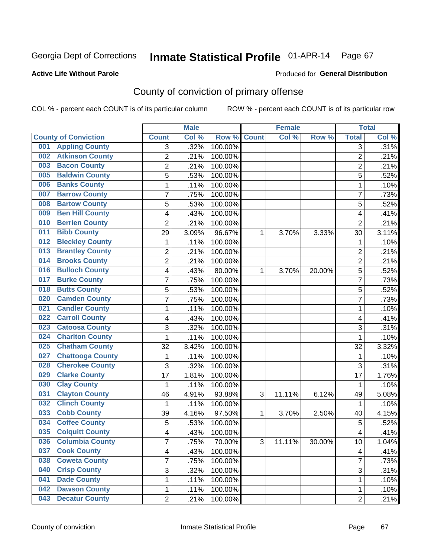#### **Active Life Without Parole**

#### Produced for **General Distribution**

# County of conviction of primary offense

|                                |                         | <b>Male</b> |         |              | <b>Female</b> |           |                | <b>Total</b> |
|--------------------------------|-------------------------|-------------|---------|--------------|---------------|-----------|----------------|--------------|
| <b>County of Conviction</b>    | <b>Count</b>            | Col %       | Row %   | <b>Count</b> | Col %         | Row %     | <b>Total</b>   | Col %        |
| <b>Appling County</b><br>001   | 3                       | .32%        | 100.00% |              |               |           | $\overline{3}$ | .31%         |
| <b>Atkinson County</b><br>002  | $\overline{2}$          | .21%        | 100.00% |              |               |           | $\overline{2}$ | .21%         |
| <b>Bacon County</b><br>003     | 2                       | .21%        | 100.00% |              |               |           | $\overline{2}$ | .21%         |
| <b>Baldwin County</b><br>005   | 5                       | .53%        | 100.00% |              |               |           | 5              | .52%         |
| <b>Banks County</b><br>006     | 1                       | .11%        | 100.00% |              |               |           | $\mathbf{1}$   | .10%         |
| <b>Barrow County</b><br>007    | 7                       | .75%        | 100.00% |              |               |           | $\overline{7}$ | .73%         |
| <b>Bartow County</b><br>008    | 5                       | .53%        | 100.00% |              |               |           | 5              | .52%         |
| <b>Ben Hill County</b><br>009  | 4                       | .43%        | 100.00% |              |               |           | 4              | .41%         |
| <b>Berrien County</b><br>010   | $\overline{2}$          | .21%        | 100.00% |              |               |           | $\overline{2}$ | .21%         |
| <b>Bibb County</b><br>011      | 29                      | 3.09%       | 96.67%  | 1            | 3.70%         | 3.33%     | 30             | 3.11%        |
| <b>Bleckley County</b><br>012  | 1                       | .11%        | 100.00% |              |               |           | $\mathbf 1$    | .10%         |
| <b>Brantley County</b><br>013  | $\overline{2}$          | .21%        | 100.00% |              |               |           | $\overline{2}$ | .21%         |
| <b>Brooks County</b><br>014    | 2                       | .21%        | 100.00% |              |               |           | $\overline{2}$ | .21%         |
| <b>Bulloch County</b><br>016   | 4                       | .43%        | 80.00%  | 1            | 3.70%         | 20.00%    | 5              | .52%         |
| <b>Burke County</b><br>017     | 7                       | .75%        | 100.00% |              |               |           | $\overline{7}$ | .73%         |
| <b>Butts County</b><br>018     | 5                       | .53%        | 100.00% |              |               |           | 5              | .52%         |
| <b>Camden County</b><br>020    | 7                       | .75%        | 100.00% |              |               |           | 7              | .73%         |
| <b>Candler County</b><br>021   | 1                       | .11%        | 100.00% |              |               |           | 1              | .10%         |
| <b>Carroll County</b><br>022   | 4                       | .43%        | 100.00% |              |               |           | 4              | .41%         |
| <b>Catoosa County</b><br>023   | 3                       | .32%        | 100.00% |              |               |           | 3              | .31%         |
| <b>Charlton County</b><br>024  | 1                       | .11%        | 100.00% |              |               |           | $\mathbf{1}$   | .10%         |
| <b>Chatham County</b><br>025   | 32                      | 3.42%       | 100.00% |              |               |           | 32             | 3.32%        |
| <b>Chattooga County</b><br>027 | 1                       | .11%        | 100.00% |              |               |           | 1              | .10%         |
| <b>Cherokee County</b><br>028  | 3                       | .32%        | 100.00% |              |               |           | 3              | .31%         |
| <b>Clarke County</b><br>029    | 17                      | 1.81%       | 100.00% |              |               |           | 17             | 1.76%        |
| <b>Clay County</b><br>030      | 1                       | .11%        | 100.00% |              |               |           | 1              | .10%         |
| <b>Clayton County</b><br>031   | 46                      | 4.91%       | 93.88%  | 3            | 11.11%        | 6.12%     | 49             | 5.08%        |
| <b>Clinch County</b><br>032    | 1                       | .11%        | 100.00% |              |               |           | 1              | .10%         |
| <b>Cobb County</b><br>033      | 39                      | 4.16%       | 97.50%  | 1            | 3.70%         | 2.50%     | 40             | 4.15%        |
| <b>Coffee County</b><br>034    | 5                       | .53%        | 100.00% |              |               |           | 5              | .52%         |
| <b>Colquitt County</b><br>035  | 4                       | .43%        | 100.00% |              |               |           | 4              | .41%         |
| <b>Columbia County</b><br>036  | <sup>'</sup>            | .75%        | 70.00%  | 3            | 11.11%        | $30.00\%$ | 10             | 1.04%        |
| <b>Cook County</b><br>037      | $\overline{\mathbf{4}}$ | .43%        | 100.00% |              |               |           | 4              | .41%         |
| <b>Coweta County</b><br>038    | 7                       | .75%        | 100.00% |              |               |           | $\overline{7}$ | .73%         |
| <b>Crisp County</b><br>040     | 3                       | .32%        | 100.00% |              |               |           | 3              | .31%         |
| <b>Dade County</b><br>041      | 1                       | .11%        | 100.00% |              |               |           | 1              | .10%         |
| <b>Dawson County</b><br>042    | 1                       | .11%        | 100.00% |              |               |           | 1              | .10%         |
| <b>Decatur County</b><br>043   | $\overline{2}$          | .21%        | 100.00% |              |               |           | $\overline{2}$ | .21%         |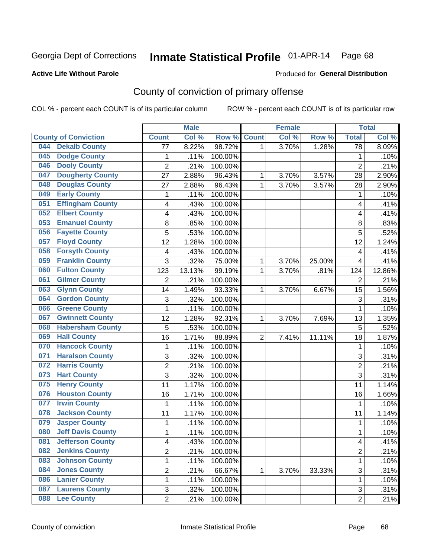#### **Active Life Without Parole**

#### Produced for **General Distribution**

# County of conviction of primary offense

|     |                             |                         | <b>Male</b> |         |                | <b>Female</b> |        |                         | <b>Total</b>       |
|-----|-----------------------------|-------------------------|-------------|---------|----------------|---------------|--------|-------------------------|--------------------|
|     | <b>County of Conviction</b> | <b>Count</b>            | Col %       | Row %   | <b>Count</b>   | Col %         | Row %  | <b>Total</b>            | Col %              |
| 044 | <b>Dekalb County</b>        | $\overline{77}$         | 8.22%       | 98.72%  | 1              | 3.70%         | 1.28%  | $\overline{78}$         | 8.09%              |
| 045 | <b>Dodge County</b>         | 1                       | .11%        | 100.00% |                |               |        | 1                       | .10%               |
| 046 | <b>Dooly County</b>         | $\overline{c}$          | .21%        | 100.00% |                |               |        | $\overline{2}$          | .21%               |
| 047 | <b>Dougherty County</b>     | 27                      | 2.88%       | 96.43%  | 1              | 3.70%         | 3.57%  | 28                      | 2.90%              |
| 048 | <b>Douglas County</b>       | 27                      | 2.88%       | 96.43%  | $\mathbf{1}$   | 3.70%         | 3.57%  | 28                      | 2.90%              |
| 049 | <b>Early County</b>         | 1                       | .11%        | 100.00% |                |               |        | 1                       | .10%               |
| 051 | <b>Effingham County</b>     | 4                       | .43%        | 100.00% |                |               |        | 4                       | .41%               |
| 052 | <b>Elbert County</b>        | 4                       | .43%        | 100.00% |                |               |        | 4                       | .41%               |
| 053 | <b>Emanuel County</b>       | 8                       | .85%        | 100.00% |                |               |        | $\,8\,$                 | .83%               |
| 056 | <b>Fayette County</b>       | $\overline{5}$          | .53%        | 100.00% |                |               |        | 5                       | .52%               |
| 057 | <b>Floyd County</b>         | 12                      | 1.28%       | 100.00% |                |               |        | 12                      | 1.24%              |
| 058 | <b>Forsyth County</b>       | $\overline{\mathbf{4}}$ | .43%        | 100.00% |                |               |        | $\overline{\mathbf{4}}$ | .41%               |
| 059 | <b>Franklin County</b>      | 3                       | .32%        | 75.00%  | 1              | 3.70%         | 25.00% | $\overline{\mathbf{4}}$ | .41%               |
| 060 | <b>Fulton County</b>        | 123                     | 13.13%      | 99.19%  | 1              | 3.70%         | .81%   | 124                     | 12.86%             |
| 061 | <b>Gilmer County</b>        | $\overline{2}$          | .21%        | 100.00% |                |               |        | $\overline{2}$          | .21%               |
| 063 | <b>Glynn County</b>         | 14                      | 1.49%       | 93.33%  | 1              | 3.70%         | 6.67%  | 15                      | 1.56%              |
| 064 | <b>Gordon County</b>        | 3                       | .32%        | 100.00% |                |               |        | 3                       | .31%               |
| 066 | <b>Greene County</b>        | 1                       | .11%        | 100.00% |                |               |        | 1                       | .10%               |
| 067 | <b>Gwinnett County</b>      | 12                      | 1.28%       | 92.31%  | 1              | 3.70%         | 7.69%  | 13                      | 1.35%              |
| 068 | <b>Habersham County</b>     | 5                       | .53%        | 100.00% |                |               |        | 5                       | .52%               |
| 069 | <b>Hall County</b>          | 16                      | 1.71%       | 88.89%  | $\overline{2}$ | 7.41%         | 11.11% | 18                      | 1.87%              |
| 070 | <b>Hancock County</b>       | 1                       | .11%        | 100.00% |                |               |        | $\mathbf{1}$            | .10%               |
| 071 | <b>Haralson County</b>      | 3                       | .32%        | 100.00% |                |               |        | 3                       | .31%               |
| 072 | <b>Harris County</b>        | $\overline{2}$          | .21%        | 100.00% |                |               |        | $\overline{2}$          | .21%               |
| 073 | <b>Hart County</b>          | 3                       | .32%        | 100.00% |                |               |        | 3                       | .31%               |
| 075 | <b>Henry County</b>         | 11                      | 1.17%       | 100.00% |                |               |        | 11                      | 1.14%              |
| 076 | <b>Houston County</b>       | 16                      | 1.71%       | 100.00% |                |               |        | 16                      | 1.66%              |
| 077 | <b>Irwin County</b>         | 1                       | .11%        | 100.00% |                |               |        | $\mathbf{1}$            | .10%               |
| 078 | <b>Jackson County</b>       | 11                      | 1.17%       | 100.00% |                |               |        | 11                      | 1.14%              |
| 079 | <b>Jasper County</b>        | 1                       | .11%        | 100.00% |                |               |        | $\mathbf{1}$            | .10%               |
| 080 | <b>Jeff Davis County</b>    | 1                       | .11%        | 100.00% |                |               |        | 1                       | .10%               |
| 081 | <b>Jefferson County</b>     | 4                       | .43%        | 100.00% |                |               |        | 4                       | .41%               |
| 082 | <b>Jenkins County</b>       | 2                       | .21%        | 100.00% |                |               |        | $\overline{2}$          | .21%               |
| 083 | <b>Johnson County</b>       | 1                       | .11%        | 100.00% |                |               |        | 1                       | .10%               |
| 084 | <b>Jones County</b>         | $\overline{c}$          | .21%        | 66.67%  | 1              | 3.70%         | 33.33% | $\overline{3}$          | .31%               |
| 086 | <b>Lanier County</b>        | 1                       | .11%        | 100.00% |                |               |        | 1                       | .10%               |
| 087 | <b>Laurens County</b>       | 3                       | .32%        | 100.00% |                |               |        | 3                       | .31%               |
| 088 | <b>Lee County</b>           | $\overline{2}$          | .21%        | 100.00% |                |               |        | $\overline{2}$          | $\overline{.}21\%$ |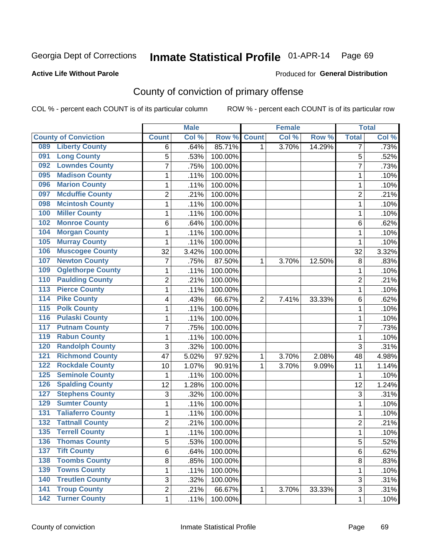#### **Active Life Without Parole**

#### Produced for **General Distribution**

# County of conviction of primary offense

|                  |                             |                | <b>Male</b> |         |                | <b>Female</b> |        |                | <b>Total</b> |
|------------------|-----------------------------|----------------|-------------|---------|----------------|---------------|--------|----------------|--------------|
|                  | <b>County of Conviction</b> | <b>Count</b>   | Col %       | Row %   | <b>Count</b>   | Col %         | Row %  | <b>Total</b>   | Col %        |
| 089              | <b>Liberty County</b>       | 6              | .64%        | 85.71%  | 1              | 3.70%         | 14.29% | 7              | .73%         |
| 091              | <b>Long County</b>          | 5              | .53%        | 100.00% |                |               |        | 5              | .52%         |
| 092              | <b>Lowndes County</b>       | $\overline{7}$ | .75%        | 100.00% |                |               |        | $\overline{7}$ | .73%         |
| 095              | <b>Madison County</b>       | $\mathbf{1}$   | .11%        | 100.00% |                |               |        | 1              | .10%         |
| 096              | <b>Marion County</b>        | 1              | .11%        | 100.00% |                |               |        | 1              | .10%         |
| 097              | <b>Mcduffie County</b>      | $\overline{2}$ | .21%        | 100.00% |                |               |        | $\overline{2}$ | .21%         |
| 098              | <b>Mcintosh County</b>      | $\mathbf 1$    | .11%        | 100.00% |                |               |        | 1              | .10%         |
| 100              | <b>Miller County</b>        | $\mathbf{1}$   | .11%        | 100.00% |                |               |        | $\mathbf{1}$   | .10%         |
| 102              | <b>Monroe County</b>        | 6              | .64%        | 100.00% |                |               |        | 6              | .62%         |
| 104              | <b>Morgan County</b>        | $\mathbf{1}$   | .11%        | 100.00% |                |               |        | $\mathbf{1}$   | .10%         |
| 105              | <b>Murray County</b>        | $\mathbf 1$    | .11%        | 100.00% |                |               |        | 1              | .10%         |
| 106              | <b>Muscogee County</b>      | 32             | 3.42%       | 100.00% |                |               |        | 32             | 3.32%        |
| 107              | <b>Newton County</b>        | $\overline{7}$ | .75%        | 87.50%  | 1              | 3.70%         | 12.50% | 8              | .83%         |
| 109              | <b>Oglethorpe County</b>    | $\mathbf{1}$   | .11%        | 100.00% |                |               |        | $\mathbf{1}$   | .10%         |
| 110              | <b>Paulding County</b>      | $\overline{c}$ | .21%        | 100.00% |                |               |        | $\overline{2}$ | .21%         |
| 113              | <b>Pierce County</b>        | $\mathbf{1}$   | .11%        | 100.00% |                |               |        | $\mathbf{1}$   | .10%         |
| 114              | <b>Pike County</b>          | 4              | .43%        | 66.67%  | $\overline{2}$ | 7.41%         | 33.33% | 6              | .62%         |
| $\overline{115}$ | <b>Polk County</b>          | 1              | .11%        | 100.00% |                |               |        | $\mathbf{1}$   | .10%         |
| 116              | <b>Pulaski County</b>       | $\mathbf 1$    | .11%        | 100.00% |                |               |        | 1              | .10%         |
| 117              | <b>Putnam County</b>        | $\overline{7}$ | .75%        | 100.00% |                |               |        | $\overline{7}$ | .73%         |
| 119              | <b>Rabun County</b>         | 1              | .11%        | 100.00% |                |               |        | 1              | .10%         |
| 120              | <b>Randolph County</b>      | 3              | .32%        | 100.00% |                |               |        | 3              | .31%         |
| 121              | <b>Richmond County</b>      | 47             | 5.02%       | 97.92%  | 1              | 3.70%         | 2.08%  | 48             | 4.98%        |
| 122              | <b>Rockdale County</b>      | 10             | 1.07%       | 90.91%  | 1              | 3.70%         | 9.09%  | 11             | 1.14%        |
| 125              | <b>Seminole County</b>      | $\mathbf{1}$   | .11%        | 100.00% |                |               |        | 1              | .10%         |
| 126              | <b>Spalding County</b>      | 12             | 1.28%       | 100.00% |                |               |        | 12             | 1.24%        |
| 127              | <b>Stephens County</b>      | 3              | .32%        | 100.00% |                |               |        | 3              | .31%         |
| 129              | <b>Sumter County</b>        | 1              | .11%        | 100.00% |                |               |        | 1              | .10%         |
| 131              | <b>Taliaferro County</b>    | 1              | .11%        | 100.00% |                |               |        | 1              | .10%         |
| 132              | <b>Tattnall County</b>      | $\overline{2}$ | .21%        | 100.00% |                |               |        | $\overline{2}$ | .21%         |
| 135              | <b>Terrell County</b>       | $\mathbf{1}$   | .11%        | 100.00% |                |               |        | 1              | .10%         |
| 136              | <b>Thomas County</b>        | 5              | .53%        | 100.00% |                |               |        | 5              | .52%         |
| 137              | <b>Tift County</b>          | 6              | .64%        | 100.00% |                |               |        | 6              | .62%         |
| 138              | <b>Toombs County</b>        | 8              | .85%        | 100.00% |                |               |        | 8              | .83%         |
| 139              | <b>Towns County</b>         | 1              | .11%        | 100.00% |                |               |        | $\mathbf{1}$   | .10%         |
| 140              | <b>Treutlen County</b>      | 3              | .32%        | 100.00% |                |               |        | 3              | .31%         |
| $\overline{141}$ | <b>Troup County</b>         | $\overline{2}$ | .21%        | 66.67%  | $\mathbf{1}$   | 3.70%         | 33.33% | 3              | .31%         |
|                  | 142 Turner County           | 1              | .11%        | 100.00% |                |               |        | 1              | .10%         |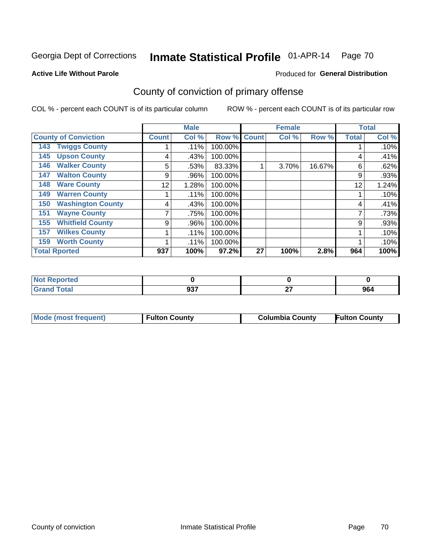#### **Active Life Without Parole**

#### Produced for **General Distribution**

# County of conviction of primary offense

|                                 |              | <b>Male</b> |         |              | <b>Female</b> |        |              | <b>Total</b> |  |
|---------------------------------|--------------|-------------|---------|--------------|---------------|--------|--------------|--------------|--|
| <b>County of Conviction</b>     | <b>Count</b> | Col %       | Row %   | <b>Count</b> | Col %         | Row %  | <b>Total</b> | Col %        |  |
| <b>Twiggs County</b><br>143     |              | .11%        | 100.00% |              |               |        |              | .10%         |  |
| <b>Upson County</b><br>145      | 4            | .43%        | 100.00% |              |               |        | 4            | .41%         |  |
| <b>Walker County</b><br>146     | 5            | .53%        | 83.33%  |              | 3.70%         | 16.67% | 6            | .62%         |  |
| <b>Walton County</b><br>147     | 9            | .96%        | 100.00% |              |               |        | 9            | .93%         |  |
| <b>Ware County</b><br>148       | 12           | 1.28%       | 100.00% |              |               |        | 12           | 1.24%        |  |
| <b>Warren County</b><br>149     |              | .11%        | 100.00% |              |               |        |              | .10%         |  |
| <b>Washington County</b><br>150 | 4            | .43%        | 100.00% |              |               |        | 4            | .41%         |  |
| <b>Wayne County</b><br>151      |              | .75%        | 100.00% |              |               |        | 7            | .73%         |  |
| <b>Whitfield County</b><br>155  | 9            | .96%        | 100.00% |              |               |        | 9            | .93%         |  |
| <b>Wilkes County</b><br>157     |              | .11%        | 100.00% |              |               |        |              | .10%         |  |
| <b>Worth County</b><br>159      |              | .11%        | 100.00% |              |               |        |              | .10%         |  |
| <b>Total Rported</b>            | 937          | 100%        | 97.2%   | 27           | 100%          | 2.8%   | 964<br>100%  |              |  |

| Reported<br>n.   |            |    |     |
|------------------|------------|----|-----|
| <b>otal</b>      | <b>027</b> | ~- | 964 |
| $\mathbf{v}$ and | JJ.        | -- |     |

|  | Mode (most frequent) | <b>Fulton County</b> | <b>Columbia County</b> | <b>Fulton County</b> |
|--|----------------------|----------------------|------------------------|----------------------|
|--|----------------------|----------------------|------------------------|----------------------|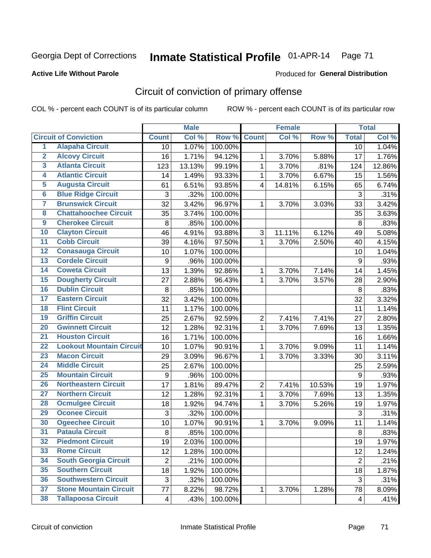### **Active Life Without Parole**

#### Produced for **General Distribution**

# Circuit of conviction of primary offense

|                         |                                 |                | <b>Male</b> |         |                  | <b>Female</b> |        |                  | <b>Total</b> |
|-------------------------|---------------------------------|----------------|-------------|---------|------------------|---------------|--------|------------------|--------------|
|                         | <b>Circuit of Conviction</b>    | <b>Count</b>   | Col %       | Row %   | <b>Count</b>     | Col %         | Row %  | <b>Total</b>     | Col %        |
| $\overline{1}$          | <b>Alapaha Circuit</b>          | 10             | 1.07%       | 100.00% |                  |               |        | 10               | 1.04%        |
| $\overline{2}$          | <b>Alcovy Circuit</b>           | 16             | 1.71%       | 94.12%  | 1                | 3.70%         | 5.88%  | 17               | 1.76%        |
| $\overline{\mathbf{3}}$ | <b>Atlanta Circuit</b>          | 123            | 13.13%      | 99.19%  | $\mathbf{1}$     | 3.70%         | .81%   | 124              | 12.86%       |
| 4                       | <b>Atlantic Circuit</b>         | 14             | 1.49%       | 93.33%  | $\mathbf 1$      | 3.70%         | 6.67%  | 15               | 1.56%        |
| 5                       | <b>Augusta Circuit</b>          | 61             | 6.51%       | 93.85%  | $\overline{4}$   | 14.81%        | 6.15%  | 65               | 6.74%        |
| $6\phantom{a}$          | <b>Blue Ridge Circuit</b>       | 3              | .32%        | 100.00% |                  |               |        | 3                | .31%         |
| 7                       | <b>Brunswick Circuit</b>        | 32             | 3.42%       | 96.97%  | 1                | 3.70%         | 3.03%  | 33               | 3.42%        |
| 8                       | <b>Chattahoochee Circuit</b>    | 35             | 3.74%       | 100.00% |                  |               |        | 35               | 3.63%        |
| $\overline{9}$          | <b>Cherokee Circuit</b>         | 8              | .85%        | 100.00% |                  |               |        | 8                | .83%         |
| 10                      | <b>Clayton Circuit</b>          | 46             | 4.91%       | 93.88%  | 3                | 11.11%        | 6.12%  | 49               | 5.08%        |
| $\overline{11}$         | <b>Cobb Circuit</b>             | 39             | 4.16%       | 97.50%  | 1                | 3.70%         | 2.50%  | 40               | 4.15%        |
| $\overline{12}$         | <b>Conasauga Circuit</b>        | 10             | 1.07%       | 100.00% |                  |               |        | 10               | 1.04%        |
| $\overline{13}$         | <b>Cordele Circuit</b>          | 9              | .96%        | 100.00% |                  |               |        | $9\,$            | .93%         |
| 14                      | <b>Coweta Circuit</b>           | 13             | 1.39%       | 92.86%  | $\mathbf{1}$     | 3.70%         | 7.14%  | 14               | 1.45%        |
| 15                      | <b>Dougherty Circuit</b>        | 27             | 2.88%       | 96.43%  | 1                | 3.70%         | 3.57%  | 28               | 2.90%        |
| 16                      | <b>Dublin Circuit</b>           | 8              | .85%        | 100.00% |                  |               |        | 8                | .83%         |
| 17                      | <b>Eastern Circuit</b>          | 32             | 3.42%       | 100.00% |                  |               |        | 32               | 3.32%        |
| 18                      | <b>Flint Circuit</b>            | 11             | 1.17%       | 100.00% |                  |               |        | 11               | 1.14%        |
| 19                      | <b>Griffin Circuit</b>          | 25             | 2.67%       | 92.59%  | $\overline{2}$   | 7.41%         | 7.41%  | 27               | 2.80%        |
| 20                      | <b>Gwinnett Circuit</b>         | 12             | 1.28%       | 92.31%  | $\mathbf{1}$     | 3.70%         | 7.69%  | 13               | 1.35%        |
| $\overline{21}$         | <b>Houston Circuit</b>          | 16             | 1.71%       | 100.00% |                  |               |        | 16               | 1.66%        |
| $\overline{22}$         | <b>Lookout Mountain Circuit</b> | 10             | 1.07%       | 90.91%  | $\mathbf{1}$     | 3.70%         | 9.09%  | 11               | 1.14%        |
| 23                      | <b>Macon Circuit</b>            | 29             | 3.09%       | 96.67%  | $\mathbf{1}$     | 3.70%         | 3.33%  | 30               | 3.11%        |
| $\overline{24}$         | <b>Middle Circuit</b>           | 25             | 2.67%       | 100.00% |                  |               |        | 25               | 2.59%        |
| $\overline{25}$         | <b>Mountain Circuit</b>         | 9              | .96%        | 100.00% |                  |               |        | $\boldsymbol{9}$ | .93%         |
| 26                      | <b>Northeastern Circuit</b>     | 17             | 1.81%       | 89.47%  | $\boldsymbol{2}$ | 7.41%         | 10.53% | 19               | 1.97%        |
| $\overline{27}$         | <b>Northern Circuit</b>         | 12             | 1.28%       | 92.31%  | $\mathbf{1}$     | 3.70%         | 7.69%  | 13               | 1.35%        |
| 28                      | <b>Ocmulgee Circuit</b>         | 18             | 1.92%       | 94.74%  | $\mathbf 1$      | 3.70%         | 5.26%  | 19               | 1.97%        |
| 29                      | <b>Oconee Circuit</b>           | 3              | .32%        | 100.00% |                  |               |        | 3                | .31%         |
| 30                      | <b>Ogeechee Circuit</b>         | 10             | 1.07%       | 90.91%  | $\mathbf 1$      | 3.70%         | 9.09%  | 11               | 1.14%        |
| $\overline{31}$         | <b>Pataula Circuit</b>          | 8              | .85%        | 100.00% |                  |               |        | 8                | .83%         |
| 32                      | <b>Piedmont Circuit</b>         | 19             | 2.03%       | 100.00% |                  |               |        | 19               | 1.97%        |
| 33                      | <b>Rome Circuit</b>             | 12             | 1.28%       | 100.00% |                  |               |        | 12               | 1.24%        |
| 34                      | <b>South Georgia Circuit</b>    | $\overline{2}$ | .21%        | 100.00% |                  |               |        | $\overline{2}$   | .21%         |
| 35                      | <b>Southern Circuit</b>         | 18             | 1.92%       | 100.00% |                  |               |        | 18               | 1.87%        |
| 36                      | <b>Southwestern Circuit</b>     | 3              | .32%        | 100.00% |                  |               |        | 3                | .31%         |
| 37                      | <b>Stone Mountain Circuit</b>   | 77             | 8.22%       | 98.72%  | 1                | 3.70%         | 1.28%  | 78               | 8.09%        |
| 38                      | <b>Tallapoosa Circuit</b>       | 4              | .43%        | 100.00% |                  |               |        | 4                | .41%         |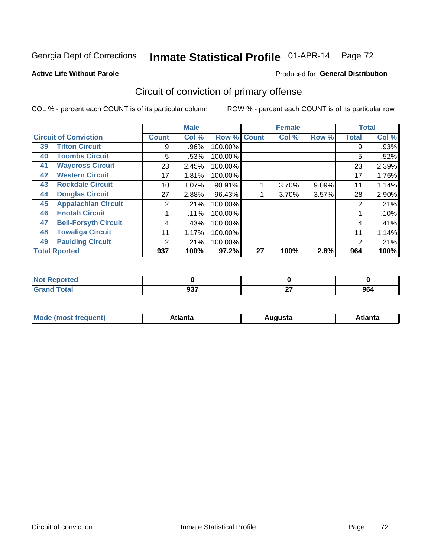#### **Active Life Without Parole**

#### Produced for **General Distribution**

# Circuit of conviction of primary offense

|    |                              |                | <b>Male</b> |                |              | <b>Female</b> |       |              | <b>Total</b> |
|----|------------------------------|----------------|-------------|----------------|--------------|---------------|-------|--------------|--------------|
|    | <b>Circuit of Conviction</b> | <b>Count</b>   | Col %       | Row $\sqrt{6}$ | <b>Count</b> | Col %         | Row % | <b>Total</b> | Col %        |
| 39 | <b>Tifton Circuit</b>        | 9              | .96%        | 100.00%        |              |               |       | 9            | .93%         |
| 40 | <b>Toombs Circuit</b>        | 5              | .53%        | 100.00%        |              |               |       | 5            | .52%         |
| 41 | <b>Waycross Circuit</b>      | 23             | 2.45%       | 100.00%        |              |               |       | 23           | 2.39%        |
| 42 | <b>Western Circuit</b>       | 17             | 1.81%       | 100.00%        |              |               |       | 17           | 1.76%        |
| 43 | <b>Rockdale Circuit</b>      | 10             | 1.07%       | 90.91%         |              | 3.70%         | 9.09% | 11           | 1.14%        |
| 44 | <b>Douglas Circuit</b>       | 27             | 2.88%       | 96.43%         |              | 3.70%         | 3.57% | 28           | 2.90%        |
| 45 | <b>Appalachian Circuit</b>   | 2              | .21%        | 100.00%        |              |               |       | 2            | .21%         |
| 46 | <b>Enotah Circuit</b>        |                | .11%        | 100.00%        |              |               |       |              | .10%         |
| 47 | <b>Bell-Forsyth Circuit</b>  | 4              | .43%        | 100.00%        |              |               |       | 4            | .41%         |
| 48 | <b>Towaliga Circuit</b>      | 11             | 1.17%       | 100.00%        |              |               |       | 11           | 1.14%        |
| 49 | <b>Paulding Circuit</b>      | $\overline{2}$ | .21%        | 100.00%        |              |               |       | 2            | .21%         |
|    | <b>Total Rported</b>         | 937            | 100%        | 97.2%          | 27           | 100%          | 2.8%  | 964          | 100%         |

| ported<br><b>Not</b><br>NGI |     |              |     |
|-----------------------------|-----|--------------|-----|
| <b>otal</b><br>$\sim$       | 937 | $\sim$<br>-- | 964 |

| М<br>. In n tr<br>.<br>.<br>wanta<br>Πū<br>31.<br>$\sim$ $\sim$ $\sim$ |
|------------------------------------------------------------------------|
|------------------------------------------------------------------------|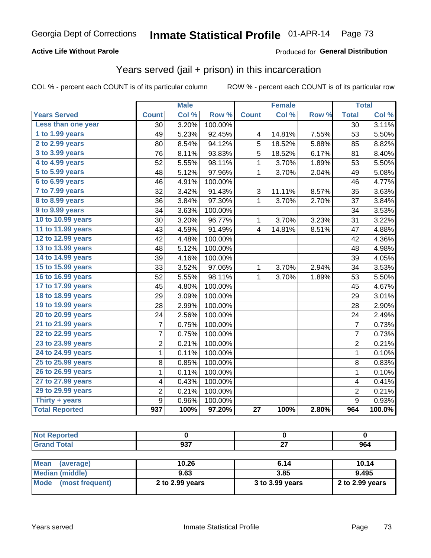### **Active Life Without Parole**

#### Produced for **General Distribution**

## Years served (jail + prison) in this incarceration

|                       |                  | <b>Male</b> |         |                 | <b>Female</b> |       |                 | <b>Total</b> |
|-----------------------|------------------|-------------|---------|-----------------|---------------|-------|-----------------|--------------|
| <b>Years Served</b>   | <b>Count</b>     | Col %       | Row %   | <b>Count</b>    | Col %         | Row % | <b>Total</b>    | Col %        |
| Less than one year    | $\overline{30}$  | 3.20%       | 100.00% |                 |               |       | $\overline{30}$ | 3.11%        |
| 1 to 1.99 years       | 49               | 5.23%       | 92.45%  | 4               | 14.81%        | 7.55% | 53              | 5.50%        |
| 2 to 2.99 years       | 80               | 8.54%       | 94.12%  | 5               | 18.52%        | 5.88% | 85              | 8.82%        |
| 3 to 3.99 years       | 76               | 8.11%       | 93.83%  | $\overline{5}$  | 18.52%        | 6.17% | 81              | 8.40%        |
| 4 to 4.99 years       | 52               | 5.55%       | 98.11%  | $\mathbf{1}$    | 3.70%         | 1.89% | 53              | 5.50%        |
| 5 to 5.99 years       | 48               | 5.12%       | 97.96%  | $\mathbf{1}$    | 3.70%         | 2.04% | 49              | 5.08%        |
| 6 to 6.99 years       | 46               | 4.91%       | 100.00% |                 |               |       | 46              | 4.77%        |
| 7 to 7.99 years       | 32               | 3.42%       | 91.43%  | 3               | 11.11%        | 8.57% | 35              | 3.63%        |
| 8 to 8.99 years       | 36               | 3.84%       | 97.30%  | 1               | 3.70%         | 2.70% | 37              | 3.84%        |
| 9 to 9.99 years       | 34               | 3.63%       | 100.00% |                 |               |       | 34              | 3.53%        |
| 10 to 10.99 years     | 30               | 3.20%       | 96.77%  | $\mathbf 1$     | 3.70%         | 3.23% | 31              | 3.22%        |
| 11 to 11.99 years     | 43               | 4.59%       | 91.49%  | $\overline{4}$  | 14.81%        | 8.51% | 47              | 4.88%        |
| 12 to 12.99 years     | 42               | 4.48%       | 100.00% |                 |               |       | 42              | 4.36%        |
| 13 to 13.99 years     | 48               | 5.12%       | 100.00% |                 |               |       | 48              | 4.98%        |
| 14 to 14.99 years     | 39               | 4.16%       | 100.00% |                 |               |       | 39              | 4.05%        |
| 15 to 15.99 years     | 33               | 3.52%       | 97.06%  | $\mathbf{1}$    | 3.70%         | 2.94% | 34              | 3.53%        |
| 16 to 16.99 years     | 52               | 5.55%       | 98.11%  | $\mathbf{1}$    | 3.70%         | 1.89% | 53              | 5.50%        |
| 17 to 17.99 years     | 45               | 4.80%       | 100.00% |                 |               |       | 45              | 4.67%        |
| 18 to 18.99 years     | 29               | 3.09%       | 100.00% |                 |               |       | 29              | 3.01%        |
| 19 to 19.99 years     | 28               | 2.99%       | 100.00% |                 |               |       | 28              | 2.90%        |
| 20 to 20.99 years     | 24               | 2.56%       | 100.00% |                 |               |       | 24              | 2.49%        |
| 21 to 21.99 years     | 7                | 0.75%       | 100.00% |                 |               |       | $\overline{7}$  | 0.73%        |
| 22 to 22.99 years     | $\overline{7}$   | 0.75%       | 100.00% |                 |               |       | $\overline{7}$  | 0.73%        |
| 23 to 23.99 years     | $\overline{2}$   | 0.21%       | 100.00% |                 |               |       | $\overline{2}$  | 0.21%        |
| 24 to 24.99 years     | $\mathbf{1}$     | 0.11%       | 100.00% |                 |               |       | $\mathbf{1}$    | 0.10%        |
| 25 to 25.99 years     | 8                | 0.85%       | 100.00% |                 |               |       | 8               | 0.83%        |
| 26 to 26.99 years     | $\mathbf 1$      | 0.11%       | 100.00% |                 |               |       | $\mathbf{1}$    | 0.10%        |
| 27 to 27.99 years     | 4                | 0.43%       | 100.00% |                 |               |       | 4               | 0.41%        |
| 29 to 29.99 years     | $\overline{2}$   | 0.21%       | 100.00% |                 |               |       | $\overline{c}$  | 0.21%        |
| Thirty + years        | 9                | 0.96%       | 100.00% |                 |               |       | $\overline{9}$  | 0.93%        |
| <b>Total Reported</b> | $\overline{937}$ | 100%        | 97.20%  | $\overline{27}$ | 100%          | 2.80% | 964             | 100.0%       |

| <b>Not Reported</b>      |                 |                 |                 |
|--------------------------|-----------------|-----------------|-----------------|
| <b>Grand Total</b>       | 937             | 27              | 964             |
|                          |                 |                 |                 |
| <b>Mean</b><br>(average) | 10.26           | 6.14            | 10.14           |
| <b>Median (middle)</b>   | 9.63            | 3.85            | 9.495           |
| Mode (most frequent)     | 2 to 2.99 years | 3 to 3.99 years | 2 to 2.99 years |
|                          |                 |                 |                 |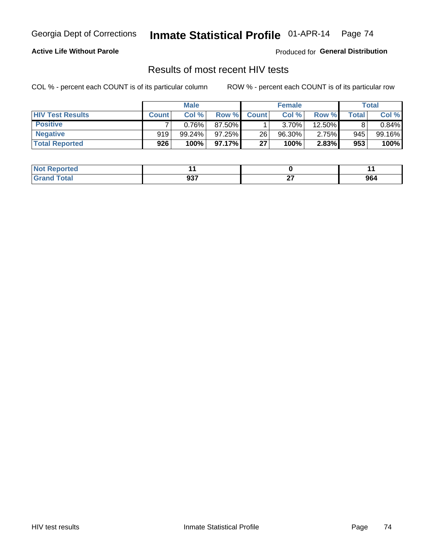#### **Active Life Without Parole**

Produced for **General Distribution**

## Results of most recent HIV tests

|                         | <b>Male</b>  |           |           | <b>Female</b> |          |        | Total |        |
|-------------------------|--------------|-----------|-----------|---------------|----------|--------|-------|--------|
| <b>HIV Test Results</b> | <b>Count</b> | Col%      | Row %I    | <b>Count</b>  | Col %    | Row %I | Total | Col %  |
| <b>Positive</b>         |              | 0.76%     | 87.50%    |               | $3.70\%$ | 12.50% |       | 0.84%  |
| <b>Negative</b>         | 919          | $99.24\%$ | $97.25\%$ | 26            | 96.30%   | 2.75%  | 945   | 99.16% |
| <b>Total Reported</b>   | 926          | 100%      | 97.17%    | 27            | 100%     | 2.83%  | 953   | 100%   |

| <b>Not Reported</b> |                    |    |     |
|---------------------|--------------------|----|-----|
| <b>Total</b>        | <b>027</b><br>งง เ | ~- | 964 |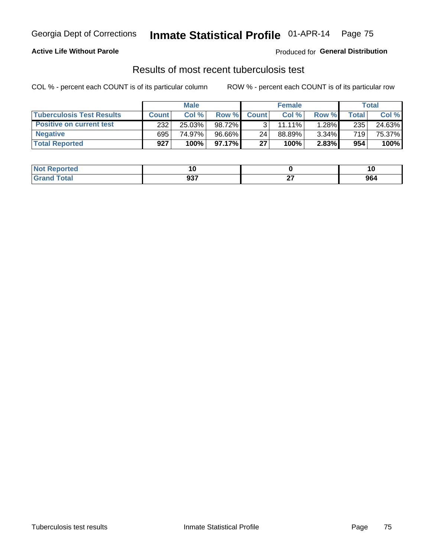### **Active Life Without Parole**

Produced for **General Distribution**

## Results of most recent tuberculosis test

|                                  | <b>Male</b>  |        |           | <b>Female</b> |        |       | Total |        |
|----------------------------------|--------------|--------|-----------|---------------|--------|-------|-------|--------|
| <b>Tuberculosis Test Results</b> | <b>Count</b> | Col %  | Row %     | <b>Count</b>  | Col %  | Row % | Total | Col %  |
| <b>Positive on current test</b>  | 232          | 25.03% | 98.72%    |               | 11.11% | 1.28% | 235   | 24.63% |
| <b>Negative</b>                  | 695          | 74.97% | $96.66\%$ | 24            | 88.89% | 3.34% | 719   | 75.37% |
| <b>Total Reported</b>            | 927          | 100%   | 97.17%    | 27            | 100%   | 2.83% | 954   | 100%   |

| <b>Not Reported</b>           | ı.  |        |     |
|-------------------------------|-----|--------|-----|
| <b>Fotal</b><br>$C$ ro $\sim$ | 937 | $\sim$ | 964 |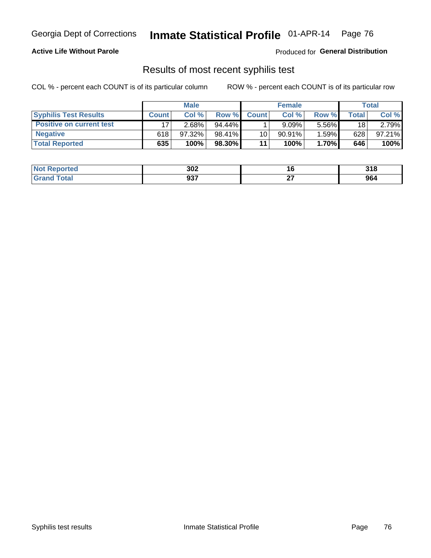### **Active Life Without Parole**

Produced for **General Distribution**

## Results of most recent syphilis test

|                                 | <b>Male</b>  |           |           | <b>Female</b> |           |          | Total |        |
|---------------------------------|--------------|-----------|-----------|---------------|-----------|----------|-------|--------|
| <b>Syphilis Test Results</b>    | <b>Count</b> | Col%      | Row %     | <b>Count</b>  | Col %     | Row %I   | Total | Col %  |
| <b>Positive on current test</b> |              | 2.68%     | $94.44\%$ |               | 9.09%     | $5.56\%$ | 18    | 2.79%  |
| <b>Negative</b>                 | 618          | $97.32\%$ | 98.41%    | 10            | $90.91\%$ | 1.59%    | 628   | 97.21% |
| <b>Total Reported</b>           | 635          | 100%      | 98.30%    | 11            | 100%      | 1.70%    | 646   | 100%   |

| <b>Not Reported</b>     | 302 |              | 240<br>J I O |
|-------------------------|-----|--------------|--------------|
| <b>Total</b><br>' Grand | 937 | $\sim$<br>-- | 964          |